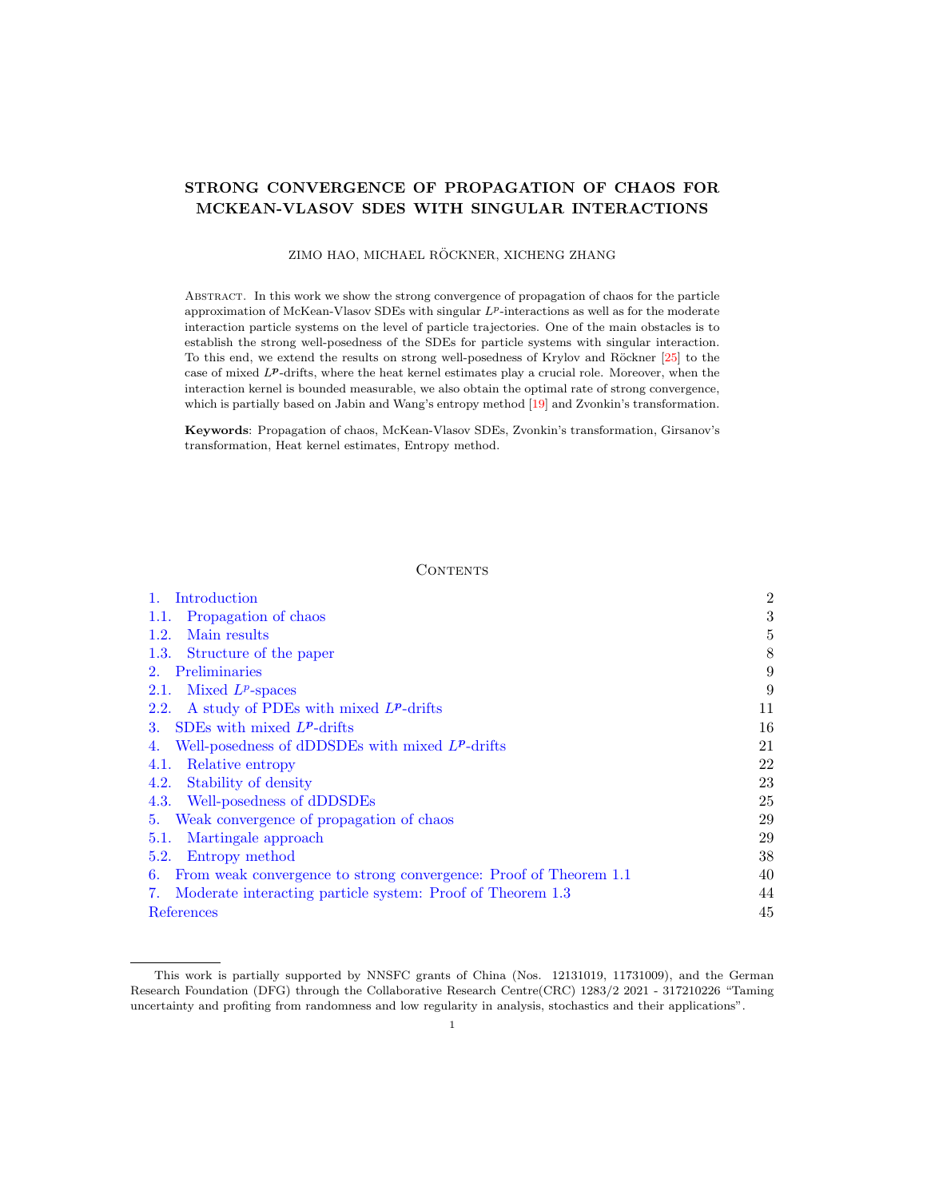### <span id="page-0-0"></span>STRONG CONVERGENCE OF PROPAGATION OF CHAOS FOR MCKEAN-VLASOV SDES WITH SINGULAR INTERACTIONS

ZIMO HAO, MICHAEL RÖCKNER, XICHENG ZHANG

Abstract. In this work we show the strong convergence of propagation of chaos for the particle approximation of McKean-Vlasov SDEs with singular  $L^p$ -interactions as well as for the moderate interaction particle systems on the level of particle trajectories. One of the main obstacles is to establish the strong well-posedness of the SDEs for particle systems with singular interaction. To this end, we extend the results on strong well-posedness of Krylov and Röckner [\[25\]](#page-45-0) to the case of mixed LP-drifts, where the heat kernel estimates play a crucial role. Moreover, when the interaction kernel is bounded measurable, we also obtain the optimal rate of strong convergence, which is partially based on Jabin and Wang's entropy method [\[19\]](#page-45-1) and Zvonkin's transformation.

Keywords: Propagation of chaos, McKean-Vlasov SDEs, Zvonkin's transformation, Girsanov's transformation, Heat kernel estimates, Entropy method.

#### **CONTENTS**

| Introduction                                                            | $\overline{2}$ |
|-------------------------------------------------------------------------|----------------|
| Propagation of chaos<br>1.1.                                            | 3              |
| Main results<br>1.2.                                                    | 5              |
| Structure of the paper<br>1.3.                                          | 8              |
| Preliminaries<br>2.                                                     | 9              |
| Mixed $L^p$ -spaces<br>2.1.                                             | 9              |
| A study of PDEs with mixed $L^p$ -drifts<br>2.2.                        | 11             |
| SDEs with mixed $L^p$ -drifts<br>3.                                     | 16             |
| Well-posedness of dDDSDEs with mixed $L^p$ -drifts<br>4.                | 21             |
| Relative entropy<br>4.1.                                                | 22             |
| Stability of density<br>4.2.                                            | 23             |
| Well-posedness of dDDSDEs<br>4.3.                                       | 25             |
| Weak convergence of propagation of chaos<br>5.                          | 29             |
| Martingale approach<br>5.1.                                             | 29             |
| Entropy method<br>5.2.                                                  | 38             |
| From weak convergence to strong convergence: Proof of Theorem 1.1<br>6. | 40             |
| Moderate interacting particle system: Proof of Theorem 1.3<br>7.        | 44             |
| References                                                              | 45             |

This work is partially supported by NNSFC grants of China (Nos. 12131019, 11731009), and the German Research Foundation (DFG) through the Collaborative Research Centre(CRC) 1283/2 2021 - 317210226 "Taming uncertainty and profiting from randomness and low regularity in analysis, stochastics and their applications".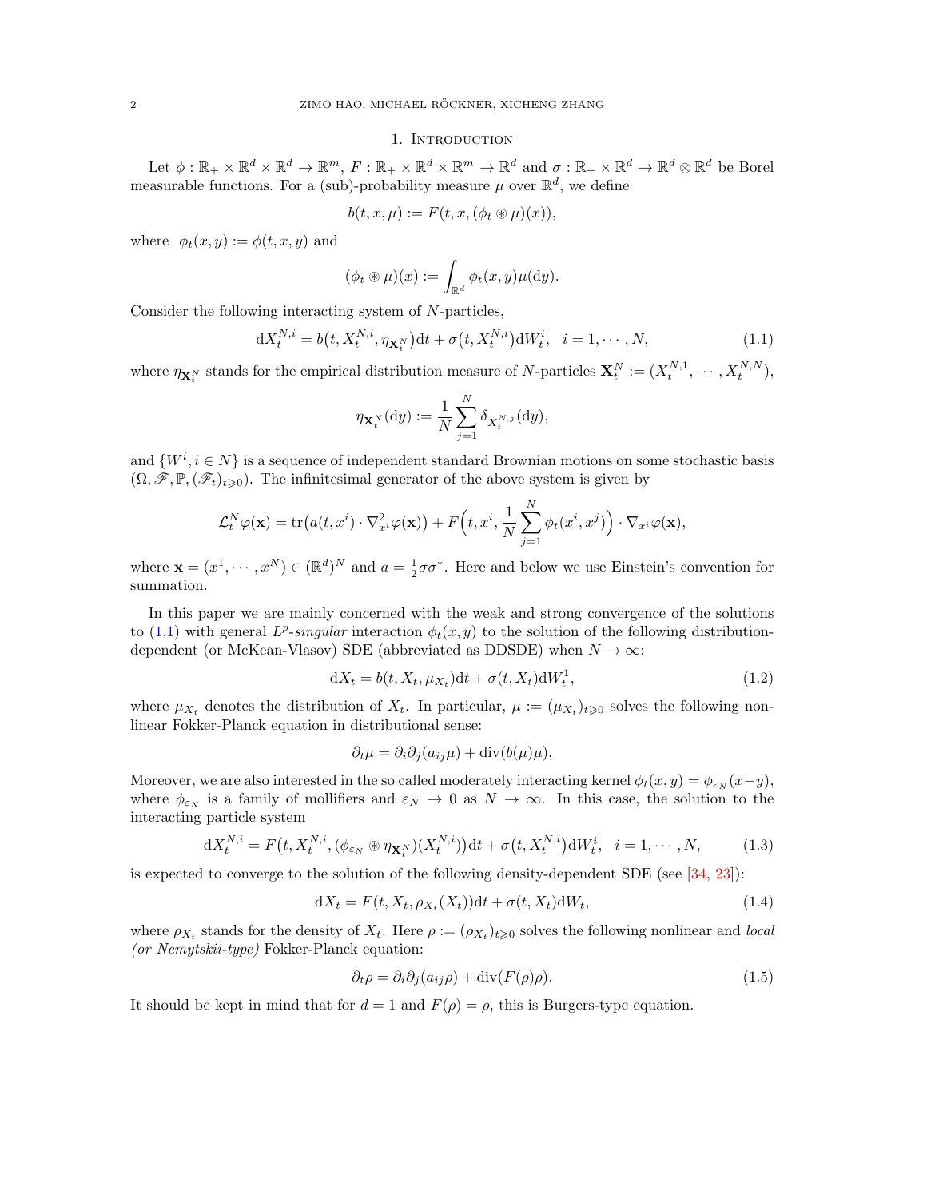### 1. INTRODUCTION

<span id="page-1-0"></span>Let  $\phi: \mathbb{R}_+ \times \mathbb{R}^d \times \mathbb{R}^d \to \mathbb{R}^m$ ,  $F: \mathbb{R}_+ \times \mathbb{R}^d \times \mathbb{R}^m \to \mathbb{R}^d$  and  $\sigma: \mathbb{R}_+ \times \mathbb{R}^d \to \mathbb{R}^d \otimes \mathbb{R}^d$  be Borel measurable functions. For a (sub)-probability measure  $\mu$  over  $\mathbb{R}^d$ , we define

$$
b(t, x, \mu) := F(t, x, (\phi_t \circledast \mu)(x)),
$$

where  $\phi_t(x, y) := \phi(t, x, y)$  and

$$
(\phi_t \circledast \mu)(x) := \int_{\mathbb{R}^d} \phi_t(x, y) \mu(\mathrm{d} y).
$$

Consider the following interacting system of N-particles,

$$
dX_t^{N,i} = b(t, X_t^{N,i}, \eta_{\mathbf{X}_t^N})dt + \sigma(t, X_t^{N,i})dW_t^i, \quad i = 1, \cdots, N,
$$
\n(1.1)

where  $\eta_{\mathbf{X}_t^N}$  stands for the empirical distribution measure of N-particles  $\mathbf{X}_t^N := (X_t^{N,1}, \dots, X_t^{N,N}),$ 

<span id="page-1-1"></span>
$$
\eta_{\mathbf{X}_t^N}(\mathrm{d}y) := \frac{1}{N} \sum_{j=1}^N \delta_{X_t^{N,j}}(\mathrm{d}y),
$$

and  $\{W^i, i \in N\}$  is a sequence of independent standard Brownian motions on some stochastic basis  $(\Omega, \mathscr{F}, \mathbb{P}, (\mathscr{F}_t)_{t\geq 0})$ . The infinitesimal generator of the above system is given by

$$
\mathcal{L}_t^N \varphi(\mathbf{x}) = \text{tr}\big(a(t, x^i) \cdot \nabla_{x^i}^2 \varphi(\mathbf{x})\big) + F\Big(t, x^i, \frac{1}{N} \sum_{j=1}^N \phi_t(x^i, x^j)\Big) \cdot \nabla_{x^i} \varphi(\mathbf{x}),
$$

where  $\mathbf{x} = (x^1, \dots, x^N) \in (\mathbb{R}^d)^N$  and  $a = \frac{1}{2}\sigma\sigma^*$ . Here and below we use Einstein's convention for summation.

In this paper we are mainly concerned with the weak and strong convergence of the solutions to [\(1.1\)](#page-1-1) with general  $L^p$ -singular interaction  $\phi_t(x, y)$  to the solution of the following distributiondependent (or McKean-Vlasov) SDE (abbreviated as DDSDE) when  $N \to \infty$ :

$$
dX_t = b(t, X_t, \mu_{X_t})dt + \sigma(t, X_t)dW_t^1, \qquad (1.2)
$$

where  $\mu_{X_t}$  denotes the distribution of  $X_t$ . In particular,  $\mu := (\mu_{X_t})_{t \geq 0}$  solves the following nonlinear Fokker-Planck equation in distributional sense:

<span id="page-1-4"></span><span id="page-1-2"></span>
$$
\partial_t \mu = \partial_i \partial_j (a_{ij} \mu) + \text{div}(b(\mu)\mu),
$$

Moreover, we are also interested in the so called moderately interacting kernel  $\phi_t(x, y) = \phi_{\varepsilon_N}(x-y)$ , where  $\phi_{\varepsilon_N}$  is a family of mollifiers and  $\varepsilon_N \to 0$  as  $N \to \infty$ . In this case, the solution to the interacting particle system

$$
dX_t^{N,i} = F(t, X_t^{N,i}, (\phi_{\varepsilon_N} \otimes \eta_{\mathbf{X}_t^N})(X_t^{N,i}))dt + \sigma(t, X_t^{N,i})dW_t^i, \quad i = 1, \cdots, N,
$$
 (1.3)

is expected to converge to the solution of the following density-dependent SDE (see  $[34, 23]$  $[34, 23]$ ):

$$
dX_t = F(t, X_t, \rho_{X_t}(X_t))dt + \sigma(t, X_t)dW_t,
$$
\n(1.4)

where  $\rho_{X_t}$  stands for the density of  $X_t$ . Here  $\rho := (\rho_{X_t})_{t \geq 0}$  solves the following nonlinear and *local* (or Nemytskii-type) Fokker-Planck equation:

<span id="page-1-5"></span><span id="page-1-3"></span>
$$
\partial_t \rho = \partial_i \partial_j (a_{ij}\rho) + \text{div}(F(\rho)\rho). \tag{1.5}
$$

It should be kept in mind that for  $d = 1$  and  $F(\rho) = \rho$ , this is Burgers-type equation.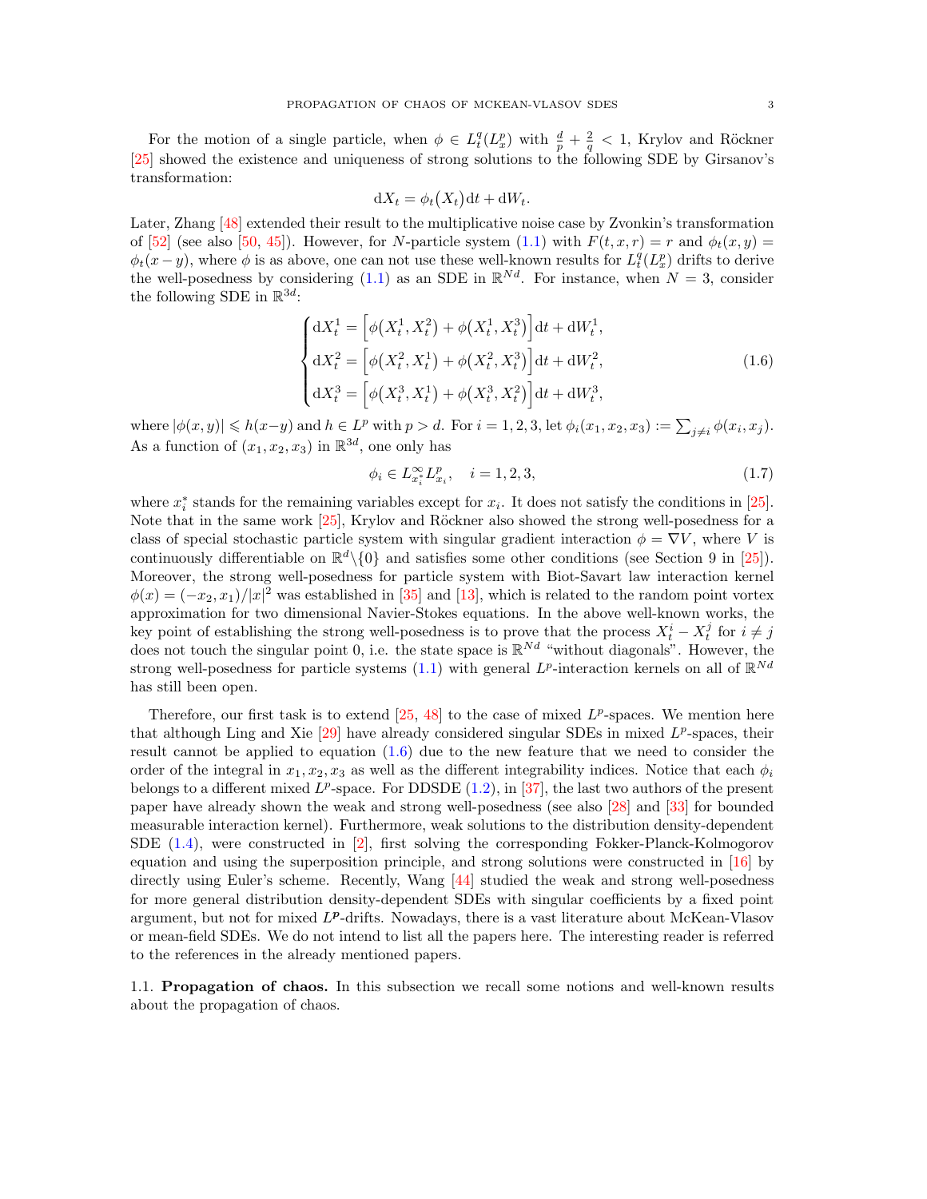For the motion of a single particle, when  $\phi \in L_t^q(L_x^p)$  with  $\frac{d}{p} + \frac{2}{q} < 1$ , Krylov and Röckner [\[25\]](#page-45-0) showed the existence and uniqueness of strong solutions to the following SDE by Girsanov's transformation:

$$
dX_t = \phi_t(X_t)dt + dW_t.
$$

Later, Zhang [\[48\]](#page-46-1) extended their result to the multiplicative noise case by Zvonkin's transformation of [\[52\]](#page-46-2) (see also [\[50,](#page-46-3) [45\]](#page-46-4)). However, for N-particle system [\(1.1\)](#page-1-1) with  $F(t, x, r) = r$  and  $\phi_t(x, y) =$  $\phi_t(x-y)$ , where  $\phi$  is as above, one can not use these well-known results for  $L_t^q(L_x^p)$  drifts to derive the well-posedness by considering [\(1.1\)](#page-1-1) as an SDE in  $\mathbb{R}^{Nd}$ . For instance, when  $N = 3$ , consider the following SDE in  $\mathbb{R}^{3d}$ :

$$
\begin{cases} dX_t^1 = \left[ \phi(X_t^1, X_t^2) + \phi(X_t^1, X_t^3) \right] dt + dW_t^1, \\ dX_t^2 = \left[ \phi(X_t^2, X_t^1) + \phi(X_t^2, X_t^3) \right] dt + dW_t^2, \\ dX_t^3 = \left[ \phi(X_t^3, X_t^1) + \phi(X_t^3, X_t^2) \right] dt + dW_t^3, \end{cases}
$$
(1.6)

where  $|\phi(x,y)| \leq h(x-y)$  and  $h \in L^p$  with  $p > d$ . For  $i = 1, 2, 3$ , let  $\phi_i(x_1, x_2, x_3) := \sum_{j \neq i} \phi(x_i, x_j)$ . As a function of  $(x_1, x_2, x_3)$  in  $\mathbb{R}^{3d}$ , one only has

<span id="page-2-1"></span>
$$
\phi_i \in L_{x_i^*}^{\infty} L_{x_i}^p, \quad i = 1, 2, 3,
$$
\n(1.7)

where  $x_i^*$  stands for the remaining variables except for  $x_i$ . It does not satisfy the conditions in [\[25\]](#page-45-0). Note that in the same work  $[25]$ , Krylov and Röckner also showed the strong well-posedness for a class of special stochastic particle system with singular gradient interaction  $\phi = \nabla V$ , where V is continuously differentiable on  $\mathbb{R}^d \setminus \{0\}$  and satisfies some other conditions (see Section 9 in [\[25\]](#page-45-0)). Moreover, the strong well-posedness for particle system with Biot-Savart law interaction kernel  $\phi(x) = (-x_2, x_1)/|x|^2$  was established in [\[35\]](#page-46-5) and [\[13\]](#page-45-3), which is related to the random point vortex approximation for two dimensional Navier-Stokes equations. In the above well-known works, the key point of establishing the strong well-posedness is to prove that the process  $X_t^i - X_t^j$  for  $i \neq j$ does not touch the singular point 0, i.e. the state space is  $\mathbb{R}^{Nd}$  "without diagonals". However, the strong well-posedness for particle systems [\(1.1\)](#page-1-1) with general  $L^p$ -interaction kernels on all of  $\mathbb{R}^{Nd}$ has still been open.

Therefore, our first task is to extend  $[25, 48]$  $[25, 48]$  to the case of mixed  $L^p$ -spaces. We mention here that although Ling and Xie  $[29]$  have already considered singular SDEs in mixed  $L^p$ -spaces, their result cannot be applied to equation  $(1.6)$  due to the new feature that we need to consider the order of the integral in  $x_1, x_2, x_3$  as well as the different integrability indices. Notice that each  $\phi_i$ belongs to a different mixed  $L^p$ -space. For DDSDE  $(1.2)$ , in  $[37]$ , the last two authors of the present paper have already shown the weak and strong well-posedness (see also [\[28\]](#page-45-5) and [\[33\]](#page-46-7) for bounded measurable interaction kernel). Furthermore, weak solutions to the distribution density-dependent SDE [\(1.4\)](#page-1-3), were constructed in [\[2\]](#page-44-1), first solving the corresponding Fokker-Planck-Kolmogorov equation and using the superposition principle, and strong solutions were constructed in [\[16\]](#page-45-6) by directly using Euler's scheme. Recently, Wang [\[44\]](#page-46-8) studied the weak and strong well-posedness for more general distribution density-dependent SDEs with singular coefficients by a fixed point argument, but not for mixed  $L^p$ -drifts. Nowadays, there is a vast literature about McKean-Vlasov or mean-field SDEs. We do not intend to list all the papers here. The interesting reader is referred to the references in the already mentioned papers.

<span id="page-2-0"></span>1.1. Propagation of chaos. In this subsection we recall some notions and well-known results about the propagation of chaos.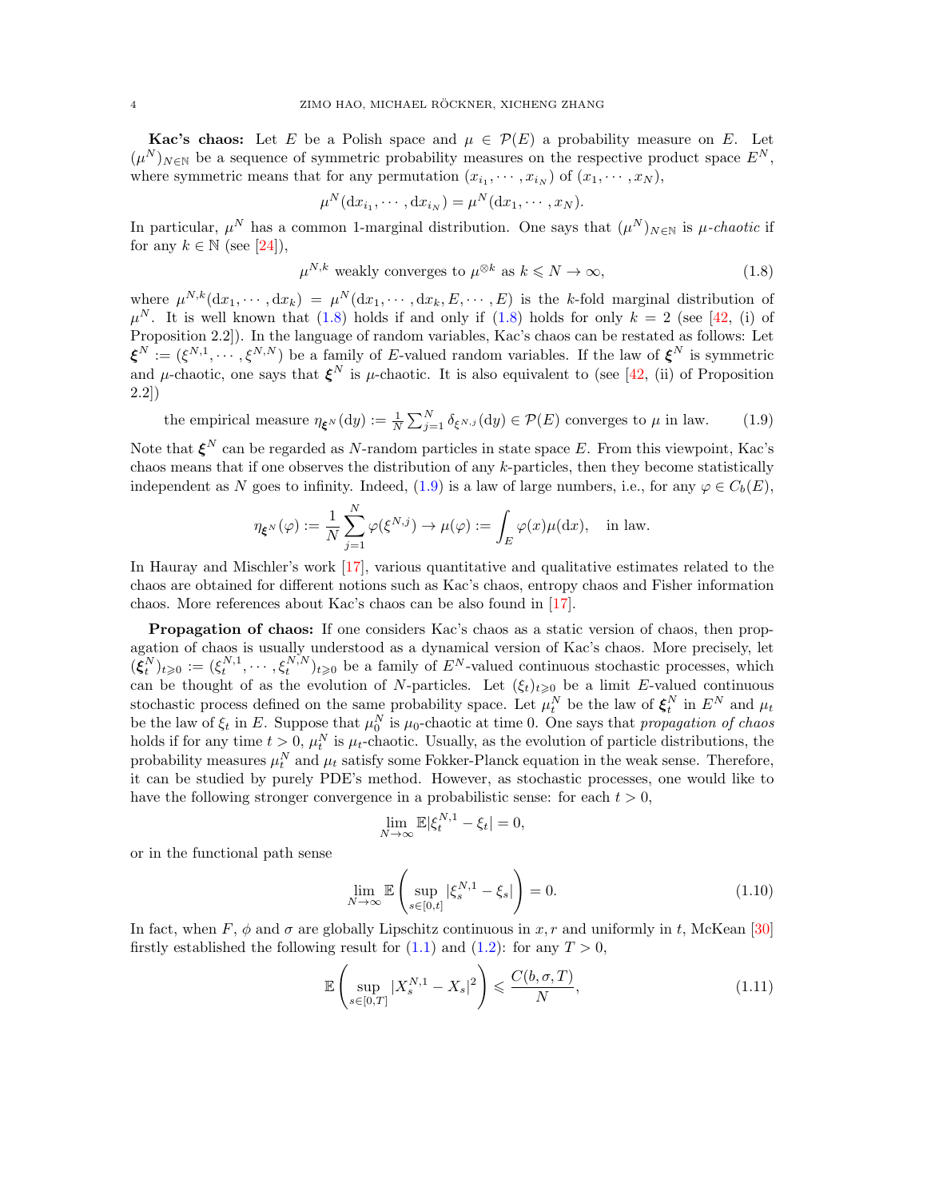**Kac's chaos:** Let E be a Polish space and  $\mu \in \mathcal{P}(E)$  a probability measure on E. Let  $(\mu^N)_{N \in \mathbb{N}}$  be a sequence of symmetric probability measures on the respective product space  $E^N$ , where symmetric means that for any permutation  $(x_{i_1}, \dots, x_{i_N})$  of  $(x_1, \dots, x_N)$ ,

<span id="page-3-0"></span>
$$
\mu^N(\mathrm{d}x_{i_1},\cdots,\mathrm{d}x_{i_N})=\mu^N(\mathrm{d}x_1,\cdots,x_N).
$$

In particular,  $\mu^N$  has a common 1-marginal distribution. One says that  $(\mu^N)_{N\in\mathbb{N}}$  is  $\mu$ -chaotic if for any  $k \in \mathbb{N}$  (see [\[24\]](#page-45-7)),

<span id="page-3-1"></span>
$$
\mu^{N,k} \text{ weakly converges to } \mu^{\otimes k} \text{ as } k \leq N \to \infty,
$$
\n(1.8)

where  $\mu^{N,k}(\mathrm{d}x_1,\dots,\mathrm{d}x_k) = \mu^N(\mathrm{d}x_1,\dots,\mathrm{d}x_k,E,\dots,E)$  is the k-fold marginal distribution of  $\mu^N$ . It is well known that [\(1.8\)](#page-3-0) holds if and only if (1.8) holds for only  $k = 2$  (see [\[42,](#page-46-9) (i) of Proposition 2.2]). In the language of random variables, Kac's chaos can be restated as follows: Let  $\boldsymbol{\xi}^N := (\xi^{N,1}, \cdots, \xi^{N,N})$  be a family of E-valued random variables. If the law of  $\boldsymbol{\xi}^N$  is symmetric and  $\mu$ -chaotic, one says that  $\xi^N$  is  $\mu$ -chaotic. It is also equivalent to (see [\[42,](#page-46-9) (ii) of Proposition 2.2])

the empirical measure  $\eta_{\xi^N}(dy) := \frac{1}{N} \sum_{j=1}^N \delta_{\xi^{N,j}}(dy) \in \mathcal{P}(E)$  converges to  $\mu$  in law. (1.9)

Note that  $\boldsymbol{\xi}^N$  can be regarded as N-random particles in state space E. From this viewpoint, Kac's chaos means that if one observes the distribution of any  $k$ -particles, then they become statistically independent as N goes to infinity. Indeed, [\(1.9\)](#page-3-1) is a law of large numbers, i.e., for any  $\varphi \in C_b(E)$ .

$$
\eta_{\xi^N}(\varphi) := \frac{1}{N} \sum_{j=1}^N \varphi(\xi^{N,j}) \to \mu(\varphi) := \int_E \varphi(x) \mu(\mathrm{d}x), \quad \text{in law}.
$$

In Hauray and Mischler's work [\[17\]](#page-45-8), various quantitative and qualitative estimates related to the chaos are obtained for different notions such as Kac's chaos, entropy chaos and Fisher information chaos. More references about Kac's chaos can be also found in [\[17\]](#page-45-8).

Propagation of chaos: If one considers Kac's chaos as a static version of chaos, then propagation of chaos is usually understood as a dynamical version of Kac's chaos. More precisely, let  $(\boldsymbol{\xi}_t^N)_{t\geqslant0} := (\xi_t^{N,1},\cdots,\xi_t^{N,N})_{t\geqslant0}$  be a family of  $E^N$ -valued continuous stochastic processes, which can be thought of as the evolution of N-particles. Let  $(\xi_t)_{t\geqslant0}$  be a limit E-valued continuous stochastic process defined on the same probability space. Let  $\mu_t^N$  be the law of  $\xi_t^N$  in  $E^N$  and  $\mu_t$ be the law of  $\xi_t$  in E. Suppose that  $\mu_0^N$  is  $\mu_0$ -chaotic at time 0. One says that propagation of chaos holds if for any time  $t > 0$ ,  $\mu_t^N$  is  $\mu_t$ -chaotic. Usually, as the evolution of particle distributions, the probability measures  $\mu_t^N$  and  $\mu_t$  satisfy some Fokker-Planck equation in the weak sense. Therefore, it can be studied by purely PDE's method. However, as stochastic processes, one would like to have the following stronger convergence in a probabilistic sense: for each  $t > 0$ ,

<span id="page-3-3"></span><span id="page-3-2"></span>
$$
\lim_{N \to \infty} \mathbb{E} |\xi_t^{N,1} - \xi_t| = 0,
$$

or in the functional path sense

$$
\lim_{N \to \infty} \mathbb{E}\left(\sup_{s \in [0,t]} |\xi_s^{N,1} - \xi_s|\right) = 0. \tag{1.10}
$$

In fact, when F,  $\phi$  and  $\sigma$  are globally Lipschitz continuous in x, r and uniformly in t, McKean [\[30\]](#page-45-9) firstly established the following result for  $(1.1)$  and  $(1.2)$ : for any  $T > 0$ ,

$$
\mathbb{E}\left(\sup_{s\in[0,T]}|X_s^{N,1}-X_s|^2\right) \leqslant \frac{C(b,\sigma,T)}{N},\tag{1.11}
$$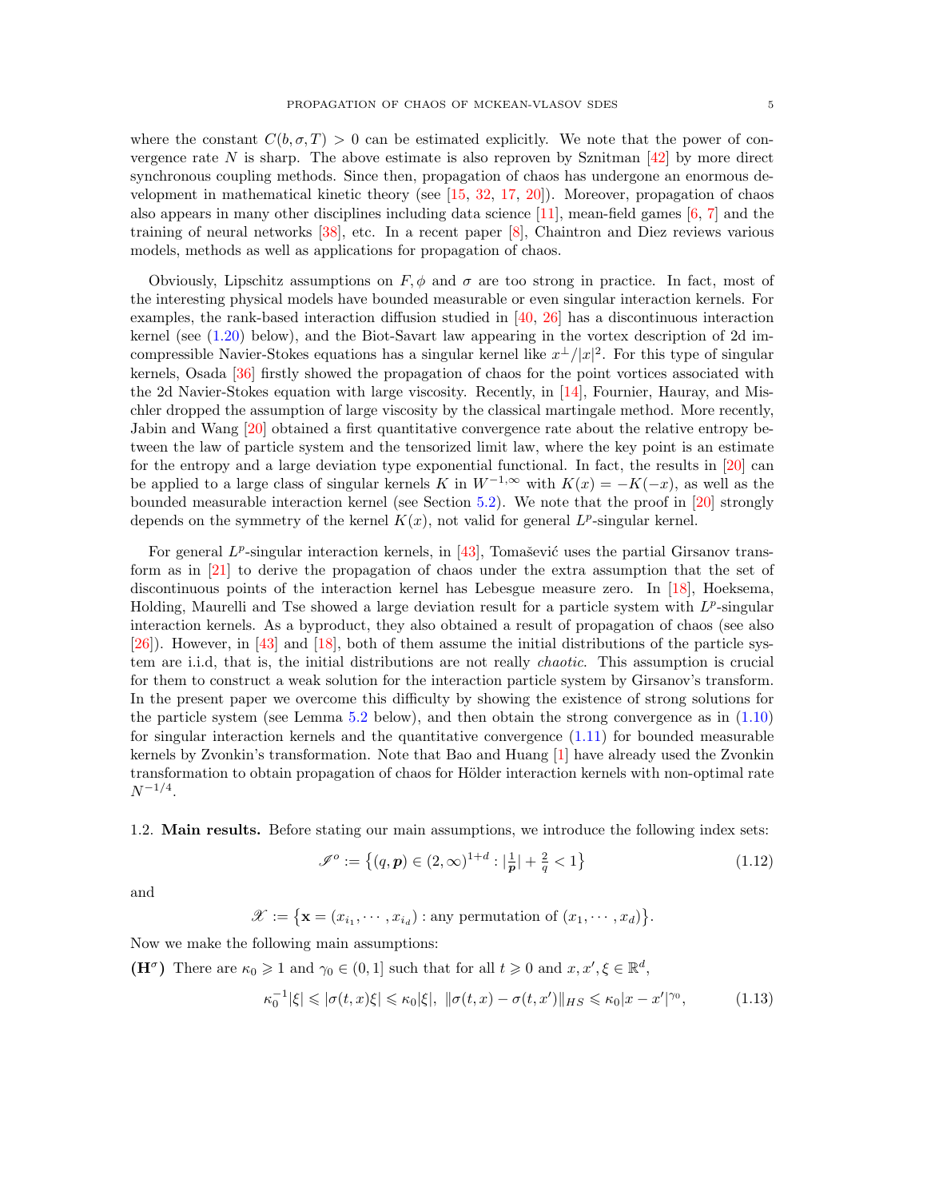where the constant  $C(b, \sigma, T) > 0$  can be estimated explicitly. We note that the power of convergence rate N is sharp. The above estimate is also reproven by Sznitman  $[42]$  by more direct synchronous coupling methods. Since then, propagation of chaos has undergone an enormous development in mathematical kinetic theory (see  $[15, 32, 17, 20]$  $[15, 32, 17, 20]$  $[15, 32, 17, 20]$  $[15, 32, 17, 20]$  $[15, 32, 17, 20]$  $[15, 32, 17, 20]$ ). Moreover, propagation of chaos also appears in many other disciplines including data science [\[11\]](#page-45-12), mean-field games  $[6, 7]$  $[6, 7]$  and the training of neural networks [\[38\]](#page-46-11), etc. In a recent paper [\[8\]](#page-45-14), Chaintron and Diez reviews various models, methods as well as applications for propagation of chaos.

Obviously, Lipschitz assumptions on  $F, \phi$  and  $\sigma$  are too strong in practice. In fact, most of the interesting physical models have bounded measurable or even singular interaction kernels. For examples, the rank-based interaction diffusion studied in [\[40,](#page-46-12) [26\]](#page-45-15) has a discontinuous interaction kernel (see [\(1.20\)](#page-6-1) below), and the Biot-Savart law appearing in the vortex description of 2d imcompressible Navier-Stokes equations has a singular kernel like  $x^{\perp}/|x|^2$ . For this type of singular kernels, Osada [\[36\]](#page-46-13) firstly showed the propagation of chaos for the point vortices associated with the 2d Navier-Stokes equation with large viscosity. Recently, in [\[14\]](#page-45-16), Fournier, Hauray, and Mischler dropped the assumption of large viscosity by the classical martingale method. More recently, Jabin and Wang [\[20\]](#page-45-11) obtained a first quantitative convergence rate about the relative entropy between the law of particle system and the tensorized limit law, where the key point is an estimate for the entropy and a large deviation type exponential functional. In fact, the results in [\[20\]](#page-45-11) can be applied to a large class of singular kernels K in  $W^{-1,\infty}$  with  $K(x) = -K(-x)$ , as well as the bounded measurable interaction kernel (see Section [5.2\)](#page-37-0). We note that the proof in [\[20\]](#page-45-11) strongly depends on the symmetry of the kernel  $K(x)$ , not valid for general  $L^p$ -singular kernel.

For general  $L^p$ -singular interaction kernels, in [\[43\]](#page-46-14), Tomašević uses the partial Girsanov transform as in [\[21\]](#page-45-17) to derive the propagation of chaos under the extra assumption that the set of discontinuous points of the interaction kernel has Lebesgue measure zero. In [\[18\]](#page-45-18), Hoeksema, Holding, Maurelli and Tse showed a large deviation result for a particle system with  $L^p$ -singular interaction kernels. As a byproduct, they also obtained a result of propagation of chaos (see also [\[26\]](#page-45-15)). However, in [\[43\]](#page-46-14) and [\[18\]](#page-45-18), both of them assume the initial distributions of the particle system are i.i.d, that is, the initial distributions are not really chaotic. This assumption is crucial for them to construct a weak solution for the interaction particle system by Girsanov's transform. In the present paper we overcome this difficulty by showing the existence of strong solutions for the particle system (see Lemma [5.2](#page-29-0) below), and then obtain the strong convergence as in [\(1.10\)](#page-3-2) for singular interaction kernels and the quantitative convergence  $(1.11)$  for bounded measurable kernels by Zvonkin's transformation. Note that Bao and Huang [\[1\]](#page-44-3) have already used the Zvonkin transformation to obtain propagation of chaos for Hölder interaction kernels with non-optimal rate  $N^{-1/4}.$ 

<span id="page-4-0"></span>1.2. Main results. Before stating our main assumptions, we introduce the following index sets:

<span id="page-4-2"></span><span id="page-4-1"></span>
$$
\mathcal{I}^o := \left\{ (q, \mathbf{p}) \in (2, \infty)^{1+d} : |\frac{1}{\mathbf{p}}| + \frac{2}{q} < 1 \right\} \tag{1.12}
$$

and

$$
\mathscr{X} := \{ \mathbf{x} = (x_{i_1}, \cdots, x_{i_d}) : \text{any permutation of } (x_1, \cdots, x_d) \}.
$$

Now we make the following main assumptions:

(H<sup> $\sigma$ </sup>) There are  $\kappa_0 \geq 1$  and  $\gamma_0 \in (0,1]$  such that for all  $t \geq 0$  and  $x, x', \xi \in \mathbb{R}^d$ ,

$$
\kappa_0^{-1}|\xi| \leqslant |\sigma(t,x)\xi| \leqslant \kappa_0|\xi|, \quad \|\sigma(t,x) - \sigma(t,x')\|_{HS} \leqslant \kappa_0|x - x'|^{\gamma_0},\tag{1.13}
$$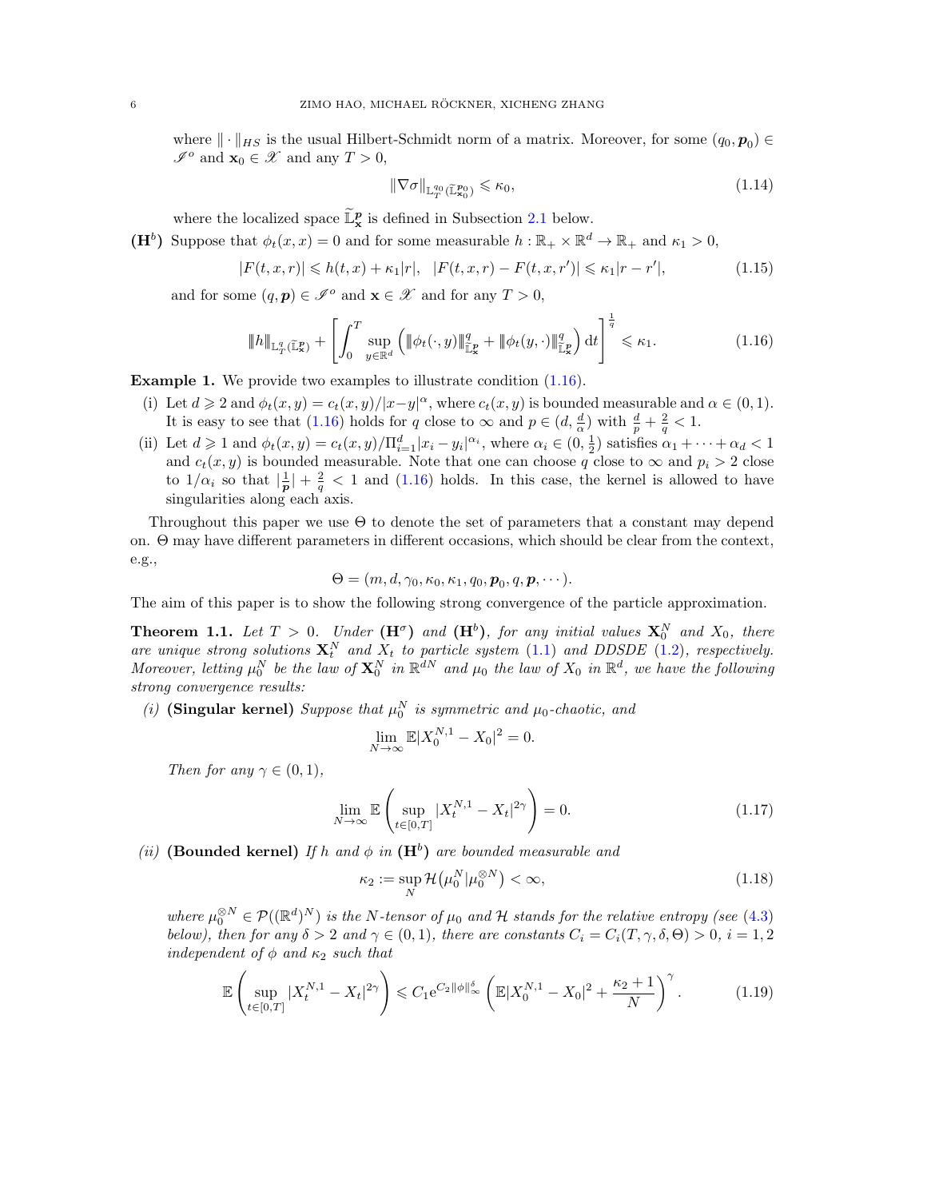where  $\|\cdot\|_{HS}$  is the usual Hilbert-Schmidt norm of a matrix. Moreover, for some  $(q_0, p_0) \in$  $\mathscr{I}^o$  and  $\mathbf{x}_0 \in \mathscr{X}$  and any  $T > 0$ ,

<span id="page-5-5"></span><span id="page-5-4"></span><span id="page-5-1"></span>
$$
\|\nabla\sigma\|_{\mathbb{L}^{q_0}_T(\widetilde{\mathbb{L}}^{p_0}_{\mathbf{x}_0})} \leq \kappa_0,\tag{1.14}
$$

where the localized space  $\widetilde{\mathbb{L}}_{\mathbf{x}}^p$  is defined in Subsection [2.1](#page-8-1) below.

(H<sup>b</sup>) Suppose that  $\phi_t(x, x) = 0$  and for some measurable  $h : \mathbb{R}_+ \times \mathbb{R}^d \to \mathbb{R}_+$  and  $\kappa_1 > 0$ ,

$$
|F(t, x, r)| \le h(t, x) + \kappa_1 |r|, \quad |F(t, x, r) - F(t, x, r')| \le \kappa_1 |r - r'|,
$$
\n(1.15)

and for some  $(q, p) \in \mathscr{I}^o$  and  $\mathbf{x} \in \mathscr{X}$  and for any  $T > 0$ ,

$$
\|h\|_{\mathbb{L}^q_T(\widetilde{\mathbb{L}}^p_x)} + \left[\int_0^T \sup_{y \in \mathbb{R}^d} \left(\|\phi_t(\cdot,y)\|_{\widetilde{\mathbb{L}}^p_x}^q + \|\phi_t(y,\cdot)\|_{\widetilde{\mathbb{L}}^p_x}^q\right) dt\right]^{\frac{1}{q}} \leq \kappa_1. \tag{1.16}
$$

Example 1. We provide two examples to illustrate condition [\(1.16\)](#page-5-1).

- (i) Let  $d \geq 2$  and  $\phi_t(x, y) = c_t(x, y)/|x-y|^{\alpha}$ , where  $c_t(x, y)$  is bounded measurable and  $\alpha \in (0, 1)$ . It is easy to see that [\(1.16\)](#page-5-1) holds for q close to  $\infty$  and  $p \in (d, \frac{d}{\alpha})$  with  $\frac{d}{p} + \frac{2}{q} < 1$ .
- (ii) Let  $d \geq 1$  and  $\phi_t(x, y) = c_t(x, y) / \prod_{i=1}^d |x_i y_i|^{\alpha_i}$ , where  $\alpha_i \in (0, \frac{1}{2})$  satisfies  $\alpha_1 + \cdots + \alpha_d < 1$ and  $c_t(x, y)$  is bounded measurable. Note that one can choose q close to  $\infty$  and  $p_i > 2$  close to  $1/\alpha_i$  so that  $\left|\frac{1}{p}\right| + \frac{2}{q} < 1$  and  $(1.16)$  holds. In this case, the kernel is allowed to have singularities along each axis.

Throughout this paper we use Θ to denote the set of parameters that a constant may depend on. Θ may have different parameters in different occasions, which should be clear from the context, e.g.,

$$
\Theta = (m, d, \gamma_0, \kappa_0, \kappa_1, q_0, \mathbf{p}_0, q, \mathbf{p}, \cdots).
$$

The aim of this paper is to show the following strong convergence of the particle approximation.

<span id="page-5-0"></span>**Theorem 1.1.** Let  $T > 0$ . Under  $(\mathbf{H}^{\sigma})$  and  $(\mathbf{H}^{b})$ , for any initial values  $\mathbf{X}_{0}^{N}$  and  $X_{0}$ , there are unique strong solutions  $X_t^N$  and  $X_t$  to particle system [\(1.1\)](#page-1-1) and DDSDE [\(1.2\)](#page-1-2), respectively. Moreover, letting  $\mu_0^N$  be the law of  $\mathbf{X}_0^N$  in  $\mathbb{R}^{dN}$  and  $\mu_0$  the law of  $X_0$  in  $\mathbb{R}^d$ , we have the following strong convergence results:

(i) (Singular kernel) Suppose that  $\mu_0^N$  is symmetric and  $\mu_0$ -chaotic, and

$$
\lim_{N \to \infty} \mathbb{E}|X_0^{N,1} - X_0|^2 = 0.
$$

Then for any  $\gamma \in (0, 1)$ ,

$$
\lim_{N \to \infty} \mathbb{E} \left( \sup_{t \in [0,T]} |X_t^{N,1} - X_t|^{2\gamma} \right) = 0.
$$
\n(1.17)

(ii) (Bounded kernel) If h and  $\phi$  in  $(H^b)$  are bounded measurable and

<span id="page-5-3"></span><span id="page-5-2"></span>
$$
\kappa_2 := \sup_N \mathcal{H}\big(\mu_0^N | \mu_0^{\otimes N}\big) < \infty,\tag{1.18}
$$

where  $\mu_0^{\otimes N} \in \mathcal{P}((\mathbb{R}^d)^N)$  is the N-tensor of  $\mu_0$  and H stands for the relative entropy (see [\(4.3\)](#page-21-1) below), then for any  $\delta > 2$  and  $\gamma \in (0,1)$ , there are constants  $C_i = C_i(T, \gamma, \delta, \Theta) > 0$ ,  $i = 1, 2$ independent of  $\phi$  and  $\kappa_2$  such that

$$
\mathbb{E}\left(\sup_{t\in[0,T]}|X_t^{N,1}-X_t|^{2\gamma}\right)\leqslant C_1e^{C_2\|\phi\|_{\infty}^{\delta}}\left(\mathbb{E}|X_0^{N,1}-X_0|^2+\frac{\kappa_2+1}{N}\right)^{\gamma}.\tag{1.19}
$$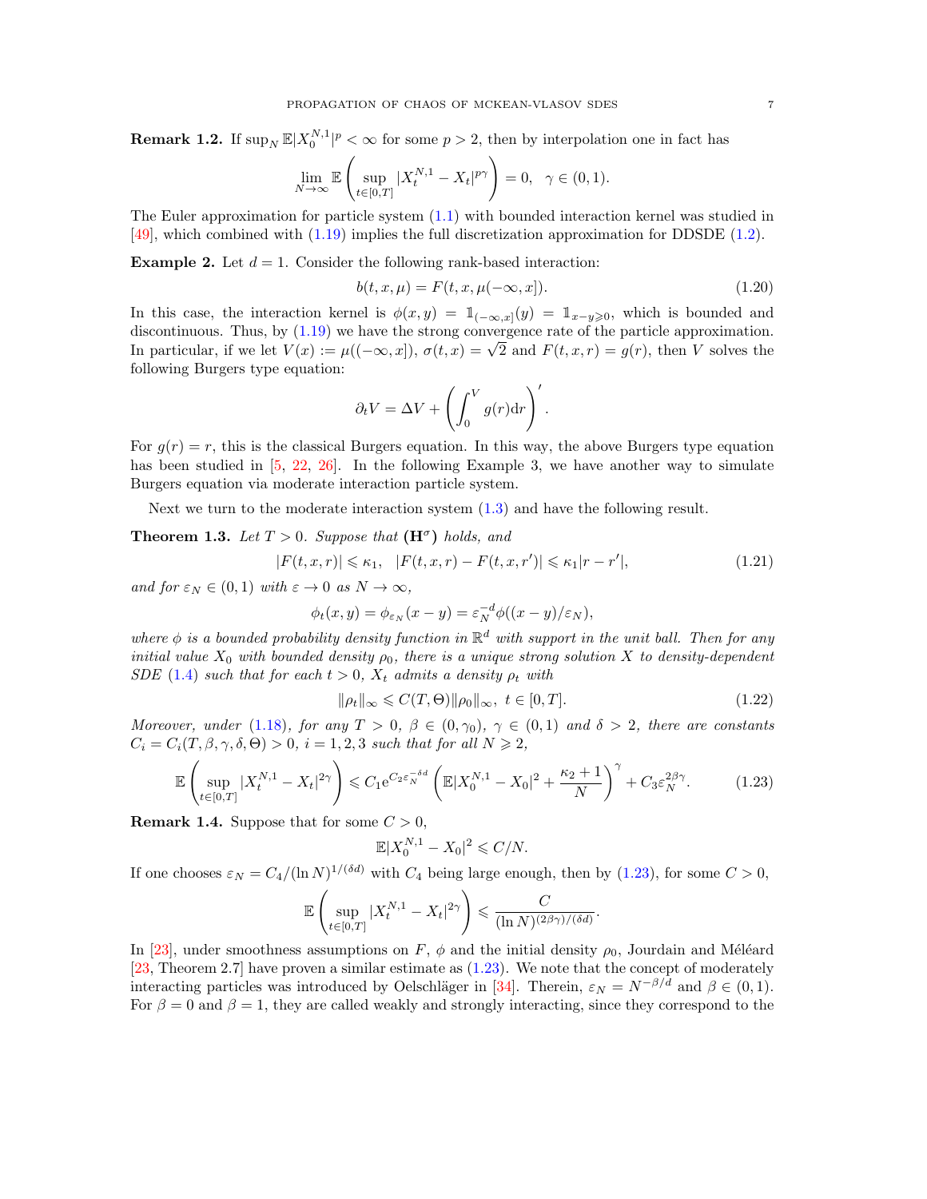**Remark 1.2.** If  $\sup_N \mathbb{E}|X_0^{N,1}|^p < \infty$  for some  $p > 2$ , then by interpolation one in fact has

$$
\lim_{N \to \infty} \mathbb{E} \left( \sup_{t \in [0,T]} |X_t^{N,1} - X_t|^{p\gamma} \right) = 0, \ \ \gamma \in (0,1).
$$

The Euler approximation for particle system [\(1.1\)](#page-1-1) with bounded interaction kernel was studied in [\[49\]](#page-46-15), which combined with [\(1.19\)](#page-5-2) implies the full discretization approximation for DDSDE [\(1.2\)](#page-1-2).

**Example 2.** Let  $d = 1$ . Consider the following rank-based interaction:

<span id="page-6-1"></span>
$$
b(t, x, \mu) = F(t, x, \mu(-\infty, x]).
$$
\n(1.20)

In this case, the interaction kernel is  $\phi(x, y) = 1_{(-\infty, x]}(y) = 1_{x-y\geq 0}$ , which is bounded and discontinuous. Thus, by [\(1.19\)](#page-5-2) we have the strong convergence rate of the particle approximation. discontinuous. Thus, by (1.19) we have the strong convergence rate of the particle approximation.<br>In particular, if we let  $V(x) := \mu((-\infty, x])$ ,  $\sigma(t, x) = \sqrt{2}$  and  $F(t, x, r) = g(r)$ , then V solves the following Burgers type equation:

<span id="page-6-3"></span>
$$
\partial_t V = \Delta V + \left( \int_0^V g(r) \mathrm{d} r \right)'.
$$

For  $g(r) = r$ , this is the classical Burgers equation. In this way, the above Burgers type equation has been studied in [\[5,](#page-44-4) [22,](#page-45-19) [26\]](#page-45-15). In the following Example 3, we have another way to simulate Burgers equation via moderate interaction particle system.

Next we turn to the moderate interaction system [\(1.3\)](#page-1-4) and have the following result.

<span id="page-6-0"></span>**Theorem 1.3.** Let  $T > 0$ . Suppose that  $(\mathbf{H}^{\sigma})$  holds, and

$$
|F(t, x, r)| \le \kappa_1, \quad |F(t, x, r) - F(t, x, r')| \le \kappa_1 |r - r'|,\tag{1.21}
$$

and for  $\varepsilon_N \in (0,1)$  with  $\varepsilon \to 0$  as  $N \to \infty$ ,

$$
\phi_t(x,y) = \phi_{\varepsilon_N}(x-y) = \varepsilon_N^{-d} \phi((x-y)/\varepsilon_N),
$$

where  $\phi$  is a bounded probability density function in  $\mathbb{R}^d$  with support in the unit ball. Then for any initial value  $X_0$  with bounded density  $\rho_0$ , there is a unique strong solution X to density-dependent SDE [\(1.4\)](#page-1-3) such that for each  $t > 0$ ,  $X_t$  admits a density  $\rho_t$  with

$$
\|\rho_t\|_{\infty} \leqslant C(T,\Theta) \|\rho_0\|_{\infty}, \ t \in [0,T]. \tag{1.22}
$$

Moreover, under [\(1.18\)](#page-5-3), for any  $T > 0$ ,  $\beta \in (0, \gamma_0)$ ,  $\gamma \in (0, 1)$  and  $\delta > 2$ , there are constants  $C_i = C_i(T, \beta, \gamma, \delta, \Theta) > 0$ ,  $i = 1, 2, 3$  such that for all  $N \ge 2$ ,

$$
\mathbb{E}\left(\sup_{t\in[0,T]}|X_t^{N,1}-X_t|^{2\gamma}\right) \leq C_1 e^{C_2 \varepsilon_N^{-\delta d}} \left(\mathbb{E}|X_0^{N,1}-X_0|^2 + \frac{\kappa_2+1}{N}\right)^{\gamma} + C_3 \varepsilon_N^{2\beta\gamma}.\tag{1.23}
$$

**Remark 1.4.** Suppose that for some  $C > 0$ ,

<span id="page-6-2"></span>
$$
\mathbb{E}|X_0^{N,1}-X_0|^2 \leqslant C/N.
$$

If one chooses  $\varepsilon_N = C_4/(\ln N)^{1/(\delta d)}$  with  $C_4$  being large enough, then by [\(1.23\)](#page-6-2), for some  $C > 0$ ,

$$
\mathbb{E}\left(\sup_{t\in[0,T]}|X_t^{N,1}-X_t|^{2\gamma}\right)\leqslant\frac{C}{(\ln N)^{(2\beta\gamma)/(\delta d)}}.
$$

In [\[23\]](#page-45-2), under smoothness assumptions on F,  $\phi$  and the initial density  $\rho_0$ , Jourdain and Méléard [\[23,](#page-45-2) Theorem 2.7] have proven a similar estimate as [\(1.23\)](#page-6-2). We note that the concept of moderately interacting particles was introduced by Oelschläger in [\[34\]](#page-46-0). Therein,  $\varepsilon_N = N^{-\beta/d}$  and  $\beta \in (0,1)$ . For  $\beta = 0$  and  $\beta = 1$ , they are called weakly and strongly interacting, since they correspond to the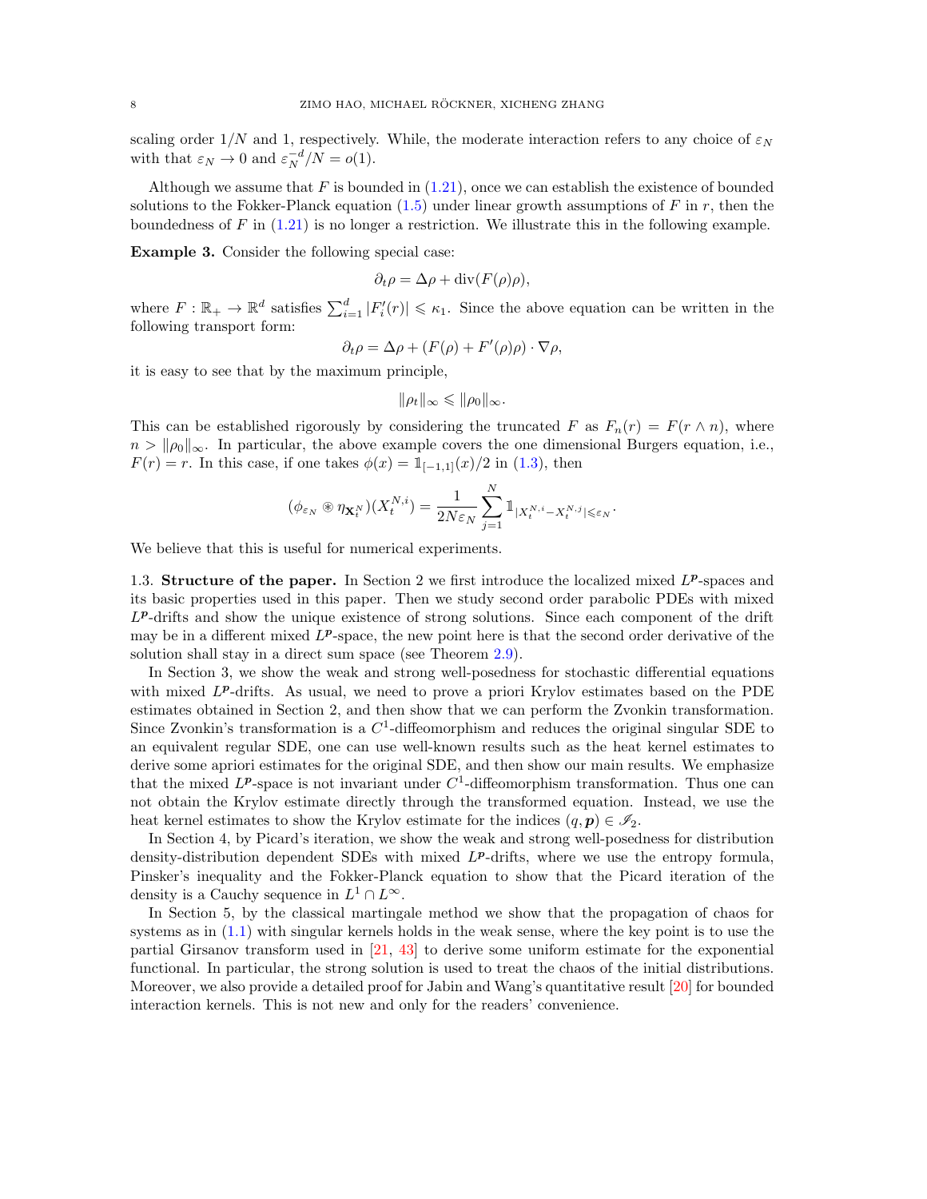scaling order  $1/N$  and 1, respectively. While, the moderate interaction refers to any choice of  $\varepsilon_N$ with that  $\varepsilon_N \to 0$  and  $\varepsilon_N^{-d}/N = o(1)$ .

Although we assume that F is bounded in  $(1.21)$ , once we can establish the existence of bounded solutions to the Fokker-Planck equation  $(1.5)$  under linear growth assumptions of F in r, then the boundedness of  $F$  in  $(1.21)$  is no longer a restriction. We illustrate this in the following example.

Example 3. Consider the following special case:

$$
\partial_t \rho = \Delta \rho + \text{div}(F(\rho)\rho),
$$

where  $F: \mathbb{R}_+ \to \mathbb{R}^d$  satisfies  $\sum_{i=1}^d |F'_i(r)| \leq \kappa_1$ . Since the above equation can be written in the following transport form:

$$
\partial_t \rho = \Delta \rho + (F(\rho) + F'(\rho)\rho) \cdot \nabla \rho,
$$

it is easy to see that by the maximum principle,

$$
\|\rho_t\|_{\infty} \leq \|\rho_0\|_{\infty}.
$$

This can be established rigorously by considering the truncated F as  $F_n(r) = F(r \wedge n)$ , where  $n > ||\rho_0||_{\infty}$ . In particular, the above example covers the one dimensional Burgers equation, i.e.,  $F(r) = r$ . In this case, if one takes  $\phi(x) = 1_{[-1,1]}(x)/2$  in [\(1.3\)](#page-1-4), then

$$
(\phi_{\varepsilon_N} \circledast \eta_{\mathbf{X}_t^N})(X_t^{N,i}) = \frac{1}{2N\varepsilon_N} \sum_{j=1}^N \mathbb{1}_{|X_t^{N,i} - X_t^{N,j}| \leq \varepsilon_N}.
$$

We believe that this is useful for numerical experiments.

<span id="page-7-0"></span>1.3. Structure of the paper. In Section 2 we first introduce the localized mixed  $L^p$ -spaces and its basic properties used in this paper. Then we study second order parabolic PDEs with mixed L<sup>p</sup>-drifts and show the unique existence of strong solutions. Since each component of the drift may be in a different mixed  $L^p$ -space, the new point here is that the second order derivative of the solution shall stay in a direct sum space (see Theorem [2.9\)](#page-14-0).

In Section 3, we show the weak and strong well-posedness for stochastic differential equations with mixed  $L^p$ -drifts. As usual, we need to prove a priori Krylov estimates based on the PDE estimates obtained in Section 2, and then show that we can perform the Zvonkin transformation. Since Zvonkin's transformation is a  $C<sup>1</sup>$ -diffeomorphism and reduces the original singular SDE to an equivalent regular SDE, one can use well-known results such as the heat kernel estimates to derive some apriori estimates for the original SDE, and then show our main results. We emphasize that the mixed  $L^p$ -space is not invariant under  $C^1$ -diffeomorphism transformation. Thus one can not obtain the Krylov estimate directly through the transformed equation. Instead, we use the heat kernel estimates to show the Krylov estimate for the indices  $(q, p) \in \mathscr{I}_2$ .

In Section 4, by Picard's iteration, we show the weak and strong well-posedness for distribution density-distribution dependent SDEs with mixed  $L^p$ -drifts, where we use the entropy formula, Pinsker's inequality and the Fokker-Planck equation to show that the Picard iteration of the density is a Cauchy sequence in  $L^1 \cap L^{\infty}$ .

In Section 5, by the classical martingale method we show that the propagation of chaos for systems as in [\(1.1\)](#page-1-1) with singular kernels holds in the weak sense, where the key point is to use the partial Girsanov transform used in [\[21,](#page-45-17) [43\]](#page-46-14) to derive some uniform estimate for the exponential functional. In particular, the strong solution is used to treat the chaos of the initial distributions. Moreover, we also provide a detailed proof for Jabin and Wang's quantitative result [\[20\]](#page-45-11) for bounded interaction kernels. This is not new and only for the readers' convenience.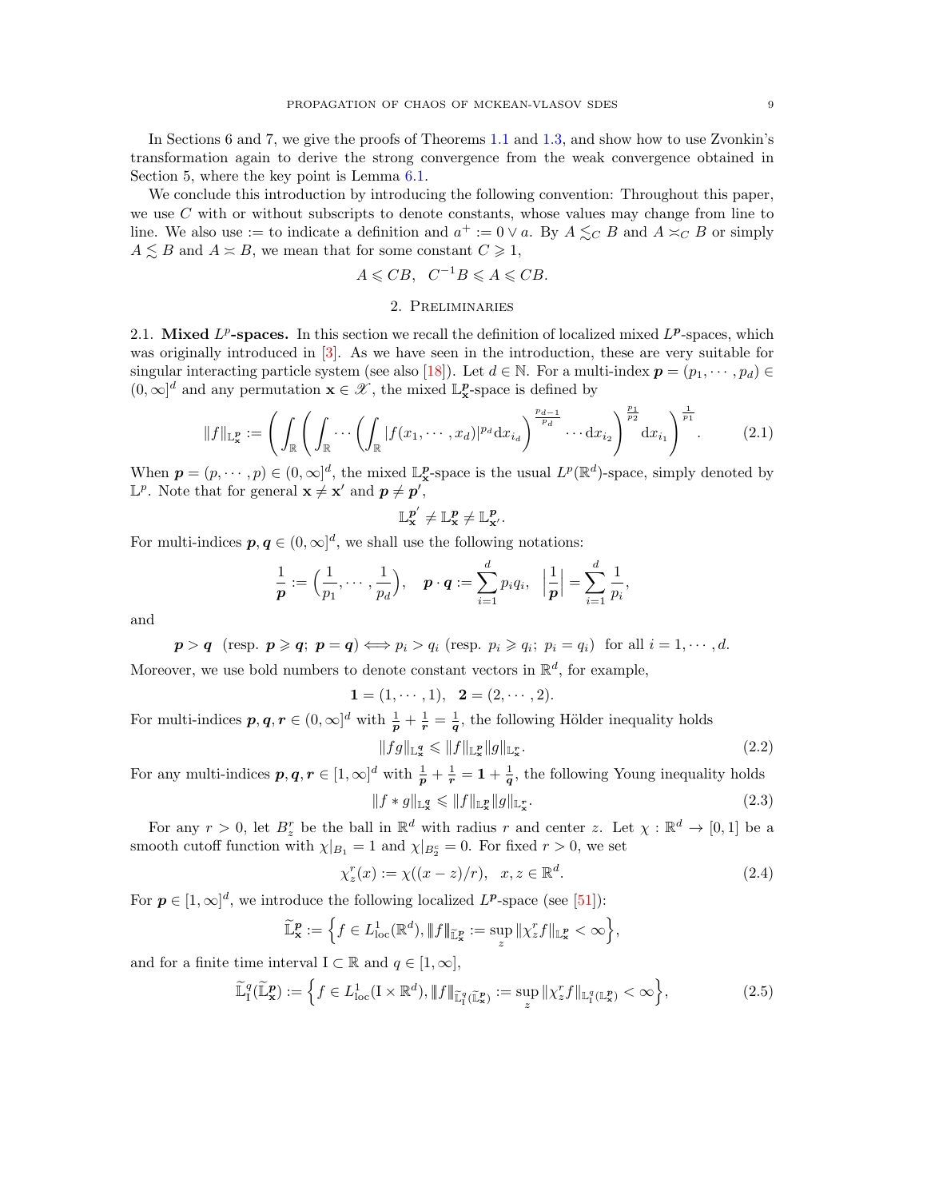In Sections 6 and 7, we give the proofs of Theorems [1.1](#page-5-0) and [1.3,](#page-6-0) and show how to use Zvonkin's transformation again to derive the strong convergence from the weak convergence obtained in Section 5, where the key point is Lemma [6.1.](#page-39-1)

We conclude this introduction by introducing the following convention: Throughout this paper, we use  $C$  with or without subscripts to denote constants, whose values may change from line to line. We also use := to indicate a definition and  $a^+ := 0 \vee a$ . By  $A \leq_C B$  and  $A \leq_C B$  or simply  $A \leq B$  and  $A \approx B$ , we mean that for some constant  $C \geq 1$ ,

$$
A\leqslant CB, \ \ C^{-1}B\leqslant A\leqslant CB.
$$

### 2. Preliminaries

<span id="page-8-1"></span><span id="page-8-0"></span>2.1. Mixed  $L^p$ -spaces. In this section we recall the definition of localized mixed  $L^p$ -spaces, which was originally introduced in [\[3\]](#page-44-5). As we have seen in the introduction, these are very suitable for singular interacting particle system (see also [\[18\]](#page-45-18)). Let  $d \in \mathbb{N}$ . For a multi-index  $p = (p_1, \dots, p_d) \in$  $(0,\infty]^d$  and any permutation  $\mathbf{x}\in\mathscr{X},$  the mixed  $\mathbb{L}^p_{\mathbf{x}}$  -space is defined by

$$
||f||_{\mathbb{L}_{\mathbf{x}}^{\mathbf{p}}} := \left( \int_{\mathbb{R}} \left( \int_{\mathbb{R}} \cdots \left( \int_{\mathbb{R}} |f(x_1, \cdots, x_d)|^{p_d} dx_{i_d} \right)^{\frac{p_{d-1}}{p_d}} \cdots dx_{i_2} \right)^{\frac{p_1}{p_2}} dx_{i_1} \right)^{\frac{1}{p_1}}.
$$
 (2.1)

When  $p = (p, \dots, p) \in (0, \infty]^d$ , the mixed  $\mathbb{L}^p_\mathbf{x}$ -space is the usual  $L^p(\mathbb{R}^d)$ -space, simply denoted by  $\mathbb{L}^p$ . Note that for general  $\mathbf{x} \neq \mathbf{x}'$  and  $\mathbf{p} \neq \mathbf{p}'$ ,

$$
\mathbb{L}_{\mathbf{x}}^{\boldsymbol{p}^\prime} \neq \mathbb{L}_{\mathbf{x}}^{\boldsymbol{p}} \neq \mathbb{L}_{\mathbf{x}^\prime}^{\boldsymbol{p}}.
$$

For multi-indices  $p, q \in (0, \infty]^d$ , we shall use the following notations:

$$
\frac{1}{p} := \left(\frac{1}{p_1}, \cdots, \frac{1}{p_d}\right), \quad p \cdot q := \sum_{i=1}^d p_i q_i, \quad \left|\frac{1}{p}\right| = \sum_{i=1}^d \frac{1}{p_i},
$$

and

 $p > q$  (resp.  $p \geq q$ ;  $p = q$ )  $\Longleftrightarrow p_i > q_i$  (resp.  $p_i \geq q_i$ ;  $p_i = q_i$ ) for all  $i = 1, \dots, d$ . Moreover, we use bold numbers to denote constant vectors in  $\mathbb{R}^d$ , for example,

$$
1 = (1, \cdots, 1), \quad 2 = (2, \cdots, 2).
$$

For multi-indices  $p, q, r \in (0, \infty]^d$  with  $\frac{1}{p} + \frac{1}{r} = \frac{1}{q}$ , the following Hölder inequality holds

<span id="page-8-3"></span><span id="page-8-2"></span>
$$
||fg||_{\mathbb{L}^q_{\mathbf{x}}} \le ||f||_{\mathbb{L}^p_{\mathbf{x}}} ||g||_{\mathbb{L}^r_{\mathbf{x}}}.
$$
\n
$$
(2.2)
$$

For any multi-indices  $p, q, r \in [1, \infty]^d$  with  $\frac{1}{p} + \frac{1}{r} = 1 + \frac{1}{q}$ , the following Young inequality holds

<span id="page-8-5"></span><span id="page-8-4"></span>
$$
||f * g||_{\mathbb{L}^q_{\mathbf{x}}} \leqslant ||f||_{\mathbb{L}^p_{\mathbf{x}}} ||g||_{\mathbb{L}^r_{\mathbf{x}}}.
$$
\n
$$
(2.3)
$$

For any  $r > 0$ , let  $B_z^r$  be the ball in  $\mathbb{R}^d$  with radius r and center z. Let  $\chi : \mathbb{R}^d \to [0,1]$  be a smooth cutoff function with  $\chi|_{B_1} = 1$  and  $\chi|_{B_2^c} = 0$ . For fixed  $r > 0$ , we set

$$
\chi_z^r(x) := \chi((x-z)/r), \quad x, z \in \mathbb{R}^d. \tag{2.4}
$$

For  $p \in [1,\infty]^d$ , we introduce the following localized  $L^p$ -space (see [\[51\]](#page-46-16)):

$$
\widetilde{\mathbb{L}}^p_{\mathbf{x}} := \left\{ f \in L^1_{\text{loc}}(\mathbb{R}^d), \|f\|_{\widetilde{\mathbb{L}}^p_{\mathbf{x}}} := \sup_z \| \chi_z^r f \|_{\mathbb{L}^p_{\mathbf{x}}} < \infty \right\},\
$$

and for a finite time interval  $I \subset \mathbb{R}$  and  $q \in [1,\infty],$ 

$$
\widetilde{\mathbb{L}}_I^q(\widetilde{\mathbb{L}}_\mathbf{x}^\mathbf{p}) := \left\{ f \in L^1_{\text{loc}}(\mathbf{I} \times \mathbb{R}^d), \| f \|_{\widetilde{\mathbb{L}}_I^q(\widetilde{\mathbb{L}}_\mathbf{x}^\mathbf{p})} := \sup_z \| \chi_z^r f \|_{\mathbb{L}_I^q(\mathbb{L}_\mathbf{x}^\mathbf{p})} < \infty \right\},\tag{2.5}
$$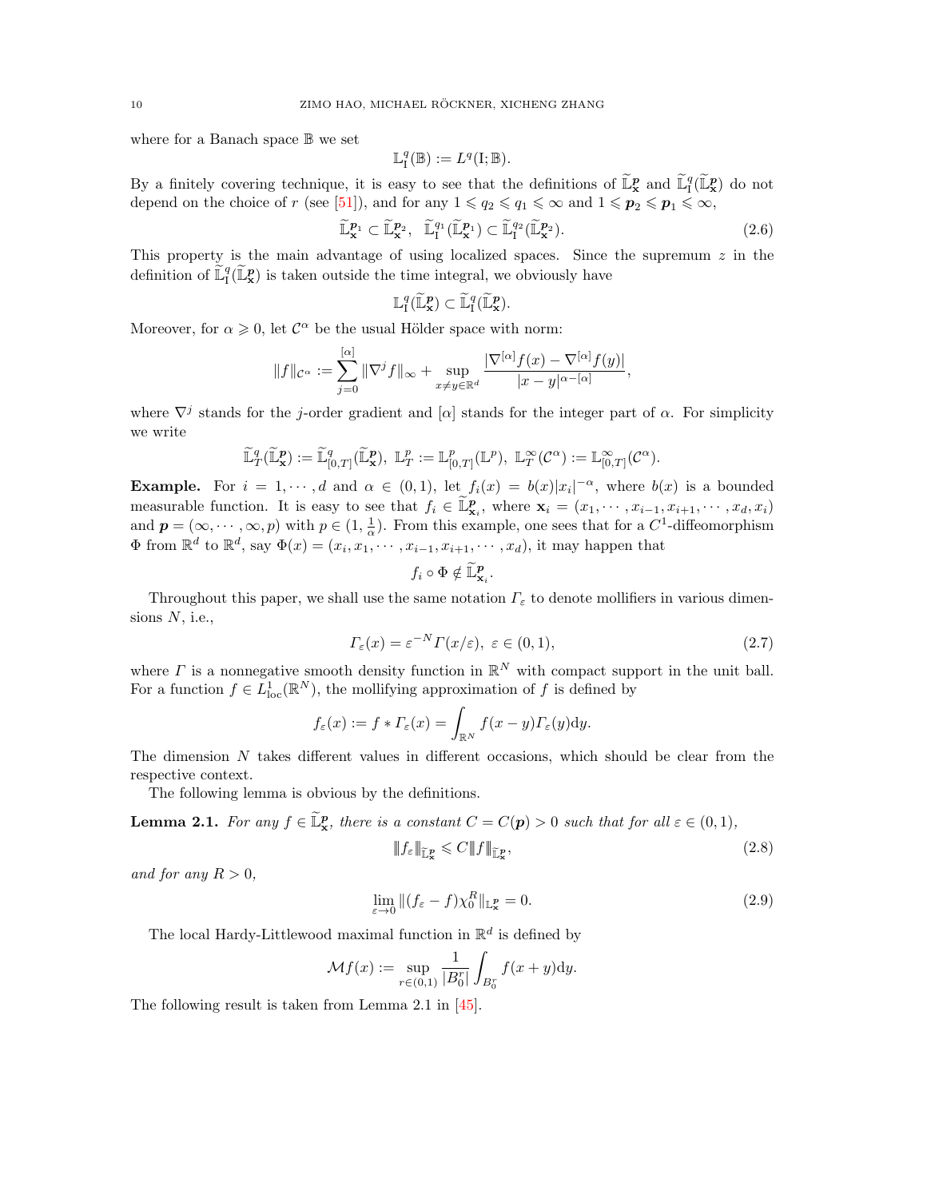where for a Banach space B we set

$$
\mathbb{L}^q_{\mathrm{I}}(\mathbb{B}):=L^q(\mathrm{I};\mathbb{B}).
$$

By a finitely covering technique, it is easy to see that the definitions of  $\tilde{\mathbb{L}}_x^p$  and  $\tilde{\mathbb{L}}_1^q(\tilde{\mathbb{L}}_x^p)$  do not depend on the choice of r (see [\[51\]](#page-46-16)), and for any  $1 \leq q_2 \leq q_1 \leq \infty$  and  $1 \leq p_2 \leq p_1 \leq \infty$ ,

$$
\widetilde{\mathbb{L}}_{\mathbf{x}}^{\mathbf{p}_1} \subset \widetilde{\mathbb{L}}_{\mathbf{x}}^{\mathbf{p}_2}, \quad \widetilde{\mathbb{L}}_{\mathbf{I}}^{q_1}(\widetilde{\mathbb{L}}_{\mathbf{x}}^{\mathbf{p}_1}) \subset \widetilde{\mathbb{L}}_{\mathbf{I}}^{q_2}(\widetilde{\mathbb{L}}_{\mathbf{x}}^{\mathbf{p}_2}).
$$
\n(2.6)

This property is the main advantage of using localized spaces. Since the supremum  $z$  in the definition of  $\widetilde{\mathbb{L}}_I^q(\widetilde{\mathbb{L}}_{\mathbf{x}}^p)$  is taken outside the time integral, we obviously have

$$
\mathbb{L}^q_\mathrm{I}(\widetilde{\mathbb{L}}^p_\mathbf{x}) \subset \widetilde{\mathbb{L}}^q_\mathrm{I}(\widetilde{\mathbb{L}}^p_\mathbf{x}).
$$

Moreover, for  $\alpha \geq 0$ , let  $\mathcal{C}^{\alpha}$  be the usual Hölder space with norm:

$$
||f||_{\mathcal{C}^{\alpha}} := \sum_{j=0}^{[\alpha]} ||\nabla^j f||_{\infty} + \sup_{x \neq y \in \mathbb{R}^d} \frac{|\nabla^{[\alpha]} f(x) - \nabla^{[\alpha]} f(y)|}{|x - y|^{\alpha - [\alpha]}},
$$

where  $\nabla^j$  stands for the j-order gradient and [ $\alpha$ ] stands for the integer part of  $\alpha$ . For simplicity we write

$$
\widetilde{\mathbb{L}}_T^q(\widetilde{\mathbb{L}}_\mathbf{x}^p) := \widetilde{\mathbb{L}}_{[0,T]}^q(\widetilde{\mathbb{L}}_\mathbf{x}^p), \ \mathbb{L}_T^p := \mathbb{L}_{[0,T]}^p(\mathbb{L}^p), \ \mathbb{L}_T^\infty(\mathcal{C}^\alpha) := \mathbb{L}_{[0,T]}^\infty(\mathcal{C}^\alpha).
$$

**Example.** For  $i = 1, \dots, d$  and  $\alpha \in (0, 1)$ , let  $f_i(x) = b(x)|x_i|^{-\alpha}$ , where  $b(x)$  is a bounded measurable function. It is easy to see that  $f_i \in \widetilde{\mathbb{L}}_{\mathbf{x}_i}^p$ , where  $\mathbf{x}_i = (x_1, \dots, x_{i-1}, x_{i+1}, \dots, x_d, x_i)$ and  $p = (\infty, \dots, \infty, p)$  with  $p \in (1, \frac{1}{\alpha})$ . From this example, one sees that for a  $C^1$ -diffeomorphism  $\Phi$  from  $\mathbb{R}^d$  to  $\mathbb{R}^d$ , say  $\Phi(x) = (x_i, x_1, \dots, x_{i-1}, x_{i+1}, \dots, x_d)$ , it may happen that

<span id="page-9-0"></span>
$$
f_i\circ\Phi\notin \widetilde{\mathbb{L}}^p_{{\bf x}_i}.
$$

Throughout this paper, we shall use the same notation  $\Gamma_{\varepsilon}$  to denote mollifiers in various dimensions  $N$ , i.e.,

$$
\Gamma_{\varepsilon}(x) = \varepsilon^{-N} \Gamma(x/\varepsilon), \ \varepsilon \in (0,1), \tag{2.7}
$$

where  $\Gamma$  is a nonnegative smooth density function in  $\mathbb{R}^N$  with compact support in the unit ball. For a function  $f \in L^1_{loc}(\mathbb{R}^N)$ , the mollifying approximation of f is defined by

$$
f_{\varepsilon}(x) := f * \varGamma_{\varepsilon}(x) = \int_{\mathbb{R}^N} f(x - y) \varGamma_{\varepsilon}(y) \mathrm{d}y.
$$

The dimension  $N$  takes different values in different occasions, which should be clear from the respective context.

The following lemma is obvious by the definitions.

**Lemma 2.1.** For any  $f \in \mathbb{L}_{\mathbf{x}}^{\mathbf{p}}$ , there is a constant  $C = C(\mathbf{p}) > 0$  such that for all  $\varepsilon \in (0,1)$ ,

<span id="page-9-2"></span><span id="page-9-1"></span>
$$
\|f_{\varepsilon}\|_{\mathbb{L}_{\mathbf{x}}^{\mathbf{p}}} \leqslant C \|f\|_{\mathbb{L}_{\mathbf{x}}^{\mathbf{p}}},\tag{2.8}
$$

and for any  $R > 0$ ,

$$
\lim_{\varepsilon \to 0} \|(f_{\varepsilon} - f)\chi_0^R\|_{\mathbb{L}^p_{\mathbf{x}}} = 0. \tag{2.9}
$$

The local Hardy-Littlewood maximal function in  $\mathbb{R}^d$  is defined by

$$
\mathcal{M}f(x) := \sup_{r \in (0,1)} \frac{1}{|B_0^r|} \int_{B_0^r} f(x+y) \mathrm{d}y.
$$

The following result is taken from Lemma 2.1 in [\[45\]](#page-46-4).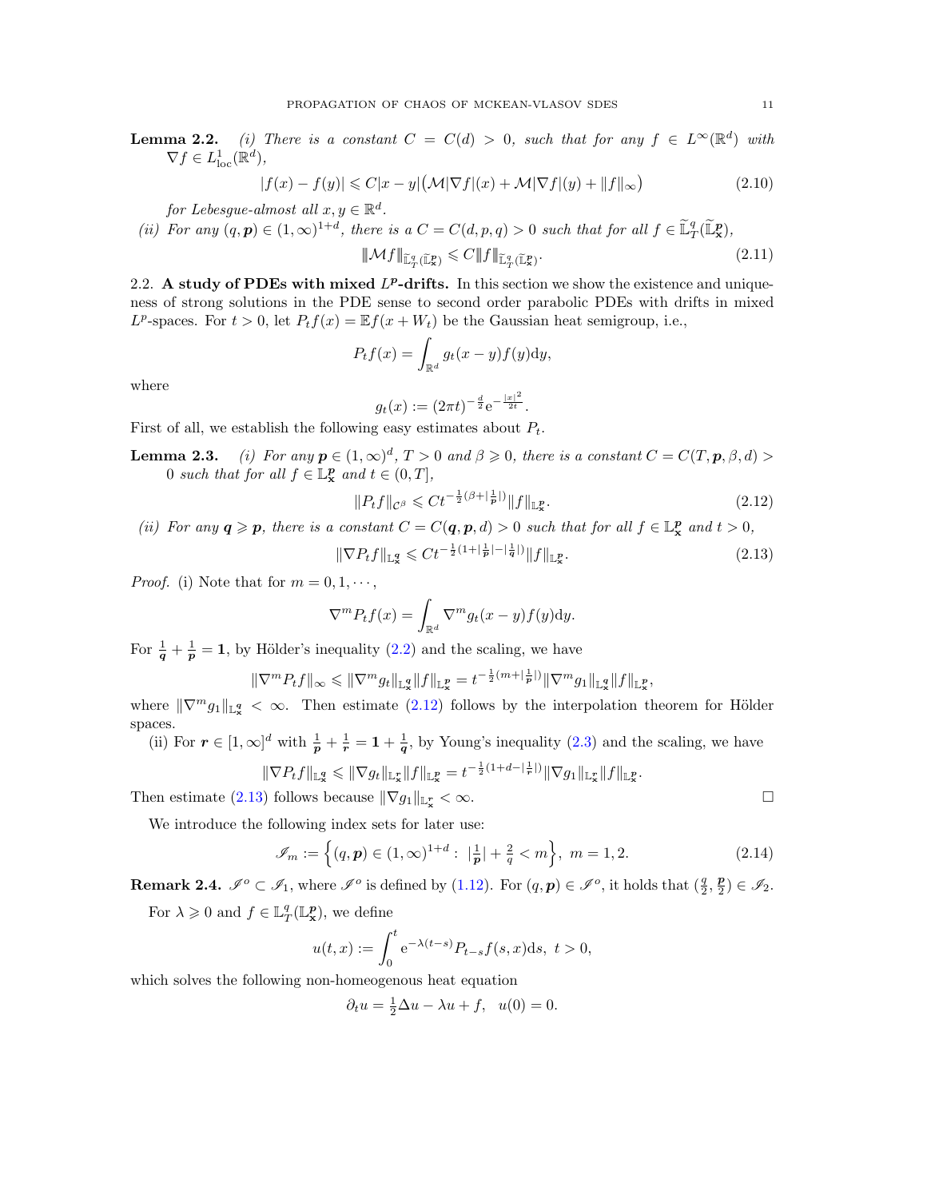**Lemma 2.2.** (i) There is a constant  $C = C(d) > 0$ , such that for any  $f \in L^{\infty}(\mathbb{R}^d)$  with  $\nabla f \in L^1_{\text{loc}}(\mathbb{R}^d),$ 

$$
|f(x) - f(y)| \leq C|x - y| \left(\mathcal{M}|\nabla f|(x) + \mathcal{M}|\nabla f|(y) + \|f\|_{\infty}\right)
$$
\n(2.10)

for Lebesgue-almost all  $x, y \in \mathbb{R}^d$ .

(ii) For any  $(q, p) \in (1, \infty)^{1+d}$ , there is a  $C = C(d, p, q) > 0$  such that for all  $f \in \tilde{\mathbb{L}}_T^q(\tilde{\mathbb{L}}_X^p)$ ,

<span id="page-10-5"></span><span id="page-10-4"></span>
$$
\|\mathcal{M}f\|_{\widetilde{\mathbb{L}}^q_T(\widetilde{\mathbb{L}}^p_X)} \leqslant C \|f\|_{\widetilde{\mathbb{L}}^q_T(\widetilde{\mathbb{L}}^p_X)}.
$$
\n(2.11)

<span id="page-10-0"></span>2.2. A study of PDEs with mixed  $L^p$ -drifts. In this section we show the existence and uniqueness of strong solutions in the PDE sense to second order parabolic PDEs with drifts in mixed  $L^p$ -spaces. For  $t > 0$ , let  $P_t f(x) = \mathbb{E} f(x + W_t)$  be the Gaussian heat semigroup, i.e.,

$$
P_t f(x) = \int_{\mathbb{R}^d} g_t(x - y) f(y) \mathrm{d}y,
$$

where

<span id="page-10-1"></span>
$$
g_t(x) := (2\pi t)^{-\frac{d}{2}} e^{-\frac{|x|^2}{2t}}.
$$

First of all, we establish the following easy estimates about  $P_t$ .

**Lemma 2.3.** (i) For any  $p \in (1,\infty)^d$ ,  $T > 0$  and  $\beta \geq 0$ , there is a constant  $C = C(T, p, \beta, d) > 0$ 0 such that for all  $f \in \mathbb{L}_{\mathbf{x}}^{\mathbf{p}}$  and  $t \in (0, T],$ 

<span id="page-10-2"></span>
$$
||P_t f||_{\mathcal{C}^{\beta}} \leq C t^{-\frac{1}{2}(\beta + |\frac{1}{p}|)} ||f||_{\mathbb{L}^p_{\mathbf{x}}}.
$$
\n(2.12)

(ii) For any  $q \geqslant p$ , there is a constant  $C = C(q, p, d) > 0$  such that for all  $f \in \mathbb{L}_{\mathbf{x}}^p$  and  $t > 0$ ,

$$
\|\nabla P_t f\|_{\mathbb{L}^q_{\mathbf{x}}} \leq C t^{-\frac{1}{2}(1 + |\frac{1}{p}| - |\frac{1}{q}|)} \|f\|_{\mathbb{L}^p_{\mathbf{x}}}.
$$
\n(2.13)

*Proof.* (i) Note that for  $m = 0, 1, \dots$ ,

$$
\nabla^m P_t f(x) = \int_{\mathbb{R}^d} \nabla^m g_t(x - y) f(y) \mathrm{d}y.
$$

For  $\frac{1}{q} + \frac{1}{p} = 1$ , by Hölder's inequality [\(2.2\)](#page-8-2) and the scaling, we have

$$
\|\nabla^m P_t f\|_{\infty} \le \|\nabla^m g_t\|_{\mathbb{L}^q_x} \|f\|_{\mathbb{L}^p_x} = t^{-\frac{1}{2}(m + |\frac{1}{p}|)} \|\nabla^m g_1\|_{\mathbb{L}^q_x} \|f\|_{\mathbb{L}^p_x},
$$

where  $\|\nabla^m g_1\|_{\mathbb{L}^q_{\infty}} < \infty$ . Then estimate [\(2.12\)](#page-10-1) follows by the interpolation theorem for Hölder spaces.

(ii) For  $r \in [1,\infty]^d$  with  $\frac{1}{p} + \frac{1}{r} = 1 + \frac{1}{q}$ , by Young's inequality [\(2.3\)](#page-8-3) and the scaling, we have

$$
\|\nabla P_t f\|_{{\mathbb L}^q_{\mathbf x}}\leqslant \|\nabla g_t\|_{{\mathbb L}^r_{\mathbf x}}\|f\|_{{\mathbb L}^p_{\mathbf x}}=t^{-\frac{1}{2}(1+d-\left|\frac{1}{r}\right|)}\|\nabla g_1\|_{{\mathbb L}^r_{\mathbf x}}\|f\|_{{\mathbb L}^p_{\mathbf x}}.
$$

Then estimate [\(2.13\)](#page-10-2) follows because  $\|\nabla g_1\|_{\mathbb{L}^r_{\mathbf{x}}} < \infty$ .

We introduce the following index sets for later use:

$$
\mathcal{I}_m := \left\{ (q, \mathbf{p}) \in (1, \infty)^{1+d} : \ |\frac{1}{\mathbf{p}}| + \frac{2}{q} < m \right\}, \ m = 1, 2. \tag{2.14}
$$

**Remark 2.4.**  $\mathscr{I}^o \subset \mathscr{I}_1$ , where  $\mathscr{I}^o$  is defined by [\(1.12\)](#page-4-1). For  $(q, p) \in \mathscr{I}^o$ , it holds that  $(\frac{q}{2}, \frac{p}{2}) \in \mathscr{I}_2$ .

For  $\lambda \geqslant 0$  and  $f \in \mathbb{L}^q_T(\mathbb{L}^p_x)$ , we define

$$
u(t,x) := \int_0^t e^{-\lambda(t-s)} P_{t-s} f(s,x) ds, \ t > 0,
$$

which solves the following non-homeogenous heat equation

<span id="page-10-3"></span>
$$
\partial_t u = \frac{1}{2}\Delta u - \lambda u + f, \quad u(0) = 0.
$$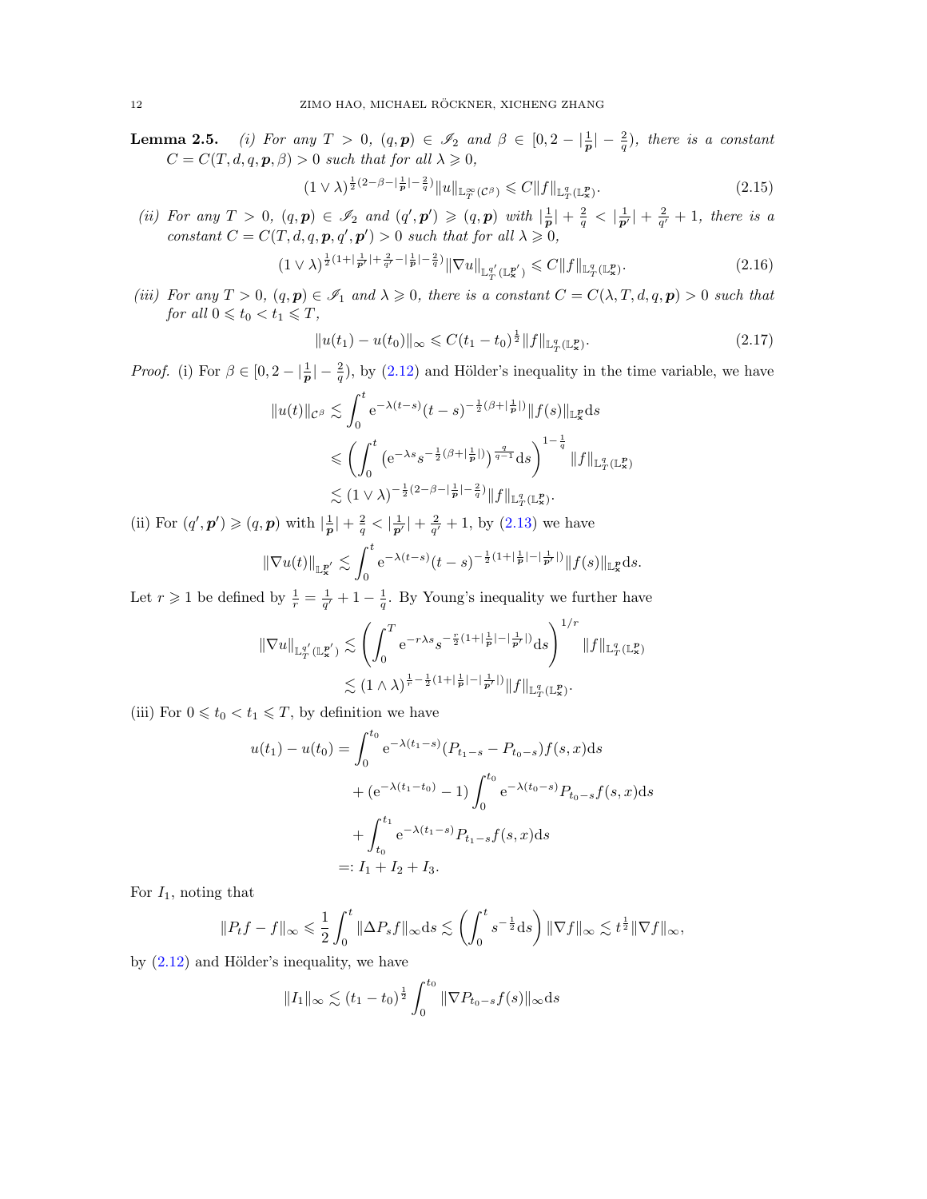**Lemma 2.5.** (i) For any  $T > 0$ ,  $(q, p) \in \mathscr{I}_2$  and  $\beta \in [0, 2 - \frac{1}{p}] - \frac{2}{q}$ , there is a constant  $C = C(T, d, q, p, \beta) > 0$  such that for all  $\lambda \geq 0$ ,

<span id="page-11-1"></span>
$$
(1 \vee \lambda)^{\frac{1}{2}(2-\beta-\lceil \frac{1}{p}\rceil-\frac{2}{q})} \|u\|_{\mathbb{L}^{\infty}_T(\mathcal{C}^\beta)} \leqslant C \|f\|_{\mathbb{L}^q_T(\mathbb{L}^p_x)}.
$$
\n
$$
(2.15)
$$

(ii) For any  $T > 0$ ,  $(q, p) \in \mathscr{I}_2$  and  $(q', p') \geqslant (q, p)$  with  $|\frac{1}{p}| + \frac{2}{q} < |\frac{1}{p'}| + \frac{2}{q'} + 1$ , there is a constant  $C = C(T, d, q, p, q', p') > 0$  such that for all  $\lambda \geq 0$ ,

$$
(1 \vee \lambda)^{\frac{1}{2}(1 + \left|\frac{1}{p'}\right| + \frac{2}{q'} - \left|\frac{1}{p}\right| - \frac{2}{q})} \|\nabla u\|_{\mathbb{L}^{q'}_{T}(\mathbb{L}^{p'}_{\mathbf{x}})} \leq C \|f\|_{\mathbb{L}^{q}_{T}(\mathbb{L}^{p}_{\mathbf{x}})}.
$$
\n(2.16)

(iii) For any  $T > 0$ ,  $(q, p) \in \mathcal{I}_1$  and  $\lambda \geqslant 0$ , there is a constant  $C = C(\lambda, T, d, q, p) > 0$  such that for all  $0 \leq t_0 < t_1 \leq T$ ,

<span id="page-11-2"></span><span id="page-11-0"></span>
$$
||u(t_1) - u(t_0)||_{\infty} \leq C(t_1 - t_0)^{\frac{1}{2}} ||f||_{\mathbb{L}^q_{T}(\mathbb{L}^p_{\mathbf{x}})}.
$$
\n(2.17)

*Proof.* (i) For  $\beta \in [0, 2 - \frac{1}{p}] - \frac{2}{q}$ , by [\(2.12\)](#page-10-1) and Hölder's inequality in the time variable, we have

$$
||u(t)||_{\mathcal{C}^{\beta}} \lesssim \int_{0}^{t} e^{-\lambda(t-s)} (t-s)^{-\frac{1}{2}(\beta+|\frac{1}{p}|)} ||f(s)||_{\mathbb{L}^{p}_{x}} ds
$$
  

$$
\leq \left( \int_{0}^{t} \left( e^{-\lambda s} s^{-\frac{1}{2}(\beta+|\frac{1}{p}|)} \right)^{\frac{q}{q-1}} ds \right)^{1-\frac{1}{q}} ||f||_{\mathbb{L}^{q}_{T}(\mathbb{L}^{p}_{x})}
$$
  

$$
\lesssim (1 \vee \lambda)^{-\frac{1}{2}(2-\beta-|\frac{1}{p}|-\frac{2}{q})} ||f||_{\mathbb{L}^{q}_{T}(\mathbb{L}^{p}_{x})}.
$$

(ii) For  $(q', p') \geqslant (q, p)$  with  $|\frac{1}{p}| + \frac{2}{q} < |\frac{1}{p'}| + \frac{2}{q'} + 1$ , by [\(2.13\)](#page-10-2) we have

$$
\|\nabla u(t)\|_{\mathbb{L}^{p'}_{\mathbf{x}}}\lesssim \int_{0}^{t}\mathrm{e}^{-\lambda(t-s)}(t-s)^{-\frac{1}{2}(1+|\frac{1}{p}|-|\frac{1}{p'}|)}\|f(s)\|_{\mathbb{L}^{p}_{\mathbf{x}}}ds.
$$

Let  $r \geq 1$  be defined by  $\frac{1}{r} = \frac{1}{q'} + 1 - \frac{1}{q}$ . By Young's inequality we further have

$$
\|\nabla u\|_{\mathbb{L}^{q'}_T(\mathbb{L}^{p'}_{{\bf x}})} \lesssim \left(\int_0^T e^{-r\lambda s} s^{-\frac{r}{2}(1+|\frac{1}{p}|-|\frac{1}{p'}|)} \mathrm{d} s\right)^{1/r} \|f\|_{\mathbb{L}^q_T(\mathbb{L}^p_{{\bf x}})} \lesssim (1 \wedge \lambda)^{\frac{1}{r}-\frac{1}{2}(1+|\frac{1}{p}|-|\frac{1}{p'}|)} \|f\|_{\mathbb{L}^q_T(\mathbb{L}^p_{{\bf x}})}.
$$

(iii) For  $0 \leq t_0 < t_1 \leq T$ , by definition we have

$$
u(t_1) - u(t_0) = \int_0^{t_0} e^{-\lambda(t_1 - s)} (P_{t_1 - s} - P_{t_0 - s}) f(s, x) ds
$$
  
+  $(e^{-\lambda(t_1 - t_0)} - 1) \int_0^{t_0} e^{-\lambda(t_0 - s)} P_{t_0 - s} f(s, x) ds$   
+  $\int_{t_0}^{t_1} e^{-\lambda(t_1 - s)} P_{t_1 - s} f(s, x) ds$   
=:  $I_1 + I_2 + I_3$ .

For  $I_1$ , noting that

$$
||P_t f - f||_{\infty} \leq \frac{1}{2} \int_0^t ||\Delta P_s f||_{\infty} ds \lesssim \left(\int_0^t s^{-\frac{1}{2}} ds\right) ||\nabla f||_{\infty} \lesssim t^{\frac{1}{2}} ||\nabla f||_{\infty},
$$

by  $(2.12)$  and Hölder's inequality, we have

$$
||I_1||_{\infty} \lesssim (t_1 - t_0)^{\frac{1}{2}} \int_0^{t_0} ||\nabla P_{t_0 - s} f(s)||_{\infty} ds
$$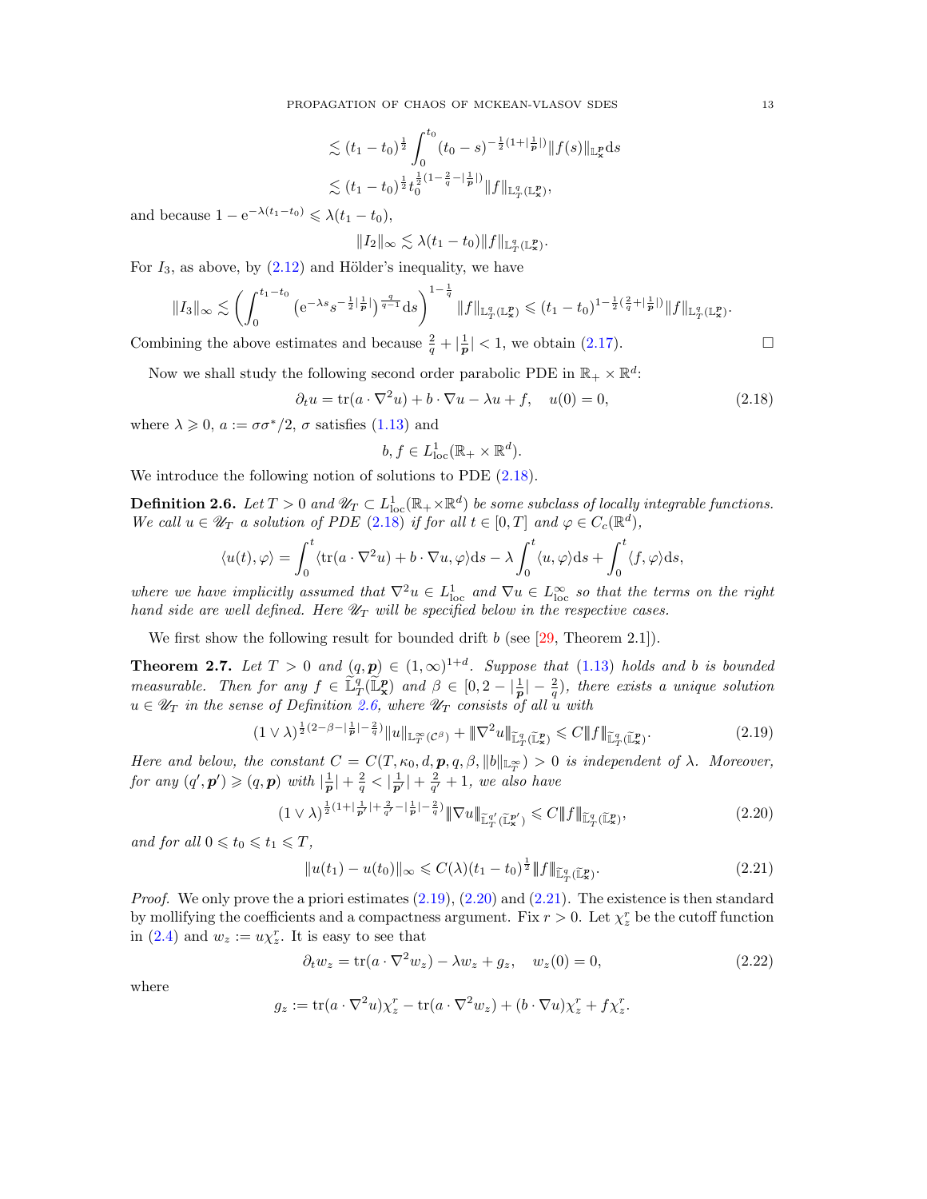$$
\lesssim (t_1 - t_0)^{\frac{1}{2}} \int_0^{t_0} (t_0 - s)^{-\frac{1}{2}(1 + |\frac{1}{p}|)} \|f(s)\|_{\mathbb{L}^p_x} ds
$$
  

$$
\lesssim (t_1 - t_0)^{\frac{1}{2}} t_0^{\frac{1}{2}(1 - \frac{2}{q} - |\frac{1}{p}|)} \|f\|_{\mathbb{L}^q_T(\mathbb{L}^p_x)},
$$

and because  $1 - e^{-\lambda(t_1 - t_0)} \leq \lambda(t_1 - t_0)$ ,

$$
||I_2||_{\infty} \lesssim \lambda(t_1-t_0)||f||_{\mathbb{L}^q_T(\mathbb{L}^p_x)}.
$$

For  $I_3$ , as above, by  $(2.12)$  and Hölder's inequality, we have

$$
||I_3||_{\infty} \lesssim \left(\int_0^{t_1-t_0} \left(e^{-\lambda s}s^{-\frac{1}{2}|\frac{1}{p}|}\right)^{\frac{q}{q-1}} ds\right)^{1-\frac{1}{q}} ||f||_{\mathbb{L}^q_T(\mathbb{L}^p_x)} \leq (t_1-t_0)^{1-\frac{1}{2}(\frac{2}{q}+|\frac{1}{p}|)} ||f||_{\mathbb{L}^q_T(\mathbb{L}^p_x)}.
$$

Combining the above estimates and because  $\frac{2}{q} + |\frac{1}{p}| < 1$ , we obtain [\(2.17\)](#page-11-0).

Now we shall study the following second order parabolic PDE in  $\mathbb{R}_+ \times \mathbb{R}^d$ :

$$
\partial_t u = \text{tr}(a \cdot \nabla^2 u) + b \cdot \nabla u - \lambda u + f, \quad u(0) = 0,
$$
\n(2.18)

where  $\lambda \geqslant 0$ ,  $a := \sigma \sigma^*/2$ ,  $\sigma$  satisfies [\(1.13\)](#page-4-2) and

$$
b, f \in L^1_{\text{loc}}(\mathbb{R}_+ \times \mathbb{R}^d).
$$

We introduce the following notion of solutions to PDE  $(2.18)$ .

<span id="page-12-1"></span>**Definition 2.6.** Let  $T > 0$  and  $\mathscr{U}_T \subset L^1_{loc}(\mathbb{R}_+ \times \mathbb{R}^d)$  be some subclass of locally integrable functions. We call  $u \in \mathscr{U}_T$  a solution of PDE [\(2.18\)](#page-12-0) if for all  $t \in [0,T]$  and  $\varphi \in C_c(\mathbb{R}^d)$ ,

$$
\langle u(t), \varphi \rangle = \int_0^t \langle tr(a \cdot \nabla^2 u) + b \cdot \nabla u, \varphi \rangle ds - \lambda \int_0^t \langle u, \varphi \rangle ds + \int_0^t \langle f, \varphi \rangle ds,
$$

where we have implicitly assumed that  $\nabla^2 u \in L^1_{loc}$  and  $\nabla u \in L^\infty_{loc}$  so that the terms on the right hand side are well defined. Here  $\mathscr{U}_T$  will be specified below in the respective cases.

We first show the following result for bounded drift  $b$  (see [\[29,](#page-45-4) Theorem 2.1]).

<span id="page-12-6"></span>**Theorem 2.7.** Let  $T > 0$  and  $(q, p) \in (1, \infty)^{1+d}$ . Suppose that  $(1.13)$  holds and b is bounded measurable. Then for any  $f \in \tilde{\mathbb{L}}_T^q(\tilde{\mathbb{L}}_X^p)$  and  $\beta \in [0, 2 - |\frac{1}{p}| - \frac{2}{q})$ , there exists a unique solution  $u \in \mathscr{U}_T$  in the sense of Definition [2.6,](#page-12-1) where  $\mathscr{U}_T$  consists of all u with

$$
(1 \vee \lambda)^{\frac{1}{2}(2-\beta-\left|\frac{1}{p}\right|-\frac{2}{q})} \|u\|_{\mathbb{L}^{\infty}_T(\mathcal{C}^\beta)} + \|\nabla^2 u\|_{\mathbb{L}^q_T(\mathbb{L}^p_\mathbf{x})} \leq C \|f\|_{\mathbb{L}^q_T(\mathbb{L}^p_\mathbf{x})}.\tag{2.19}
$$

Here and below, the constant  $C = C(T, \kappa_0, d, p, q, \beta, ||b||_{\mathbb{L}_T^{\infty}}) > 0$  is independent of  $\lambda$ . Moreover, for any  $(q', p') \geqslant (q, p)$  with  $|\frac{1}{p}| + \frac{2}{q} < |\frac{1}{p'}| + \frac{2}{q'} + 1$ , we also have

$$
(1 \vee \lambda)^{\frac{1}{2}(1+|\frac{1}{p'}|+\frac{2}{q'}-|\frac{1}{p}|- \frac{2}{q})} \|\nabla u\|_{\widetilde{\mathbb{L}}_{T}^{q'}(\widetilde{\mathbb{L}}_{\mathbf{x}}^{p'})} \leqslant C \|f\|_{\widetilde{\mathbb{L}}_{T}^{q}(\widetilde{\mathbb{L}}_{\mathbf{x}}^{p})},\tag{2.20}
$$

and for all  $0 \leq t_0 \leq t_1 \leq T$ ,

<span id="page-12-4"></span><span id="page-12-3"></span>
$$
||u(t_1) - u(t_0)||_{\infty} \leq C(\lambda)(t_1 - t_0)^{\frac{1}{2}} ||f||_{\widetilde{\mathbb{L}}_T^q(\widetilde{\mathbb{L}}_x^p)}.
$$
\n(2.21)

*Proof.* We only prove the a priori estimates  $(2.19)$ ,  $(2.20)$  and  $(2.21)$ . The existence is then standard by mollifying the coefficients and a compactness argument. Fix  $r > 0$ . Let  $\chi^r_z$  be the cutoff function in [\(2.4\)](#page-8-4) and  $w_z := u\chi_z^r$ . It is easy to see that

<span id="page-12-5"></span>
$$
\partial_t w_z = \text{tr}(a \cdot \nabla^2 w_z) - \lambda w_z + g_z, \quad w_z(0) = 0,
$$
\n(2.22)

where

$$
g_z := \text{tr}(a \cdot \nabla^2 u) \chi_z^r - \text{tr}(a \cdot \nabla^2 w_z) + (b \cdot \nabla u) \chi_z^r + f \chi_z^r.
$$

<span id="page-12-2"></span><span id="page-12-0"></span>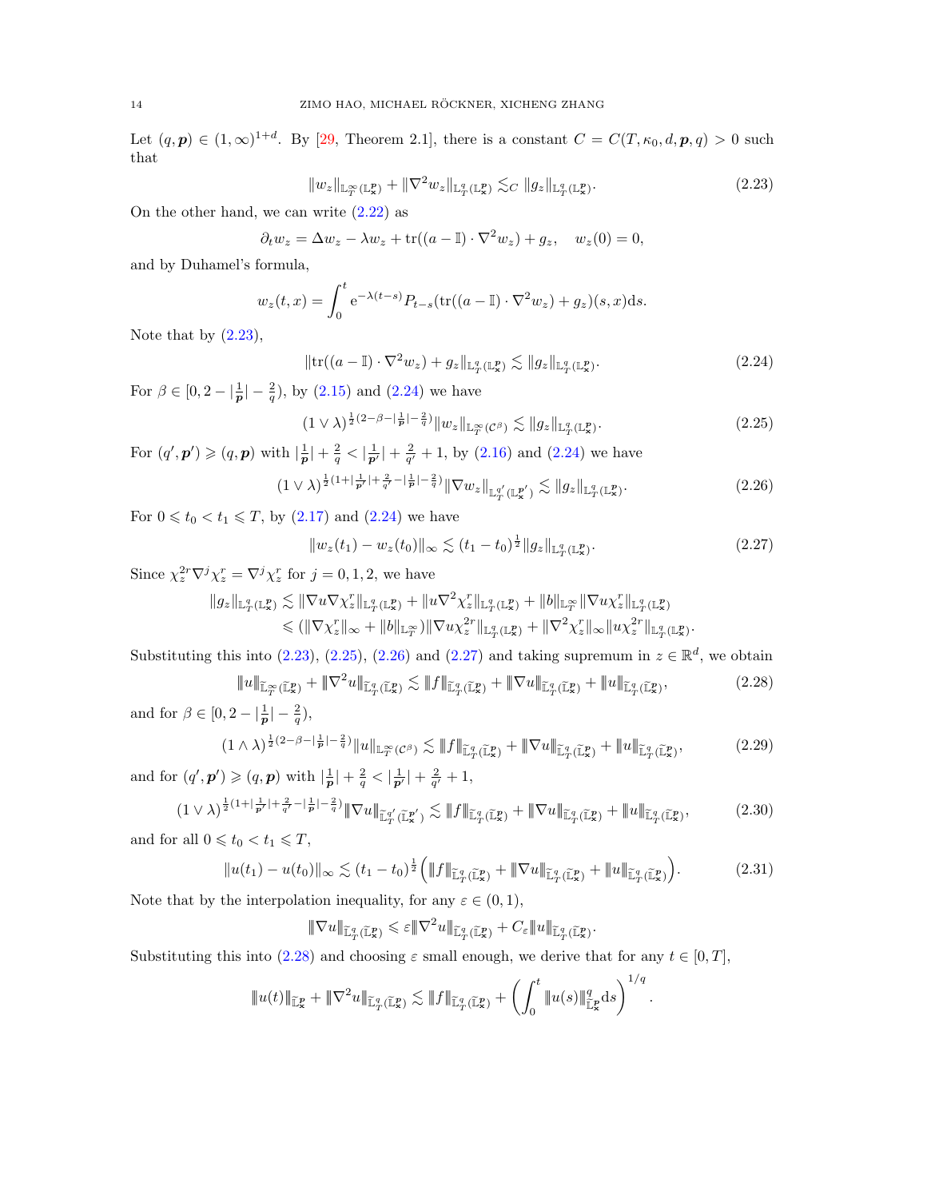Let  $(q, p) \in (1, \infty)^{1+d}$ . By [\[29,](#page-45-4) Theorem 2.1], there is a constant  $C = C(T, \kappa_0, d, p, q) > 0$  such that

<span id="page-13-0"></span>
$$
||w_z||_{\mathbb{L}_T^{\infty}(\mathbb{L}_\mathbf{x}^p)} + ||\nabla^2 w_z||_{\mathbb{L}_T^q(\mathbb{L}_\mathbf{x}^p)} \lesssim_C ||g_z||_{\mathbb{L}_T^q(\mathbb{L}_\mathbf{x}^p)}.
$$
\n(2.23)

On the other hand, we can write  $(2.22)$  as

$$
\partial_t w_z = \Delta w_z - \lambda w_z + \text{tr}((a - \mathbb{I}) \cdot \nabla^2 w_z) + g_z, \quad w_z(0) = 0,
$$

and by Duhamel's formula,

$$
w_z(t,x) = \int_0^t e^{-\lambda(t-s)} P_{t-s}(\text{tr}((a-\mathbb{I})\cdot \nabla^2 w_z) + g_z)(s,x)ds.
$$

Note that by  $(2.23)$ ,

<span id="page-13-2"></span><span id="page-13-1"></span>
$$
\|\text{tr}((a-\mathbb{I})\cdot\nabla^2 w_z) + g_z\|_{\mathbb{L}^q_T(\mathbb{L}^p_x)} \lesssim \|g_z\|_{\mathbb{L}^q_T(\mathbb{L}^p_x)}.
$$
\n(2.24)

For  $\beta \in [0, 2 - \frac{1}{p} - \frac{2}{q})$ , by  $(2.15)$  and  $(2.24)$  we have

$$
(1 \vee \lambda)^{\frac{1}{2}(2-\beta-\lfloor \frac{1}{p}\rfloor-\frac{2}{q})} \|w_z\|_{\mathbb{L}_T^\infty(\mathcal{C}^\beta)} \lesssim \|g_z\|_{\mathbb{L}_T^q(\mathbb{L}_\mathbf{x}^p)}.
$$
\n
$$
(2.25)
$$

For  $(q', p') \geqslant (q, p)$  with  $|\frac{1}{p}| + \frac{2}{q} < |\frac{1}{p'}| + \frac{2}{q'} + 1$ , by  $(2.16)$  and  $(2.24)$  we have

$$
(1 \vee \lambda)^{\frac{1}{2}(1 + |\frac{1}{p'}| + \frac{2}{q'} - |\frac{1}{p}| - \frac{2}{q})} \|\nabla w_z\|_{\mathbb{L}^{q'}_T(\mathbb{L}^{p'}_x)} \lesssim \|g_z\|_{\mathbb{L}^q_T(\mathbb{L}^p_x)}.
$$
\n(2.26)

For  $0 \le t_0 < t_1 \le T$ , by  $(2.17)$  and  $(2.24)$  we have

<span id="page-13-6"></span><span id="page-13-5"></span><span id="page-13-4"></span><span id="page-13-3"></span>
$$
||w_z(t_1) - w_z(t_0)||_{\infty} \lesssim (t_1 - t_0)^{\frac{1}{2}} ||g_z||_{\mathbb{L}^q_T(\mathbb{L}^p_x)}.
$$
\n(2.27)

Since  $\chi_z^{2r} \nabla^j \chi_z^r = \nabla^j \chi_z^r$  for  $j = 0, 1, 2$ , we have

$$
\|g_z\|_{{\mathbb L}^q_T({\mathbb L}^p_{\bf x})}\lesssim \|\nabla u \nabla \chi^r_z\|_{{\mathbb L}^q_T({\mathbb L}^p_{\bf x})}+\| u \nabla^2 \chi^r_z\|_{{\mathbb L}^q_T({\mathbb L}^p_{\bf x})}+\|b\|_{{\mathbb L}^\infty_T}\|\nabla u \chi^r_z\|_{{\mathbb L}^q_T({\mathbb L}^p_{\bf x})}\\ \leqslant (\|\nabla \chi^r_z\|_\infty+\|b\|_{{\mathbb L}^\infty_T})\|\nabla u \chi^{2r}_z\|_{{\mathbb L}^q_T({\mathbb L}^p_{\bf x})}+\|\nabla^2 \chi^r_z\|_\infty\|u \chi^{2r}_z\|_{{\mathbb L}^q_T({\mathbb L}^p_{\bf x})}.
$$

Substituting this into  $(2.23)$ ,  $(2.25)$ ,  $(2.26)$  and  $(2.27)$  and taking supremum in  $z \in \mathbb{R}^d$ , we obtain

$$
\|u\|_{\widetilde{\mathbb{L}}_T^{\infty}(\widetilde{\mathbb{L}}_x^p)} + \|\nabla^2 u\|_{\widetilde{\mathbb{L}}_T^q(\widetilde{\mathbb{L}}_x^p)} \lesssim \|f\|_{\widetilde{\mathbb{L}}_T^q(\widetilde{\mathbb{L}}_x^p)} + \|\nabla u\|_{\widetilde{\mathbb{L}}_T^q(\widetilde{\mathbb{L}}_x^p)} + \|u\|_{\widetilde{\mathbb{L}}_T^q(\widetilde{\mathbb{L}}_x^p)},
$$
\n(2.28)

and for  $\beta \in [0, 2 - |\frac{1}{p}| - \frac{2}{q}),$ 

$$
(1 \wedge \lambda)^{\frac{1}{2}(2-\beta-\left|\frac{1}{p}\right|-\frac{2}{q})} \|u\|_{\mathbb{L}^{\infty}_{T}(\mathcal{C}^{\beta})} \lesssim \|f\|_{\widetilde{\mathbb{L}}^{q}_{T}(\widetilde{\mathbb{L}}^{p}_{x})} + \|\nabla u\|_{\widetilde{\mathbb{L}}^{q}_{T}(\widetilde{\mathbb{L}}^{p}_{x})} + \|u\|_{\widetilde{\mathbb{L}}^{q}_{T}(\widetilde{\mathbb{L}}^{p}_{x})},\tag{2.29}
$$

and for  $(q', p') \geqslant (q, p)$  with  $|\frac{1}{p}| + \frac{2}{q} < |\frac{1}{p'}| + \frac{2}{q'} + 1$ ,

$$
(1 \vee \lambda)^{\frac{1}{2}(1+|\frac{1}{p'}|+\frac{2}{q'}-|\frac{1}{p}|- \frac{2}{q})} \|\nabla u\|_{\widetilde{\mathbb{L}}_{T}^{q'}(\widetilde{\mathbb{L}}_{\mathbf{x}}^{\mathbf{z}'})} \lesssim \|f\|_{\widetilde{\mathbb{L}}_{T}^{q}(\widetilde{\mathbb{L}}_{\mathbf{x}}^{\mathbf{p}})} + \|\nabla u\|_{\widetilde{\mathbb{L}}_{T}^{q}(\widetilde{\mathbb{L}}_{\mathbf{x}}^{\mathbf{p}})} + \|u\|_{\widetilde{\mathbb{L}}_{T}^{q}(\widetilde{\mathbb{L}}_{\mathbf{x}}^{\mathbf{p}})},\tag{2.30}
$$

and for all  $0 \leqslant t_0 < t_1 \leqslant T$ ,

$$
||u(t_1) - u(t_0)||_{\infty} \lesssim (t_1 - t_0)^{\frac{1}{2}} \Big( ||f||_{\widetilde{\mathbb{L}}_T^q(\widetilde{\mathbb{L}}_x^p)} + ||\nabla u||_{\widetilde{\mathbb{L}}_T^q(\widetilde{\mathbb{L}}_x^p)} + ||u||_{\widetilde{\mathbb{L}}_T^q(\widetilde{\mathbb{L}}_x^p)} \Big). \tag{2.31}
$$

Note that by the interpolation inequality, for any  $\varepsilon \in (0, 1)$ ,

<span id="page-13-8"></span><span id="page-13-7"></span>
$$
|\!|\!| \nabla u|\!|\!|_{\widetilde{\mathbb{L}}^q_T(\widetilde{\mathbb{L}}^p_{\mathbf{x}})}\leqslant \varepsilon |\!|\!| \nabla^2 u|\!|\!|_{\widetilde{\mathbb{L}}^q_T(\widetilde{\mathbb{L}}^p_{\mathbf{x}})}+C_\varepsilon |\!|\!| u|\!|\!|_{\widetilde{\mathbb{L}}^q_T(\widetilde{\mathbb{L}}^p_{\mathbf{x}})}.
$$

Substituting this into [\(2.28\)](#page-13-5) and choosing  $\varepsilon$  small enough, we derive that for any  $t \in [0, T]$ ,

$$
\|u(t)\|_{\widetilde{\mathbb L}^p_{\mathbf x}}+\|\nabla^2u\|_{\widetilde{\mathbb L}^q_T(\widetilde{\mathbb L}^p_{\mathbf x})}\lesssim \|f\|_{\widetilde{\mathbb L}^q_T(\widetilde{\mathbb L}^p_{\mathbf x})}+\left(\int_0^t\|u(s)\|_{\widetilde{\mathbb L}^p_{\mathbf x}}^q{\mathord{{\rm d}}} s\right)^{1/q}.
$$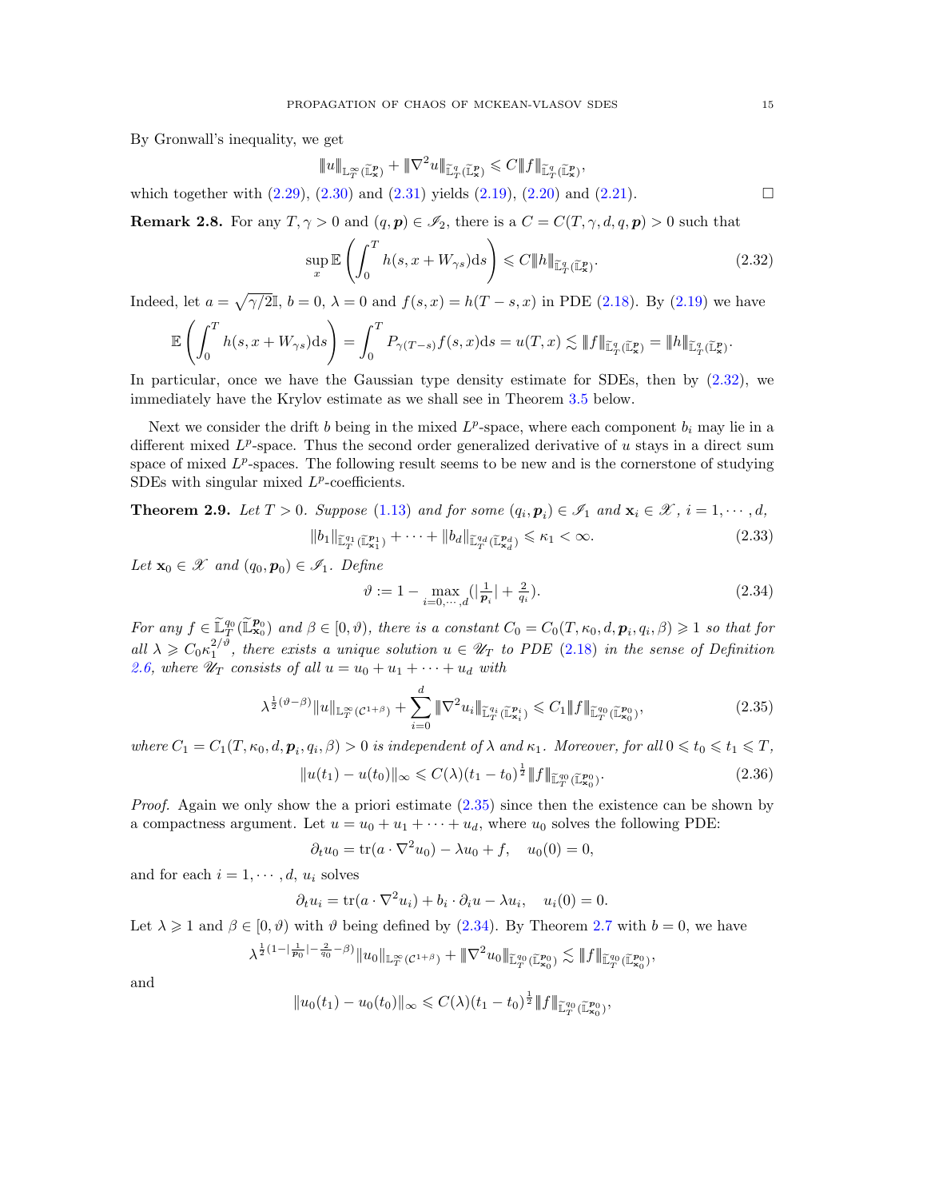By Gronwall's inequality, we get

<span id="page-14-1"></span>
$$
|\!|\!| u|\!|\!|_{\widetilde{\mathbb L}^\infty_T(\widetilde{\mathbb L}^p_x)}+\|\nabla^2 u\|\!|_{\widetilde{\mathbb L}^q_T(\widetilde{\mathbb L}^p_x)}\leqslant C |\!|\!| f|\!|\!|_{\widetilde{\mathbb L}^q_T(\widetilde{\mathbb L}^p_x)},
$$

which together with  $(2.29)$ ,  $(2.30)$  and  $(2.31)$  yields  $(2.19)$ ,  $(2.20)$  and  $(2.21)$ .

**Remark 2.8.** For any  $T, \gamma > 0$  and  $(q, p) \in \mathcal{I}_2$ , there is a  $C = C(T, \gamma, d, q, p) > 0$  such that

$$
\sup_{x} \mathbb{E}\left(\int_{0}^{T} h(s, x + W_{\gamma s}) \, \mathrm{d}s\right) \leq C \|h\|_{\widetilde{\mathbb{L}}_{T}^{q}(\widetilde{\mathbb{L}}_{x}^{p})}.
$$
\n(2.32)

Indeed, let  $a = \sqrt{\gamma/2}I$ ,  $b = 0$ ,  $\lambda = 0$  and  $f(s, x) = h(T - s, x)$  in PDE [\(2.18\)](#page-12-0). By [\(2.19\)](#page-12-2) we have

$$
\mathbb{E}\left(\int_0^T h(s,x+W_{\gamma s})ds\right) = \int_0^T P_{\gamma(T-s)}f(s,x)ds = u(T,x) \lesssim \|f\|_{\widetilde{\mathbb{L}}_T^q(\widetilde{\mathbb{L}}_x^p)} = \|h\|_{\widetilde{\mathbb{L}}_T^q(\widetilde{\mathbb{L}}_x^p)}.
$$

In particular, once we have the Gaussian type density estimate for SDEs, then by [\(2.32\)](#page-14-1), we immediately have the Krylov estimate as we shall see in Theorem [3.5](#page-18-0) below.

Next we consider the drift b being in the mixed  $L^p$ -space, where each component  $b_i$  may lie in a different mixed  $L^p$ -space. Thus the second order generalized derivative of u stays in a direct sum space of mixed  $L^p$ -spaces. The following result seems to be new and is the cornerstone of studying SDEs with singular mixed  $L^p$ -coefficients.

<span id="page-14-0"></span>**Theorem 2.9.** Let  $T > 0$ . Suppose [\(1.13\)](#page-4-2) and for some  $(q_i, p_i) \in \mathcal{I}_1$  and  $\mathbf{x}_i \in \mathcal{X}$ ,  $i = 1, \dots, d$ ,

$$
||b_1||_{\widetilde{\mathbb{L}}_T^{q_1}(\widetilde{\mathbb{L}}_{\mathbf{x}_1}^{p_1})} + \dots + ||b_d||_{\widetilde{\mathbb{L}}_T^{q_d}(\widetilde{\mathbb{L}}_{\mathbf{x}_d}^{p_d})} \leq \kappa_1 < \infty. \tag{2.33}
$$

Let  $\mathbf{x}_0 \in \mathcal{X}$  and  $(q_0, \mathbf{p}_0) \in \mathcal{I}_1$ . Define

<span id="page-14-5"></span><span id="page-14-4"></span><span id="page-14-3"></span><span id="page-14-2"></span>
$$
\vartheta := 1 - \max_{i=0,\cdots,d} (|\frac{1}{p_i}| + \frac{2}{q_i}).\tag{2.34}
$$

For any  $f \in \widetilde{\mathbb{L}}_T^{q_0}(\widetilde{\mathbb{L}}_{\mathbf{x}_0}^{p_0})$  and  $\beta \in [0, \vartheta)$ , there is a constant  $C_0 = C_0(T, \kappa_0, d, \mathbf{p}_i, q_i, \beta) \geq 1$  so that for all  $\lambda \geq C_0 \kappa_1^{2/\vartheta}$ , there exists a unique solution  $u \in \mathscr{U}_T$  to PDE [\(2.18\)](#page-12-0) in the sense of Definition [2.6,](#page-12-1) where  $\mathscr{U}_T$  consists of all  $u = u_0 + u_1 + \cdots + u_d$  with

$$
\lambda^{\frac{1}{2}(\vartheta-\beta)} \|u\|_{\mathbb{L}^{\infty}_{T}(\mathcal{C}^{1+\beta})} + \sum_{i=0}^{d} \|\nabla^{2} u_{i}\|_{\mathbb{L}^{q_{i}}_{T}(\mathbb{L}^{p_{i}}_{\mathbf{x}_{i}})} \leq C_{1} \|f\|_{\mathbb{L}^{q_{0}}_{T}(\mathbb{L}^{p_{0}}_{\mathbf{x}_{0}})},
$$
\n(2.35)

where  $C_1 = C_1(T, \kappa_0, d, \mathbf{p}_i, q_i, \beta) > 0$  is independent of  $\lambda$  and  $\kappa_1$ . Moreover, for all  $0 \leq t_0 \leq t_1 \leq T$ ,

$$
||u(t_1) - u(t_0)||_{\infty} \leq C(\lambda)(t_1 - t_0)^{\frac{1}{2}} ||f||_{\widetilde{\mathbb{L}}_{T}^{q_0}(\widetilde{\mathbb{L}}_{\mathbf{x}_0}^{p_0})}.
$$
\n(2.36)

Proof. Again we only show the a priori estimate [\(2.35\)](#page-14-2) since then the existence can be shown by a compactness argument. Let  $u = u_0 + u_1 + \cdots + u_d$ , where  $u_0$  solves the following PDE:

$$
\partial_t u_0 = \text{tr}(a \cdot \nabla^2 u_0) - \lambda u_0 + f, \quad u_0(0) = 0,
$$

and for each  $i = 1, \dots, d, u_i$  solves

$$
\partial_t u_i = \text{tr}(a \cdot \nabla^2 u_i) + b_i \cdot \partial_i u - \lambda u_i, \quad u_i(0) = 0.
$$

Let  $\lambda \geq 1$  and  $\beta \in [0, \vartheta)$  with  $\vartheta$  being defined by [\(2.34\)](#page-14-3). By Theorem [2.7](#page-12-6) with  $b = 0$ , we have

$$
\lambda^{\frac{1}{2}(1 - |\frac{1}{p_0}| - \frac{2}{q_0} - \beta)} \|u_0\|_{\mathbb{L}^\infty_T(\mathcal{C}^{1 + \beta})} + \|\nabla^2 u_0\|_{\widetilde{\mathbb{L}}^q_T(\widetilde{\mathbb{L}}^\mathbf{p}_\mathbf{x}_0)} \lesssim \|f\|_{\widetilde{\mathbb{L}}^q_T(\widetilde{\mathbb{L}}^\mathbf{p}_\mathbf{x}_0)},
$$

and

$$
||u_0(t_1)-u_0(t_0)||_{\infty} \leq C(\lambda)(t_1-t_0)^{\frac{1}{2}}||f||_{\widetilde{\mathbb{L}}_T^{q_0}(\widetilde{\mathbb{L}}_{\mathbf{x}_0}^{p_0})},
$$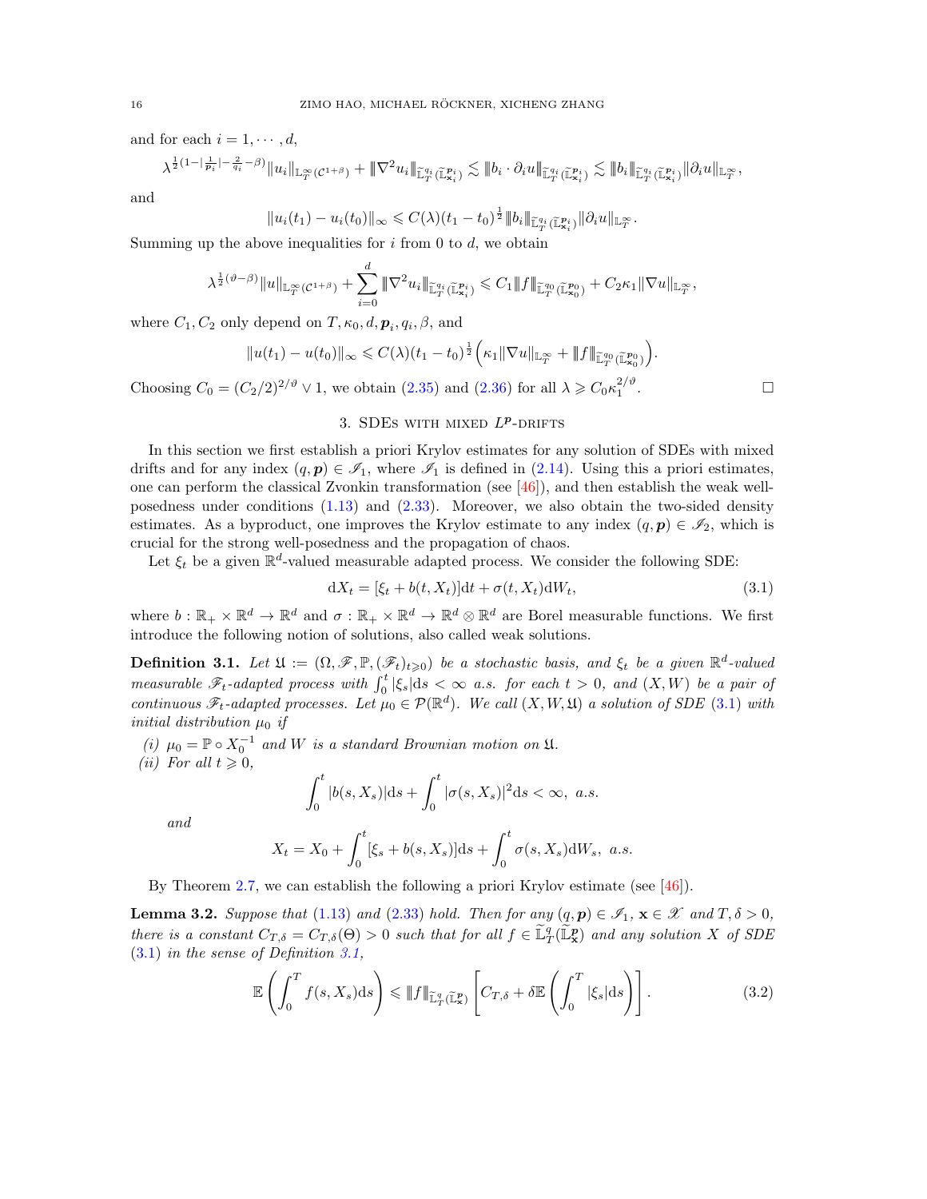and for each  $i = 1, \dots, d$ ,

$$
\lambda^{\frac12(1-\lvert\frac{1}{\mathbf{p}_i}\rvert-\frac{2}{q_i}-\beta)}\|u_i\|_{{\mathbb L}^\infty_T({\mathcal C}^{1+\beta})}+\|\nabla^2u_i\|_{{\widetilde {\mathbb L}}^{q_i}_T({\widetilde {\mathbb L}}^{p_i}_{x_i})}\lesssim \|b_i\cdot\partial_iu\|_{{\widetilde {\mathbb L}}^{q_i}_T({\widetilde {\mathbb L}}^{p_i}_{x_i})}\lesssim \|b_i\|_{{\widetilde {\mathbb L}}^{q_i}_T({\widetilde {\mathbb L}}^{p_i}_{x_i})}\|\partial_iu\|_{{\mathbb L}^\infty_T},
$$

and

 $||u_i(t_1) - u_i(t_0)||_{\infty} \leqslant C(\lambda) (t_1 - t_0)^{\frac{1}{2}} ||b_i||_{\widetilde{\mathbb{L}}_{T}^{q_i}(\widetilde{\mathbb{L}}_{\mathbf{x}_i}^{\mathbf{p}_i})} ||\partial_i u||_{\mathbb{L}_T^{\infty}}.$ 

Summing up the above inequalities for  $i$  from 0 to  $d$ , we obtain

$$
\lambda^{\frac{1}{2}(\vartheta-\beta)}\|u\|_{{\mathbb L}^\infty_T({\mathcal C}^{1+\beta})}+\sum_{i=0}^d\|\nabla^2 u_i\|_{{\widetilde {\mathbb L}}^{q_i}_T({\widetilde {\mathbb L}}^{p_i}_{x_i})}\leqslant C_1\|f\|_{{\widetilde {\mathbb L}}^{q_0}_T({\widetilde {\mathbb L}}^{p_0}_{x_0})}+C_2\kappa_1\|\nabla u\|_{{\mathbb L}^\infty_T},
$$

where  $C_1, C_2$  only depend on  $T, \kappa_0, d, p_i, q_i, \beta$ , and

$$
||u(t_1)-u(t_0)||_{\infty} \leq C(\lambda)(t_1-t_0)^{\frac{1}{2}} \Big(\kappa_1 ||\nabla u||_{\mathbb{L}_T^{\infty}} + ||f||_{\widetilde{\mathbb{L}}_T^{q_0}(\widetilde{\mathbb{L}}_{\mathbf{x}_0}^{p_0})}\Big).
$$

Choosing  $C_0 = (C_2/2)^{2/\vartheta} \vee 1$ , we obtain  $(2.35)$  and  $(2.36)$  for all  $\lambda \geq C_0 \kappa_1^{2/\vartheta}$ 

# <span id="page-15-1"></span>.

## 3. SDES WITH MIXED  $L^p$ -DRIFTS

<span id="page-15-0"></span>In this section we first establish a priori Krylov estimates for any solution of SDEs with mixed drifts and for any index  $(q, p) \in \mathcal{I}_1$ , where  $\mathcal{I}_1$  is defined in [\(2.14\)](#page-10-3). Using this a priori estimates, one can perform the classical Zvonkin transformation (see  $[46]$ ), and then establish the weak wellposedness under conditions [\(1.13\)](#page-4-2) and [\(2.33\)](#page-14-5). Moreover, we also obtain the two-sided density estimates. As a byproduct, one improves the Krylov estimate to any index  $(q, p) \in \mathscr{I}_2$ , which is crucial for the strong well-posedness and the propagation of chaos.

Let  $\xi_t$  be a given  $\mathbb{R}^d$ -valued measurable adapted process. We consider the following SDE:

$$
dX_t = [\xi_t + b(t, X_t)]dt + \sigma(t, X_t)dW_t,
$$
\n(3.1)

where  $b: \mathbb{R}_+ \times \mathbb{R}^d \to \mathbb{R}^d$  and  $\sigma: \mathbb{R}_+ \times \mathbb{R}^d \to \mathbb{R}^d \otimes \mathbb{R}^d$  are Borel measurable functions. We first introduce the following notion of solutions, also called weak solutions.

<span id="page-15-2"></span>**Definition 3.1.** Let  $\mathfrak{U} := (\Omega, \mathscr{F}, \mathbb{P}, (\mathscr{F}_t)_{t \geq 0})$  be a stochastic basis, and  $\xi_t$  be a given  $\mathbb{R}^d$ -valued measurable  $\mathscr{F}_t$ -adapted process with  $\int_0^t |\xi_s| ds < \infty$  a.s. for each  $t > 0$ , and  $(X, W)$  be a pair of continuous  $\mathscr{F}_t$ -adapted processes. Let  $\mu_0 \in \mathcal{P}(\mathbb{R}^d)$ . We call  $(X, W, \mathfrak{U})$  a solution of SDE [\(3.1\)](#page-15-1) with initial distribution  $\mu_0$  if

(i)  $\mu_0 = \mathbb{P} \circ X_0^{-1}$  and W is a standard Brownian motion on  $\mathfrak{U}$ . (*ii*) For all  $t \geqslant 0$ ,

<span id="page-15-3"></span>
$$
\int_0^t |b(s, X_s)| ds + \int_0^t |\sigma(s, X_s)|^2 ds < \infty, \ a.s.
$$

and

$$
X_t = X_0 + \int_0^t [\xi_s + b(s, X_s)] ds + \int_0^t \sigma(s, X_s) dW_s, \ a.s.
$$

By Theorem [2.7,](#page-12-6) we can establish the following a priori Krylov estimate (see [\[46\]](#page-46-17)).

**Lemma 3.2.** Suppose that [\(1.13\)](#page-4-2) and [\(2.33\)](#page-14-5) hold. Then for any  $(q, p) \in \mathscr{I}_1$ ,  $\mathbf{x} \in \mathscr{X}$  and  $T, \delta > 0$ , there is a constant  $C_{T,\delta} = C_{T,\delta}(\Theta) > 0$  such that for all  $f \in \tilde{\mathbb{L}}_T^q(\tilde{\mathbb{L}}_\mathbf{x}^p)$  and any solution X of SDE [\(3.1\)](#page-15-1) in the sense of Definition [3.1,](#page-15-2)

$$
\mathbb{E}\left(\int_0^T f(s,X_s)\mathrm{d}s\right) \leq \lVert f \rVert_{\widetilde{\mathbb{L}}_T^q(\widetilde{\mathbb{L}}_x^p)} \left[C_{T,\delta} + \delta \mathbb{E}\left(\int_0^T |\xi_s| \mathrm{d}s\right)\right].\tag{3.2}
$$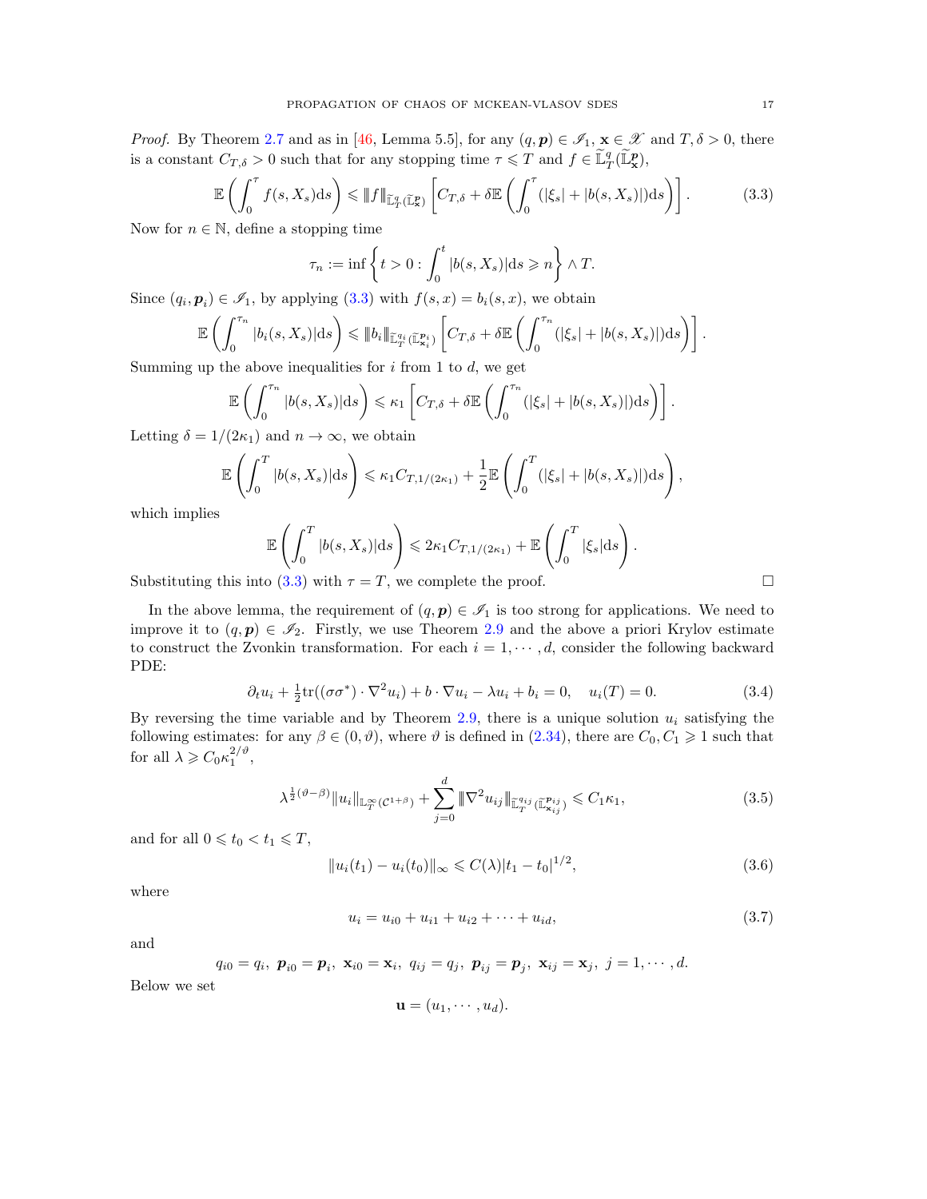*Proof.* By Theorem [2.7](#page-12-6) and as in [\[46,](#page-46-17) Lemma 5.5], for any  $(q, p) \in \mathscr{I}_1$ ,  $\mathbf{x} \in \mathscr{X}$  and  $T, \delta > 0$ , there is a constant  $C_{T,\delta} > 0$  such that for any stopping time  $\tau \leq T$  and  $f \in \tilde{\mathbb{L}}_T^q(\tilde{\mathbb{L}}_X^p)$ ,

$$
\mathbb{E}\left(\int_0^{\tau} f(s, X_s)ds\right) \leq \lVert f \rVert_{\widetilde{\mathbb{L}}_T^q(\widetilde{\mathbb{L}}_x^p)} \left[C_{T,\delta} + \delta \mathbb{E}\left(\int_0^{\tau} (|\xi_s| + |b(s, X_s)|)ds\right)\right].
$$
 (3.3)

Now for  $n \in \mathbb{N}$ , define a stopping time

<span id="page-16-0"></span>
$$
\tau_n := \inf \left\{ t > 0 : \int_0^t |b(s, X_s)| ds \geqslant n \right\} \wedge T.
$$

Since  $(q_i, p_i) \in \mathcal{I}_1$ , by applying  $(3.3)$  with  $f(s, x) = b_i(s, x)$ , we obtain

$$
\mathbb{E}\left(\int_0^{\tau_n} |b_i(s,X_s)|ds\right) \leq \|b_i\|_{\mathbb{L}^{q_i}_T(\mathbb{L}^{\mathbf{p}_i}_{\mathbf{x}_i})}\left[C_{T,\delta} + \delta \mathbb{E}\left(\int_0^{\tau_n} (|\xi_s| + |b(s,X_s)|)ds\right)\right].
$$

Summing up the above inequalities for  $i$  from 1 to  $d$ , we get

$$
\mathbb{E}\left(\int_0^{\tau_n} |b(s,X_s)|ds\right) \leq \kappa_1 \left[C_{T,\delta} + \delta \mathbb{E}\left(\int_0^{\tau_n} (|\xi_s| + |b(s,X_s)|)ds\right)\right].
$$

Letting  $\delta = 1/(2\kappa_1)$  and  $n \to \infty$ , we obtain

$$
\mathbb{E}\left(\int_0^T |b(s,X_s)|ds\right) \leq \kappa_1 C_{T,1/(2\kappa_1)} + \frac{1}{2}\mathbb{E}\left(\int_0^T (|\xi_s| + |b(s,X_s)|)ds\right),
$$

which implies

$$
\mathbb{E}\left(\int_0^T |b(s,X_s)|ds\right) \leq 2\kappa_1 C_{T,1/(2\kappa_1)} + \mathbb{E}\left(\int_0^T |\xi_s|ds\right).
$$

Substituting this into [\(3.3\)](#page-16-0) with  $\tau = T$ , we complete the proof.

In the above lemma, the requirement of  $(q, p) \in \mathscr{I}_1$  is too strong for applications. We need to improve it to  $(q, p) \in \mathscr{I}_2$ . Firstly, we use Theorem [2.9](#page-14-0) and the above a priori Krylov estimate to construct the Zvonkin transformation. For each  $i = 1, \dots, d$ , consider the following backward PDE:

$$
\partial_t u_i + \frac{1}{2} \text{tr}((\sigma \sigma^*) \cdot \nabla^2 u_i) + b \cdot \nabla u_i - \lambda u_i + b_i = 0, \quad u_i(T) = 0. \tag{3.4}
$$

By reversing the time variable and by Theorem [2.9,](#page-14-0) there is a unique solution  $u_i$  satisfying the following estimates: for any  $\beta \in (0, \vartheta)$ , where  $\vartheta$  is defined in  $(2.34)$ , there are  $C_0, C_1 \geq 1$  such that for all  $\lambda \geqslant C_0 \kappa_1^{2/\vartheta}$ ,

$$
\lambda^{\frac{1}{2}(\vartheta-\beta)}\|u_i\|_{\mathbb{L}_T^\infty(\mathcal{C}^{1+\beta})} + \sum_{j=0}^d \|\nabla^2 u_{ij}\|_{\mathbb{L}_T^{q_{ij}}}^{\mathbb{L}_{q_{ij}}}(\mathbb{L}_{\mathbf{x}_{ij}}^{p_{ij}}) \leq C_1 \kappa_1,\tag{3.5}
$$

and for all  $0 \leq t_0 < t_1 \leq T$ ,

$$
||u_i(t_1) - u_i(t_0)||_{\infty} \leq C(\lambda)|t_1 - t_0|^{1/2},
$$
\n(3.6)

where

$$
u_i = u_{i0} + u_{i1} + u_{i2} + \dots + u_{id}, \tag{3.7}
$$

and

$$
q_{i0} = q_i
$$
,  $\mathbf{p}_{i0} = \mathbf{p}_i$ ,  $\mathbf{x}_{i0} = \mathbf{x}_i$ ,  $q_{ij} = q_j$ ,  $\mathbf{p}_{ij} = \mathbf{p}_j$ ,  $\mathbf{x}_{ij} = \mathbf{x}_j$ ,  $j = 1, \dots, d$ .

Below we set

<span id="page-16-3"></span><span id="page-16-2"></span><span id="page-16-1"></span>
$$
\mathbf{u}=(u_1,\cdots,u_d).
$$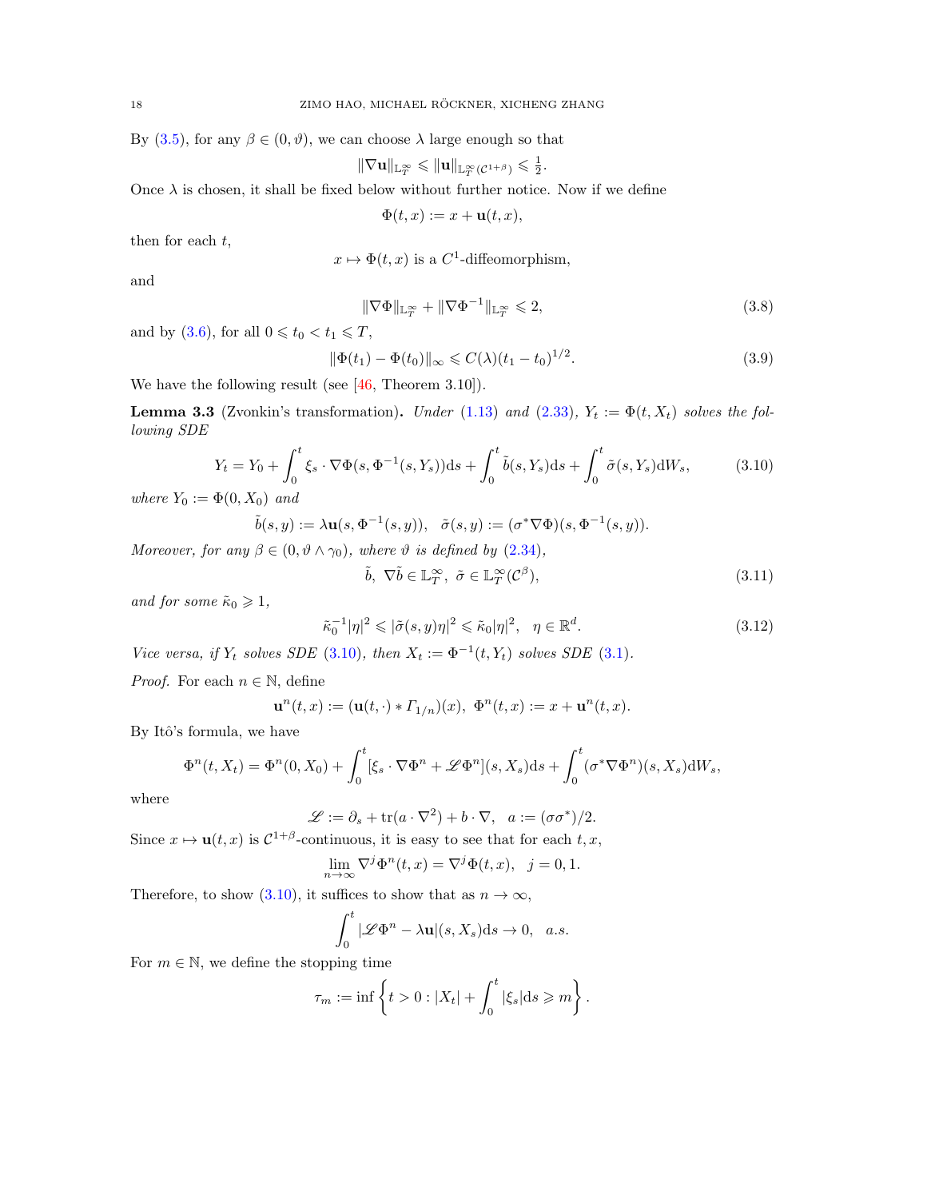By  $(3.5)$ , for any  $\beta \in (0, \vartheta)$ , we can choose  $\lambda$  large enough so that

$$
\|\nabla {\mathbf{u}}\|_{{\mathbb L}^\infty_T}\leqslant \|{\mathbf{u}}\|_{{\mathbb L}^\infty_T({\mathcal C}^{1+\beta})}\leqslant \tfrac{1}{2}.
$$

Once  $\lambda$  is chosen, it shall be fixed below without further notice. Now if we define

<span id="page-17-3"></span>
$$
\Phi(t, x) := x + \mathbf{u}(t, x),
$$

then for each  $t$ ,

$$
x \mapsto \Phi(t, x)
$$
 is a C<sup>1</sup>-diffeomorphism,

and

<span id="page-17-4"></span>
$$
\|\nabla\Phi\|_{\mathbb{L}_T^\infty} + \|\nabla\Phi^{-1}\|_{\mathbb{L}_T^\infty} \leq 2,\tag{3.8}
$$

and by [\(3.6\)](#page-16-2), for all  $0 \leq t_0 < t_1 \leq T$ ,

$$
\|\Phi(t_1) - \Phi(t_0)\|_{\infty} \leq C(\lambda)(t_1 - t_0)^{1/2}.
$$
\n(3.9)

We have the following result (see [\[46,](#page-46-17) Theorem 3.10]).

<span id="page-17-5"></span>**Lemma 3.3** (Zvonkin's transformation). Under [\(1.13\)](#page-4-2) and [\(2.33\)](#page-14-5),  $Y_t := \Phi(t, X_t)$  solves the following SDE

$$
Y_t = Y_0 + \int_0^t \xi_s \cdot \nabla \Phi(s, \Phi^{-1}(s, Y_s)) ds + \int_0^t \tilde{b}(s, Y_s) ds + \int_0^t \tilde{\sigma}(s, Y_s) dW_s, \tag{3.10}
$$

where  $Y_0 := \Phi(0, X_0)$  and

$$
\tilde{b}(s,y) := \lambda \mathbf{u}(s,\Phi^{-1}(s,y)), \quad \tilde{\sigma}(s,y) := (\sigma^*\nabla\Phi)(s,\Phi^{-1}(s,y)).
$$

Moreover, for any  $\beta \in (0, \vartheta \wedge \gamma_0)$ , where  $\vartheta$  is defined by [\(2.34\)](#page-14-3),

<span id="page-17-2"></span><span id="page-17-1"></span><span id="page-17-0"></span>
$$
\tilde{b}, \ \nabla \tilde{b} \in \mathbb{L}_T^{\infty}, \ \tilde{\sigma} \in \mathbb{L}_T^{\infty}(\mathcal{C}^{\beta}), \tag{3.11}
$$

and for some  $\tilde{\kappa}_0 \geq 1$ ,

$$
\tilde{\kappa}_0^{-1} |\eta|^2 \leqslant |\tilde{\sigma}(s, y)\eta|^2 \leqslant \tilde{\kappa}_0 |\eta|^2, \quad \eta \in \mathbb{R}^d. \tag{3.12}
$$

Vice versa, if  $Y_t$  solves SDE [\(3.10\)](#page-17-0), then  $X_t := \Phi^{-1}(t, Y_t)$  solves SDE [\(3.1\)](#page-15-1).

*Proof.* For each  $n \in \mathbb{N}$ , define

$$
\mathbf{u}^{n}(t,x) := (\mathbf{u}(t,\cdot) * T_{1/n})(x), \ \Phi^{n}(t,x) := x + \mathbf{u}^{n}(t,x).
$$

By Itô's formula, we have

$$
\Phi^{n}(t, X_{t}) = \Phi^{n}(0, X_{0}) + \int_{0}^{t} [\xi_{s} \cdot \nabla \Phi^{n} + \mathscr{L} \Phi^{n}](s, X_{s}) ds + \int_{0}^{t} (\sigma^{*} \nabla \Phi^{n})(s, X_{s}) dW_{s},
$$

where

$$
\mathscr{L} := \partial_s + \text{tr}(a \cdot \nabla^2) + b \cdot \nabla, \ \ a := (\sigma \sigma^*)/2.
$$

Since  $x \mapsto \mathbf{u}(t, x)$  is  $C^{1+\beta}$ -continuous, it is easy to see that for each  $t, x$ ,

$$
\lim_{n \to \infty} \nabla^j \Phi^n(t, x) = \nabla^j \Phi(t, x), \ \ j = 0, 1.
$$

Therefore, to show [\(3.10\)](#page-17-0), it suffices to show that as  $n \to \infty$ ,

$$
\int_0^t |\mathscr{L}\Phi^n - \lambda \mathbf{u}|(s, X_s) ds \to 0, \quad a.s.
$$

For  $m \in \mathbb{N}$ , we define the stopping time

$$
\tau_m := \inf \left\{ t > 0 : |X_t| + \int_0^t |\xi_s| \mathrm{d}s \geqslant m \right\}.
$$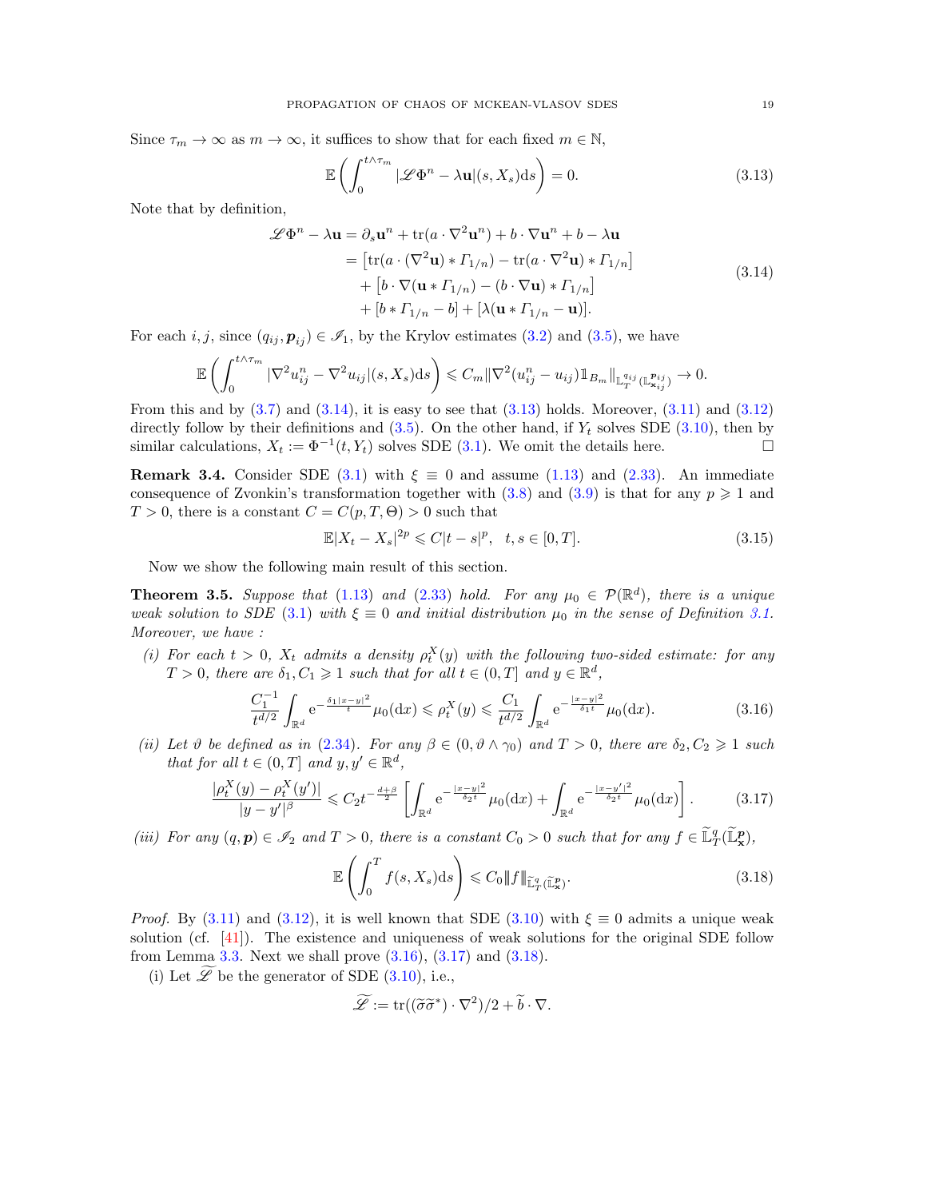Since  $\tau_m \to \infty$  as  $m \to \infty$ , it suffices to show that for each fixed  $m \in \mathbb{N}$ ,

<span id="page-18-2"></span><span id="page-18-1"></span>
$$
\mathbb{E}\left(\int_0^{t\wedge\tau_m} |\mathscr{L}\Phi^n - \lambda \mathbf{u}|(s,X_s)ds\right) = 0.
$$
\n(3.13)

Note that by definition,

 $\overline{\phantom{a}}$ 

$$
\mathcal{L}\Phi^{n} - \lambda \mathbf{u} = \partial_{s} \mathbf{u}^{n} + \text{tr}(a \cdot \nabla^{2} \mathbf{u}^{n}) + b \cdot \nabla \mathbf{u}^{n} + b - \lambda \mathbf{u}
$$
  
\n
$$
= \left[ \text{tr}(a \cdot (\nabla^{2} \mathbf{u}) \ast \Gamma_{1/n}) - \text{tr}(a \cdot \nabla^{2} \mathbf{u}) \ast \Gamma_{1/n} \right]
$$
  
\n
$$
+ \left[ b \cdot \nabla (\mathbf{u} \ast \Gamma_{1/n}) - (b \cdot \nabla \mathbf{u}) \ast \Gamma_{1/n} \right]
$$
  
\n
$$
+ \left[ b \ast \Gamma_{1/n} - b \right] + \left[ \lambda (\mathbf{u} \ast \Gamma_{1/n} - \mathbf{u}) \right].
$$
 (3.14)

For each i, j, since  $(q_{ij}, p_{ij}) \in \mathcal{I}_1$ , by the Krylov estimates [\(3.2\)](#page-15-3) and [\(3.5\)](#page-16-1), we have

$$
\mathbb{E}\left(\int_0^{t\wedge\tau_m} |\nabla^2 u_{ij}^n - \nabla^2 u_{ij}|(s,X_s)ds\right) \leq C_m \|\nabla^2 (u_{ij}^n - u_{ij})\mathbb{1}_{B_m}\|_{\mathbb{L}^{q_{ij}}_T(\mathbb{L}^{\mathbf{p}_{ij}}_{\mathbf{x}_{ij}})} \to 0.
$$

From this and by  $(3.7)$  and  $(3.14)$ , it is easy to see that  $(3.13)$  holds. Moreover,  $(3.11)$  and  $(3.12)$ directly follow by their definitions and  $(3.5)$ . On the other hand, if  $Y_t$  solves SDE  $(3.10)$ , then by similar calculations,  $X_t := \Phi^{-1}(t, Y_t)$  solves SDE [\(3.1\)](#page-15-1). We omit the details here.

**Remark 3.4.** Consider SDE [\(3.1\)](#page-15-1) with  $\xi \equiv 0$  and assume [\(1.13\)](#page-4-2) and [\(2.33\)](#page-14-5). An immediate consequence of Zvonkin's transformation together with  $(3.8)$  and  $(3.9)$  is that for any  $p \geq 1$  and  $T > 0$ , there is a constant  $C = C(p, T, \Theta) > 0$  such that

<span id="page-18-6"></span>
$$
\mathbb{E}|X_t - X_s|^{2p} \leq C|t - s|^p, \quad t, s \in [0, T]. \tag{3.15}
$$

Now we show the following main result of this section.

<span id="page-18-0"></span>**Theorem 3.5.** Suppose that [\(1.13\)](#page-4-2) and [\(2.33\)](#page-14-5) hold. For any  $\mu_0 \in \mathcal{P}(\mathbb{R}^d)$ , there is a unique weak solution to SDE [\(3.1\)](#page-15-1) with  $\xi \equiv 0$  and initial distribution  $\mu_0$  in the sense of Definition [3.1.](#page-15-2) Moreover, we have :

(i) For each  $t > 0$ ,  $X_t$  admits a density  $\rho_t^X(y)$  with the following two-sided estimate: for any  $T > 0$ , there are  $\delta_1, C_1 \geq 1$  such that for all  $t \in (0, T]$  and  $y \in \mathbb{R}^d$ ,

$$
\frac{C_1^{-1}}{t^{d/2}} \int_{\mathbb{R}^d} e^{-\frac{\delta_1 |x-y|^2}{t}} \mu_0(\mathrm{d}x) \leqslant \rho_t^X(y) \leqslant \frac{C_1}{t^{d/2}} \int_{\mathbb{R}^d} e^{-\frac{|x-y|^2}{\delta_1 t}} \mu_0(\mathrm{d}x). \tag{3.16}
$$

(ii) Let  $\vartheta$  be defined as in [\(2.34\)](#page-14-3). For any  $\beta \in (0, \vartheta \wedge \gamma_0)$  and  $T > 0$ , there are  $\delta_2, C_2 \geq 1$  such that for all  $t \in (0, T]$  and  $y, y' \in \mathbb{R}^d$ ,

$$
\frac{\rho_t^X(y) - \rho_t^X(y')|}{|y - y'|^{\beta}} \leq C_2 t^{-\frac{d+\beta}{2}} \left[ \int_{\mathbb{R}^d} e^{-\frac{|x - y|^2}{\delta_2 t}} \mu_0(\mathrm{d}x) + \int_{\mathbb{R}^d} e^{-\frac{|x - y'|^2}{\delta_2 t}} \mu_0(\mathrm{d}x) \right]. \tag{3.17}
$$

(iii) For any  $(q, p) \in \mathcal{I}_2$  and  $T > 0$ , there is a constant  $C_0 > 0$  such that for any  $f \in \tilde{\mathbb{L}}_T^q(\tilde{\mathbb{L}}_X^p)$ ,

<span id="page-18-5"></span><span id="page-18-4"></span><span id="page-18-3"></span>
$$
\mathbb{E}\left(\int_0^T f(s,X_s)\mathrm{d}s\right) \leqslant C_0 \|f\|_{\widetilde{\mathbb{L}}_T^q(\widetilde{\mathbb{L}}_x^p)}.\tag{3.18}
$$

*Proof.* By [\(3.11\)](#page-17-1) and [\(3.12\)](#page-17-2), it is well known that SDE [\(3.10\)](#page-17-0) with  $\xi \equiv 0$  admits a unique weak solution (cf. [\[41\]](#page-46-18)). The existence and uniqueness of weak solutions for the original SDE follow from Lemma [3.3.](#page-17-5) Next we shall prove  $(3.16)$ ,  $(3.17)$  and  $(3.18)$ .

(i) Let  $\widetilde{\mathscr{L}}$  be the generator of SDE [\(3.10\)](#page-17-0), i.e.,

$$
\widetilde{\mathscr{L}} := \operatorname{tr}((\widetilde{\sigma}\widetilde{\sigma}^*) \cdot \nabla^2)/2 + \widetilde{b} \cdot \nabla.
$$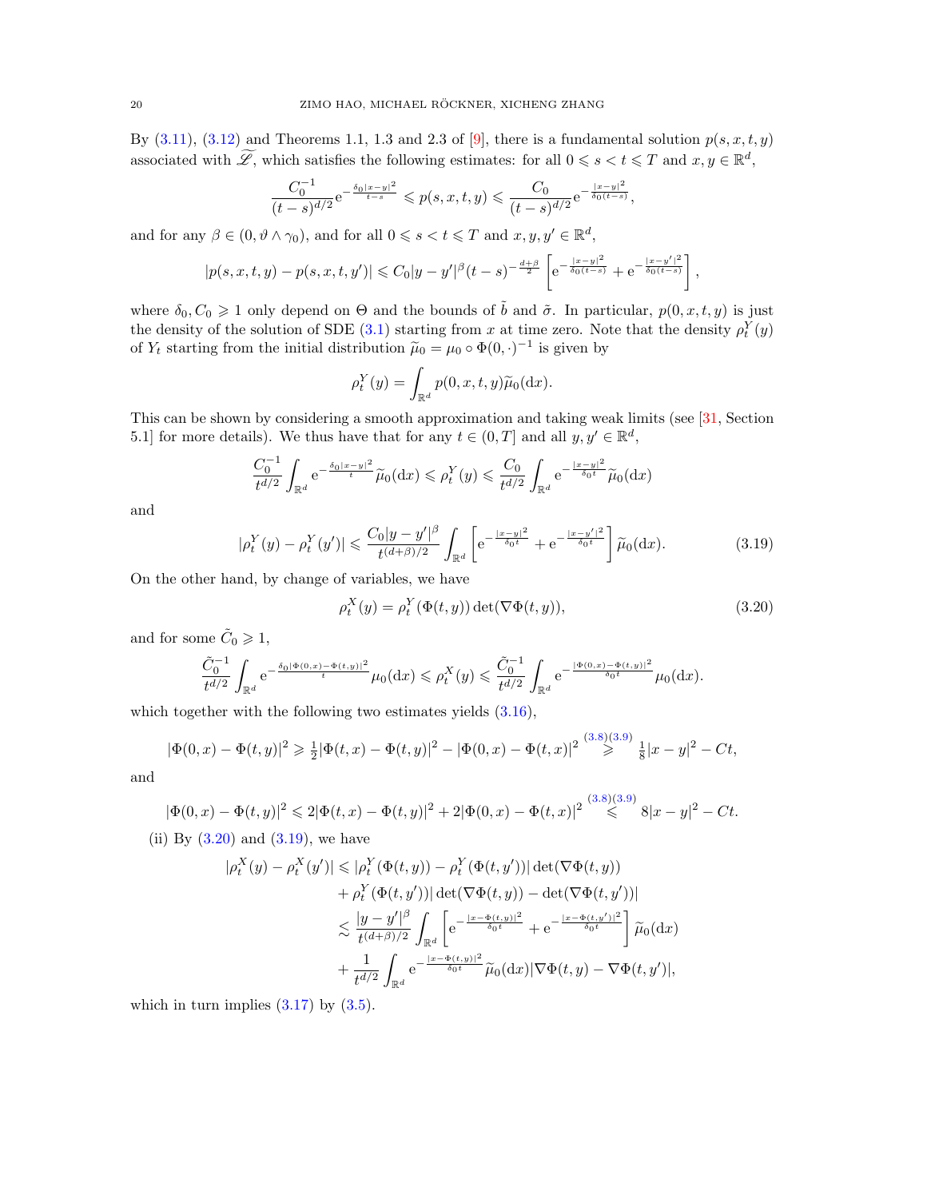By  $(3.11)$ ,  $(3.12)$  and Theorems 1.1, 1.3 and 2.3 of [\[9\]](#page-45-20), there is a fundamental solution  $p(s, x, t, y)$ associated with  $\widetilde{\mathscr{L}}$ , which satisfies the following estimates: for all  $0 \le s < t \le T$  and  $x, y \in \mathbb{R}^d$ ,

$$
\frac{C_0^{-1}}{(t-s)^{d/2}} e^{-\frac{\delta_0 |x-y|^2}{t-s}} \leqslant p(s,x,t,y) \leqslant \frac{C_0}{(t-s)^{d/2}} e^{-\frac{|x-y|^2}{\delta_0(t-s)}},
$$

and for any  $\beta \in (0, \vartheta \wedge \gamma_0)$ , and for all  $0 \leq s < t \leq T$  and  $x, y, y' \in \mathbb{R}^d$ ,

$$
|p(s, x, t, y) - p(s, x, t, y')| \leq C_0 |y - y'|^{\beta} (t - s)^{-\frac{d + \beta}{2}} \left[ e^{-\frac{|x - y|^2}{\delta_0 (t - s)}} + e^{-\frac{|x - y'|^2}{\delta_0 (t - s)}} \right],
$$

where  $\delta_0, C_0 \geq 1$  only depend on  $\Theta$  and the bounds of  $\tilde{b}$  and  $\tilde{\sigma}$ . In particular,  $p(0, x, t, y)$  is just the density of the solution of SDE [\(3.1\)](#page-15-1) starting from x at time zero. Note that the density  $\rho_t^Y(y)$ of  $Y_t$  starting from the initial distribution  $\tilde{\mu}_0 = \mu_0 \circ \Phi(0, \cdot)^{-1}$  is given by

$$
\rho_t^Y(y) = \int_{\mathbb{R}^d} p(0, x, t, y) \widetilde{\mu}_0(\mathrm{d} x).
$$

This can be shown by considering a smooth approximation and taking weak limits (see [\[31,](#page-46-19) Section 5.1] for more details). We thus have that for any  $t \in (0, T]$  and all  $y, y' \in \mathbb{R}^d$ ,

$$
\frac{C_0^{-1}}{t^{d/2}} \int_{\mathbb{R}^d} e^{-\frac{\delta_0 |x-y|^2}{t}} \widetilde{\mu}_0(\mathrm{d}x) \leqslant \rho_t^Y(y) \leqslant \frac{C_0}{t^{d/2}} \int_{\mathbb{R}^d} e^{-\frac{|x-y|^2}{\delta_0 t}} \widetilde{\mu}_0(\mathrm{d}x)
$$

and

$$
|\rho_t^Y(y) - \rho_t^Y(y')| \le \frac{C_0 |y - y'|^{\beta}}{t^{(d+\beta)/2}} \int_{\mathbb{R}^d} \left[ e^{-\frac{|x - y|^2}{\delta_0 t}} + e^{-\frac{|x - y'|^2}{\delta_0 t}} \right] \widetilde{\mu}_0(\mathrm{d}x). \tag{3.19}
$$

On the other hand, by change of variables, we have

<span id="page-19-1"></span><span id="page-19-0"></span>
$$
\rho_t^X(y) = \rho_t^Y(\Phi(t, y)) \det(\nabla \Phi(t, y)),\tag{3.20}
$$

and for some  $\tilde{C}_0 \geq 1$ ,

$$
\frac{\tilde{C}_0^{-1}}{t^{d/2}} \int_{\mathbb{R}^d} \mathrm{e}^{-\frac{\delta_0 |\Phi(0,x) - \Phi(t,y)|^2}{t}} \mu_0({\rm d} x) \leqslant \rho_t^X(y) \leqslant \frac{\tilde{C}_0^{-1}}{t^{d/2}} \int_{\mathbb{R}^d} \mathrm{e}^{-\frac{|\Phi(0,x) - \Phi(t,y)|^2}{\delta_0 t}} \mu_0({\rm d} x).
$$

which together with the following two estimates yields  $(3.16)$ ,

$$
|\Phi(0,x) - \Phi(t,y)|^2 \ge \frac{1}{2}|\Phi(t,x) - \Phi(t,y)|^2 - |\Phi(0,x) - \Phi(t,x)|^2 \stackrel{(3.8)(3.9)}{\ge} \frac{1}{8}|x-y|^2 - Ct,
$$

and

$$
|\Phi(0,x) - \Phi(t,y)|^2 \leq 2|\Phi(t,x) - \Phi(t,y)|^2 + 2|\Phi(0,x) - \Phi(t,x)|^2 \leq \sup_{t \to +\infty} (3.8)(3.9) \leq |\Phi(0,x) - \Phi(t,y)|^2 + 2|\Phi(0,x) - \Phi(t,x)|^2
$$

(ii) By  $(3.20)$  and  $(3.19)$ , we have

$$
\begin{split} |\rho_t^X(y) - \rho_t^X(y')| &\leq |\rho_t^Y(\Phi(t,y)) - \rho_t^Y(\Phi(t,y'))| \det(\nabla \Phi(t,y)) \\ &+ \rho_t^Y(\Phi(t,y'))| \det(\nabla \Phi(t,y)) - \det(\nabla \Phi(t,y'))| \\ &\leq \frac{|y - y'|^{\beta}}{t^{(d+\beta)/2}} \int_{\mathbb{R}^d} \left[ e^{-\frac{|x - \Phi(t,y)|^2}{\delta_0 t}} + e^{-\frac{|x - \Phi(t,y')|^2}{\delta_0 t}} \right] \widetilde{\mu}_0(\mathrm{d}x) \\ &+ \frac{1}{t^{d/2}} \int_{\mathbb{R}^d} e^{-\frac{|x - \Phi(t,y)|^2}{\delta_0 t}} \widetilde{\mu}_0(\mathrm{d}x) |\nabla \Phi(t,y) - \nabla \Phi(t,y')|, \end{split}
$$

which in turn implies  $(3.17)$  by  $(3.5)$ .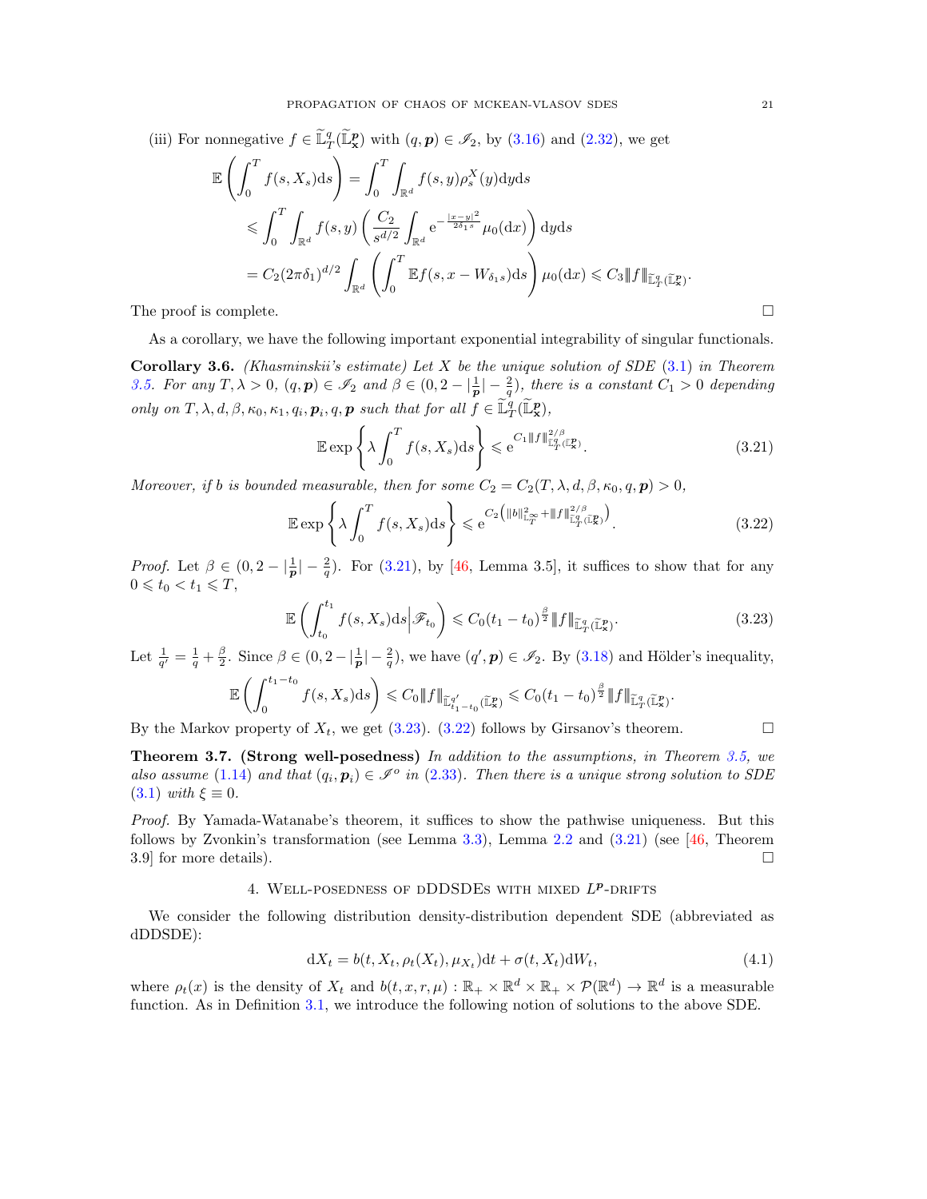(iii) For nonnegative  $f \in \tilde{\mathbb{L}}_T^q(\tilde{\mathbb{L}}_\mathbf{x}^p)$  with  $(q, p) \in \mathcal{I}_2$ , by [\(3.16\)](#page-18-3) and [\(2.32\)](#page-14-1), we get

$$
\mathbb{E}\left(\int_0^T f(s, X_s)ds\right) = \int_0^T \int_{\mathbb{R}^d} f(s, y)\rho_s^X(y)dyds
$$
  
\n
$$
\leqslant \int_0^T \int_{\mathbb{R}^d} f(s, y) \left(\frac{C_2}{s^{d/2}} \int_{\mathbb{R}^d} e^{-\frac{|x-y|^2}{2\delta_1 s}} \mu_0(dx)\right) dyds
$$
  
\n
$$
= C_2 (2\pi\delta_1)^{d/2} \int_{\mathbb{R}^d} \left(\int_0^T \mathbb{E}f(s, x - W_{\delta_1 s})ds\right) \mu_0(dx) \leqslant C_3 \|f\|_{\widetilde{\mathbb{L}}_T^q(\widetilde{\mathbb{L}}_T^p)}^{\widetilde{\mathbb{L}}}.
$$
  
\nThe proof is complete.

As a corollary, we have the following important exponential integrability of singular functionals.

**Corollary 3.6.** (Khasminskii's estimate) Let X be the unique solution of SDE  $(3.1)$  in Theorem [3.5.](#page-18-0) For any  $T, \lambda > 0$ ,  $(q, p) \in \mathscr{I}_2$  and  $\beta \in (0, 2 - \lfloor \frac{1}{p} \rfloor - \frac{2}{q})$ , there is a constant  $C_1 > 0$  depending only on  $T, \lambda, d, \beta, \kappa_0, \kappa_1, q_i, \mathbf{p}_i, q, \mathbf{p}$  such that for all  $f \in \widetilde{\mathbb{L}}_T^q(\widetilde{\mathbb{L}}_{\mathbf{x}}^{\mathbf{p}}),$ 

$$
\mathbb{E}\exp\left\{\lambda \int_0^T f(s,X_s)ds\right\} \leq e^{C_1 \|f\|_{\widetilde{\mathbb{L}}_T^q(\widetilde{\mathbb{L}}_x^p)}^{\frac{2}{\beta}}}. \tag{3.21}
$$

Moreover, if b is bounded measurable, then for some  $C_2 = C_2(T, \lambda, d, \beta, \kappa_0, q, p) > 0$ ,

$$
\mathbb{E}\exp\left\{\lambda \int_0^T f(s,X_s)ds\right\} \leqslant e^{C_2\left(\|b\|_{\mathbb{L}_T^\infty}^2 + \|f\|_{\mathbb{L}_T^q(\mathbb{L}_\mathbf{X}^p)}^{2/\beta}\right)}.
$$
\n(3.22)

*Proof.* Let  $\beta \in (0, 2 - \left|\frac{1}{p}\right| - \frac{2}{q})$ . For [\(3.21\)](#page-20-1), by [\[46,](#page-46-17) Lemma 3.5], it suffices to show that for any  $0 \leqslant t_0 < t_1 \leqslant T$ ,

$$
\mathbb{E}\left(\int_{t_0}^{t_1} f(s,X_s)ds \middle| \mathcal{F}_{t_0}\right) \leqslant C_0(t_1 - t_0)^{\frac{\beta}{2}} \|f\|_{\widetilde{\mathbb{L}}_T^q(\widetilde{\mathbb{L}}_x^p)}.
$$
\n(3.23)

Let  $\frac{1}{q'} = \frac{1}{q} + \frac{\beta}{2}$ . Since  $\beta \in (0, 2 - \left|\frac{1}{p}\right| - \frac{2}{q})$ , we have  $(q', p) \in \mathscr{I}_2$ . By [\(3.18\)](#page-18-5) and Hölder's inequality,

$$
\mathbb{E}\left(\int_0^{t_1-t_0}f(s,X_s)\mathrm{d} s\right) \leqslant C_0\|f\|_{\widetilde{\mathbb{L}}_{t_1-t_0}^{q'}(\widetilde{\mathbb{L}}_x^p)} \leqslant C_0(t_1-t_0)^{\frac{\beta}{2}}\|f\|_{\widetilde{\mathbb{L}}_{T}^{q}(\widetilde{\mathbb{L}}_x^p)}.
$$

By the Markov property of  $X_t$ , we get [\(3.23\)](#page-20-2). [\(3.22\)](#page-20-3) follows by Girsanov's theorem.

<span id="page-20-4"></span><span id="page-20-3"></span><span id="page-20-2"></span><span id="page-20-1"></span>

<span id="page-20-5"></span>Theorem 3.7. (Strong well-posedness) In addition to the assumptions, in Theorem [3.5,](#page-18-0) we also assume [\(1.14\)](#page-5-4) and that  $(q_i, p_i) \in \mathcal{I}^{\circ}$  in [\(2.33\)](#page-14-5). Then there is a unique strong solution to SDE  $(3.1)$  with  $\xi \equiv 0$ .

Proof. By Yamada-Watanabe's theorem, it suffices to show the pathwise uniqueness. But this follows by Zvonkin's transformation (see Lemma [3.3\)](#page-17-5), Lemma [2.2](#page-0-0) and  $(3.21)$  (see [\[46,](#page-46-17) Theorem 3.9] for more details).  $\square$ 

## 4. WELL-POSEDNESS OF DDDSDES WITH MIXED  $L^p$ -DRIFTS

<span id="page-20-0"></span>We consider the following distribution density-distribution dependent SDE (abbreviated as dDDSDE):

$$
dX_t = b(t, X_t, \rho_t(X_t), \mu_{X_t})dt + \sigma(t, X_t)dW_t,
$$
\n(4.1)

where  $\rho_t(x)$  is the density of  $X_t$  and  $b(t, x, r, \mu) : \mathbb{R}_+ \times \mathbb{R}^d \times \mathbb{R}_+ \times \mathcal{P}(\mathbb{R}^d) \to \mathbb{R}^d$  is a measurable function. As in Definition [3.1,](#page-15-2) we introduce the following notion of solutions to the above SDE.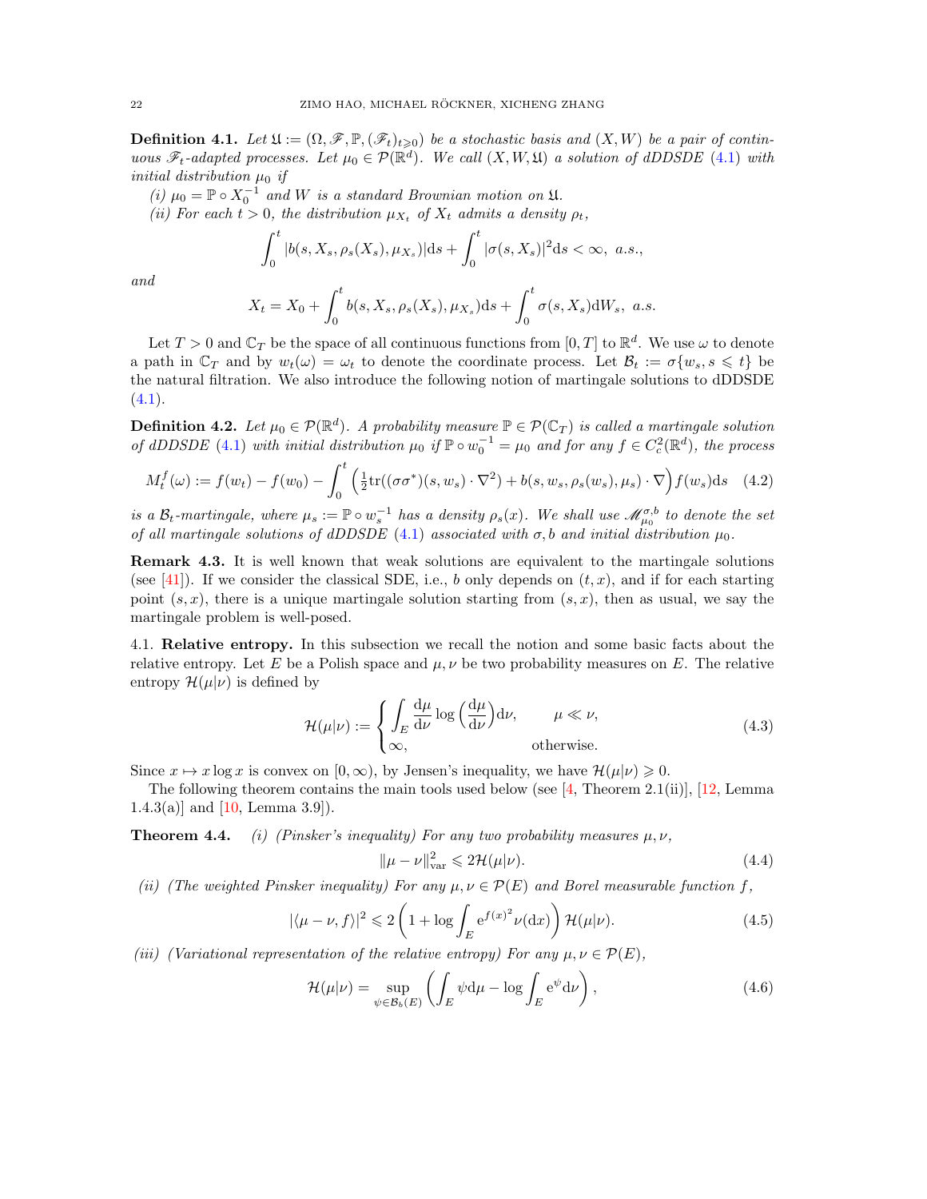**Definition 4.1.** Let  $\mathfrak{U} := (\Omega, \mathscr{F}, \mathbb{P}, (\mathscr{F}_t)_{t \geq 0})$  be a stochastic basis and  $(X, W)$  be a pair of continuous  $\mathscr{F}_t$ -adapted processes. Let  $\mu_0 \in \mathcal{P}(\mathbb{R}^d)$ . We call  $(X, W, \mathfrak{U})$  a solution of dDDSDE [\(4.1\)](#page-20-4) with initial distribution  $\mu_0$  if

(i)  $\mu_0 = \mathbb{P} \circ X_0^{-1}$  and W is a standard Brownian motion on  $\mathfrak{U}$ .

(ii) For each  $t > 0$ , the distribution  $\mu_{X_t}$  of  $X_t$  admits a density  $\rho_t$ ,

$$
\int_0^t |b(s, X_s, \rho_s(X_s), \mu_{X_s})| ds + \int_0^t |\sigma(s, X_s)|^2 ds < \infty, \ a.s.,
$$

and

$$
X_t = X_0 + \int_0^t b(s, X_s, \rho_s(X_s), \mu_{X_s}) ds + \int_0^t \sigma(s, X_s) dW_s, \ a.s.
$$

Let  $T > 0$  and  $\mathbb{C}_T$  be the space of all continuous functions from  $[0, T]$  to  $\mathbb{R}^d$ . We use  $\omega$  to denote a path in  $\mathbb{C}_T$  and by  $w_t(\omega) = \omega_t$  to denote the coordinate process. Let  $\mathcal{B}_t := \sigma\{w_s, s \leq t\}$  be the natural filtration. We also introduce the following notion of martingale solutions to dDDSDE  $(4.1).$  $(4.1).$ 

**Definition 4.2.** Let  $\mu_0 \in \mathcal{P}(\mathbb{R}^d)$ . A probability measure  $\mathbb{P} \in \mathcal{P}(\mathbb{C}_T)$  is called a martingale solution of dDDSDE [\(4.1\)](#page-20-4) with initial distribution  $\mu_0$  if  $\mathbb{P} \circ w_0^{-1} = \mu_0$  and for any  $f \in C_c^2(\mathbb{R}^d)$ , the process

$$
M_t^f(\omega) := f(w_t) - f(w_0) - \int_0^t \left( \frac{1}{2} \text{tr}((\sigma \sigma^*)(s, w_s) \cdot \nabla^2) + b(s, w_s, \rho_s(w_s), \mu_s) \cdot \nabla \right) f(w_s) \, ds \tag{4.2}
$$

is a  $\mathcal{B}_t$ -martingale, where  $\mu_s := \mathbb{P} \circ w_s^{-1}$  has a density  $\rho_s(x)$ . We shall use  $\mathcal{M}_{\mu_0}^{\sigma,b}$  to denote the set of all martingale solutions of dDDSDE [\(4.1\)](#page-20-4) associated with  $\sigma$ , b and initial distribution  $\mu_0$ .

<span id="page-21-2"></span>Remark 4.3. It is well known that weak solutions are equivalent to the martingale solutions (see [\[41\]](#page-46-18)). If we consider the classical SDE, i.e., b only depends on  $(t, x)$ , and if for each starting point  $(s, x)$ , there is a unique martingale solution starting from  $(s, x)$ , then as usual, we say the martingale problem is well-posed.

<span id="page-21-0"></span>4.1. Relative entropy. In this subsection we recall the notion and some basic facts about the relative entropy. Let E be a Polish space and  $\mu, \nu$  be two probability measures on E. The relative entropy  $\mathcal{H}(\mu|\nu)$  is defined by

<span id="page-21-4"></span>
$$
\mathcal{H}(\mu|\nu) := \begin{cases} \int_{E} \frac{d\mu}{d\nu} \log \left( \frac{d\mu}{d\nu} \right) d\nu, & \mu \ll \nu, \\ \infty, & \text{otherwise.} \end{cases}
$$
(4.3)

Since  $x \mapsto x \log x$  is convex on  $[0, \infty)$ , by Jensen's inequality, we have  $\mathcal{H}(\mu|\nu) \geq 0$ .

The following theorem contains the main tools used below (see  $[4,$  Theorem 2.1(ii)], [\[12,](#page-45-21) Lemma 1.4.3(a)] and  $[10, \text{Lemma } 3.9]$ .

**Theorem 4.4.** (i) (Pinsker's inequality) For any two probability measures  $\mu, \nu$ ,

<span id="page-21-5"></span><span id="page-21-3"></span><span id="page-21-1"></span>
$$
\|\mu - \nu\|_{\text{var}}^2 \leq 2\mathcal{H}(\mu|\nu). \tag{4.4}
$$

(ii) (The weighted Pinsker inequality) For any  $\mu, \nu \in \mathcal{P}(E)$  and Borel measurable function f,

$$
|\langle \mu - \nu, f \rangle|^2 \leq 2 \left( 1 + \log \int_E e^{f(x)^2} \nu(dx) \right) \mathcal{H}(\mu|\nu).
$$
 (4.5)

(iii) (Variational representation of the relative entropy) For any  $\mu, \nu \in \mathcal{P}(E)$ ,

$$
\mathcal{H}(\mu|\nu) = \sup_{\psi \in \mathcal{B}_b(E)} \left( \int_E \psi \, \mathrm{d}\mu - \log \int_E \mathrm{e}^{\psi} \, \mathrm{d}\nu \right),\tag{4.6}
$$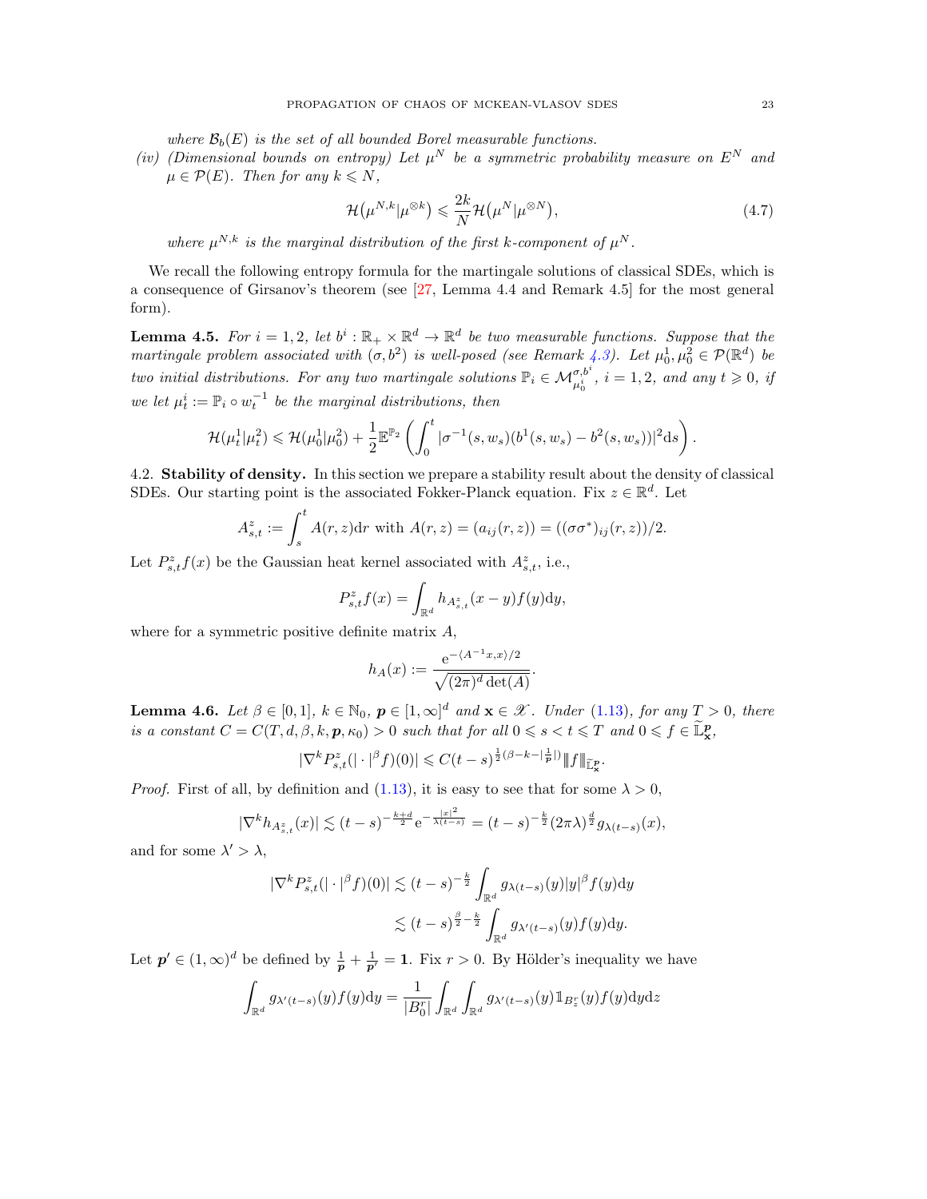where  $\mathcal{B}_b(E)$  is the set of all bounded Borel measurable functions.

(iv) (Dimensional bounds on entropy) Let  $\mu^N$  be a symmetric probability measure on  $E^N$  and  $\mu \in \mathcal{P}(E)$ . Then for any  $k \leq N$ ,

<span id="page-22-3"></span>
$$
\mathcal{H}(\mu^{N,k}|\mu^{\otimes k}) \leq \frac{2k}{N} \mathcal{H}(\mu^N|\mu^{\otimes N}),\tag{4.7}
$$

where  $\mu^{N,k}$  is the marginal distribution of the first k-component of  $\mu^N$ .

We recall the following entropy formula for the martingale solutions of classical SDEs, which is a consequence of Girsanov's theorem (see [\[27,](#page-45-23) Lemma 4.4 and Remark 4.5] for the most general form).

<span id="page-22-2"></span>**Lemma 4.5.** For  $i = 1, 2$ , let  $b^i : \mathbb{R}_+ \times \mathbb{R}^d \to \mathbb{R}^d$  be two measurable functions. Suppose that the martingale problem associated with  $(\sigma, b^2)$  is well-posed (see Remark [4.3\)](#page-21-2). Let  $\mu_0^1, \mu_0^2 \in \mathcal{P}(\mathbb{R}^d)$  be two initial distributions. For any two martingale solutions  $\mathbb{P}_i \in \mathcal{M}_{\mu_0^i}^{\sigma,b^i}$ ,  $i = 1,2$ , and any  $t \geqslant 0$ , if we let  $\mu_t^i := \mathbb{P}_i \circ w_t^{-1}$  be the marginal distributions, then

$$
\mathcal{H}(\mu_t^1 | \mu_t^2) \leq \mathcal{H}(\mu_0^1 | \mu_0^2) + \frac{1}{2} \mathbb{E}^{\mathbb{P}_2} \left( \int_0^t |\sigma^{-1}(s, w_s)(b^1(s, w_s) - b^2(s, w_s))|^2 ds \right).
$$

<span id="page-22-0"></span>4.2. Stability of density. In this section we prepare a stability result about the density of classical SDEs. Our starting point is the associated Fokker-Planck equation. Fix  $z \in \mathbb{R}^d$ . Let

$$
A_{s,t}^{z} := \int_{s}^{t} A(r, z) dr \text{ with } A(r, z) = (a_{ij}(r, z)) = ((\sigma \sigma^*)_{ij}(r, z))/2.
$$

Let  $P_{s,t}^z f(x)$  be the Gaussian heat kernel associated with  $A_{s,t}^z$ , i.e.,

$$
P_{s,t}^z f(x) = \int_{\mathbb{R}^d} h_{A_{s,t}^z}(x-y) f(y) \mathrm{d}y,
$$

where for a symmetric positive definite matrix  $A$ ,

$$
h_A(x) := \frac{e^{-\langle A^{-1}x, x \rangle/2}}{\sqrt{(2\pi)^d \det(A)}}.
$$

<span id="page-22-1"></span>**Lemma 4.6.** Let  $\beta \in [0,1]$ ,  $k \in \mathbb{N}_0$ ,  $p \in [1,\infty]^d$  and  $\mathbf{x} \in \mathcal{X}$ . Under [\(1.13\)](#page-4-2), for any  $T > 0$ , there is a constant  $C = C(T, d, \beta, k, p, \kappa_0) > 0$  such that for all  $0 \le s < t \le T$  and  $0 \le f \in \mathbb{L}^p_{\mathbf{x}}$ ,

$$
|\nabla^k P_{s,t}^z(|\cdot|^{\beta} f)(0)| \leq C(t-s)^{\frac{1}{2}(\beta - k - |\frac{1}{p}|)} \|f\|_{\widetilde{\mathbb{L}}^p_x}.
$$

*Proof.* First of all, by definition and [\(1.13\)](#page-4-2), it is easy to see that for some  $\lambda > 0$ ,

$$
|\nabla^k h_{A_{s,t}^z}(x)| \lesssim (t-s)^{-\frac{k+d}{2}} e^{-\frac{|x|^2}{\lambda(t-s)}} = (t-s)^{-\frac{k}{2}} (2\pi\lambda)^{\frac{d}{2}} g_{\lambda(t-s)}(x),
$$

and for some  $\lambda' > \lambda$ ,

$$
\begin{aligned} |\nabla^k P_{s,t}^z(|\cdot|^\beta f)(0)| &\lesssim (t-s)^{-\frac{k}{2}} \int_{\mathbb{R}^d} g_{\lambda(t-s)}(y)|y|^\beta f(y) \mathrm{d}y \\ &\lesssim (t-s)^{\frac{\beta}{2}-\frac{k}{2}} \int_{\mathbb{R}^d} g_{\lambda'(t-s)}(y)f(y) \mathrm{d}y. \end{aligned}
$$

Let  $p' \in (1,\infty)^d$  be defined by  $\frac{1}{p} + \frac{1}{p'} = 1$ . Fix  $r > 0$ . By Hölder's inequality we have

$$
\int_{\mathbb{R}^d} g_{\lambda'(t-s)}(y) f(y) dy = \frac{1}{|B_0^r|} \int_{\mathbb{R}^d} \int_{\mathbb{R}^d} g_{\lambda'(t-s)}(y) \mathbb{1}_{B_z^r}(y) f(y) dy dz
$$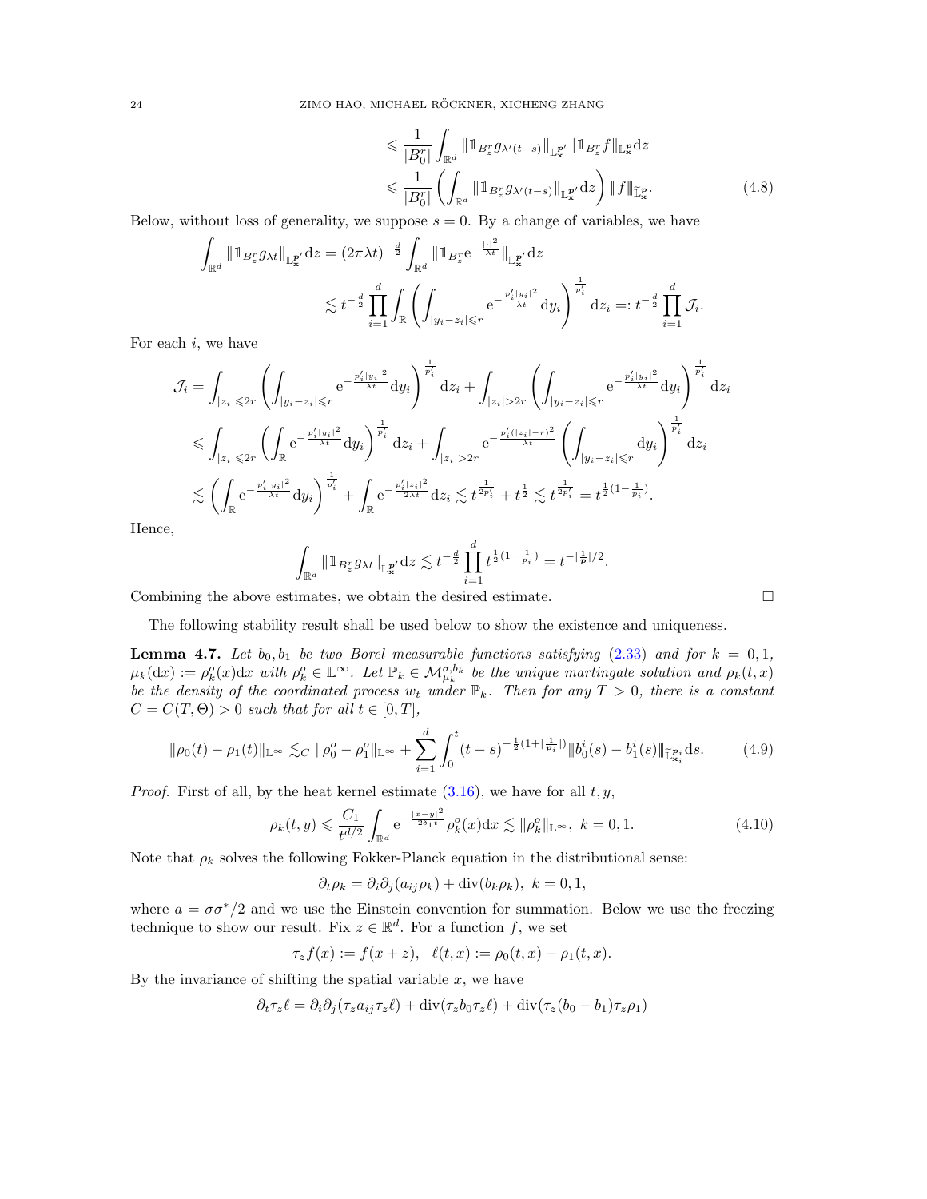$$
\leq \frac{1}{|B_0^r|} \int_{\mathbb{R}^d} \|1_{B_z^r} g_{\lambda'(t-s)}\|_{\mathbb{L}^{p'}_{\mathbf{x}}} \|1_{B_z^r} f\|_{\mathbb{L}^p_{\mathbf{x}}} dz
$$
\n
$$
\leq \frac{1}{|B_0^r|} \left( \int_{\mathbb{R}^d} \|1_{B_z^r} g_{\lambda'(t-s)}\|_{\mathbb{L}^{p'}_{\mathbf{x}}} dz \right) \|f\|_{\mathbb{L}^p_{\mathbf{x}}}.
$$
\n(4.8)

.

Below, without loss of generality, we suppose  $s = 0$ . By a change of variables, we have

$$
\int_{\mathbb{R}^d} || \mathbb{1}_{B_z^r} g_{\lambda t} ||_{\mathbb{L}^{\mathbf{p}'}_{\mathbf{x}}} dz = (2\pi \lambda t)^{-\frac{d}{2}} \int_{\mathbb{R}^d} || \mathbb{1}_{B_z^r} e^{-\frac{| \cdot |^2}{\lambda t}} ||_{\mathbb{L}^{\mathbf{p}'}_{\mathbf{x}}} dz
$$
\n
$$
\lesssim t^{-\frac{d}{2}} \prod_{i=1}^d \int_{\mathbb{R}} \left( \int_{|y_i - z_i| \leqslant r} e^{-\frac{p_i'|y_i|^2}{\lambda t}} dy_i \right)^{\frac{1}{p_i'}} dz_i =: t^{-\frac{d}{2}} \prod_{i=1}^d \mathcal{J}_i.
$$

For each  $i$ , we have

$$
\mathcal{J}_{i} = \int_{|z_{i}| \leqslant 2r} \left( \int_{|y_{i}-z_{i}| \leqslant r} e^{-\frac{p'_{i}|y_{i}|^{2}}{\lambda t}} dy_{i} \right)^{\frac{1}{p'_{i}}}} dz_{i} + \int_{|z_{i}| > 2r} \left( \int_{|y_{i}-z_{i}| \leqslant r} e^{-\frac{p'_{i}|y_{i}|^{2}}{\lambda t}} dy_{i} \right)^{\frac{1}{p'_{i}}} dz_{i}
$$
\n
$$
\leqslant \int_{|z_{i}| \leqslant 2r} \left( \int_{\mathbb{R}} e^{-\frac{p'_{i}|y_{i}|^{2}}{\lambda t}} dy_{i} \right)^{\frac{1}{p'_{i}}} dz_{i} + \int_{|z_{i}| > 2r} e^{-\frac{p'_{i}(|z_{i}| - r)^{2}}{\lambda t}} \left( \int_{|y_{i}-z_{i}| \leqslant r} dy_{i} \right)^{\frac{1}{p'_{i}}} dz_{i}
$$
\n
$$
\lesssim \left( \int_{\mathbb{R}} e^{-\frac{p'_{i}|y_{i}|^{2}}{\lambda t}} dy_{i} \right)^{\frac{1}{p'_{i}}} + \int_{\mathbb{R}} e^{-\frac{p'_{i}|z_{i}|^{2}}{2\lambda t}} dz_{i} \lesssim t^{\frac{1}{2p'_{i}}} + t^{\frac{1}{2}} \lesssim t^{\frac{1}{2p'_{i}}} = t^{\frac{1}{2}(1 - \frac{1}{p_{i}})}.
$$

Hence,

$$
\int_{\mathbb{R}^d} \|1_{B_z^r} g_{\lambda t}\|_{\mathbb{L}^{p'}_{\mathbf{x}}} dz \lesssim t^{-\frac{d}{2}} \prod_{i=1}^d t^{\frac{1}{2}(1-\frac{1}{p_i})} = t^{-|\frac{1}{p}|/2}
$$

Combining the above estimates, we obtain the desired estimate.

<span id="page-23-1"></span><span id="page-23-0"></span>
$$
\qquad \qquad \Box
$$

The following stability result shall be used below to show the existence and uniqueness.

<span id="page-23-2"></span>**Lemma 4.7.** Let  $b_0, b_1$  be two Borel measurable functions satisfying [\(2.33\)](#page-14-5) and for  $k = 0, 1$ ,  $\mu_k(\mathrm{d}x) := \rho_k^o(x) \mathrm{d}x$  with  $\rho_k^o \in \mathbb{L}^\infty$ . Let  $\mathbb{P}_k \in \mathcal{M}_{\mu_k}^{\sigma,b_k}$  be the unique martingale solution and  $\rho_k(t,x)$ be the density of the coordinated process  $w_t$  under  $\mathbb{P}_k$ . Then for any  $T > 0$ , there is a constant  $C = C(T, \Theta) > 0$  such that for all  $t \in [0, T]$ ,

$$
\|\rho_0(t) - \rho_1(t)\|_{\mathbb{L}^\infty} \lesssim_C \|\rho_0^o - \rho_1^o\|_{\mathbb{L}^\infty} + \sum_{i=1}^d \int_0^t (t-s)^{-\frac{1}{2}(1 + |\frac{1}{p_i}|)} \|b_0^i(s) - b_1^i(s)\|_{\mathbb{L}^{p_i}_{\mathbf{x}_i}} ds. \tag{4.9}
$$

*Proof.* First of all, by the heat kernel estimate  $(3.16)$ , we have for all t, y,

$$
\rho_k(t, y) \leq \frac{C_1}{t^{d/2}} \int_{\mathbb{R}^d} e^{-\frac{|x - y|^2}{2\delta_1 t}} \rho_k^o(x) dx \lesssim \| \rho_k^o \|_{\mathbb{L}^\infty}, \ k = 0, 1. \tag{4.10}
$$

Note that  $\rho_k$  solves the following Fokker-Planck equation in the distributional sense:

$$
\partial_t \rho_k = \partial_i \partial_j (a_{ij} \rho_k) + \text{div}(b_k \rho_k), \ k = 0, 1,
$$

where  $a = \sigma \sigma^*/2$  and we use the Einstein convention for summation. Below we use the freezing technique to show our result. Fix  $z \in \mathbb{R}^d$ . For a function f, we set

$$
\tau_z f(x) := f(x+z), \ \ell(t,x) := \rho_0(t,x) - \rho_1(t,x).
$$

By the invariance of shifting the spatial variable  $x$ , we have

$$
\partial_t \tau_z \ell = \partial_i \partial_j (\tau_z a_{ij} \tau_z \ell) + \text{div}(\tau_z b_0 \tau_z \ell) + \text{div}(\tau_z (b_0 - b_1) \tau_z \rho_1)
$$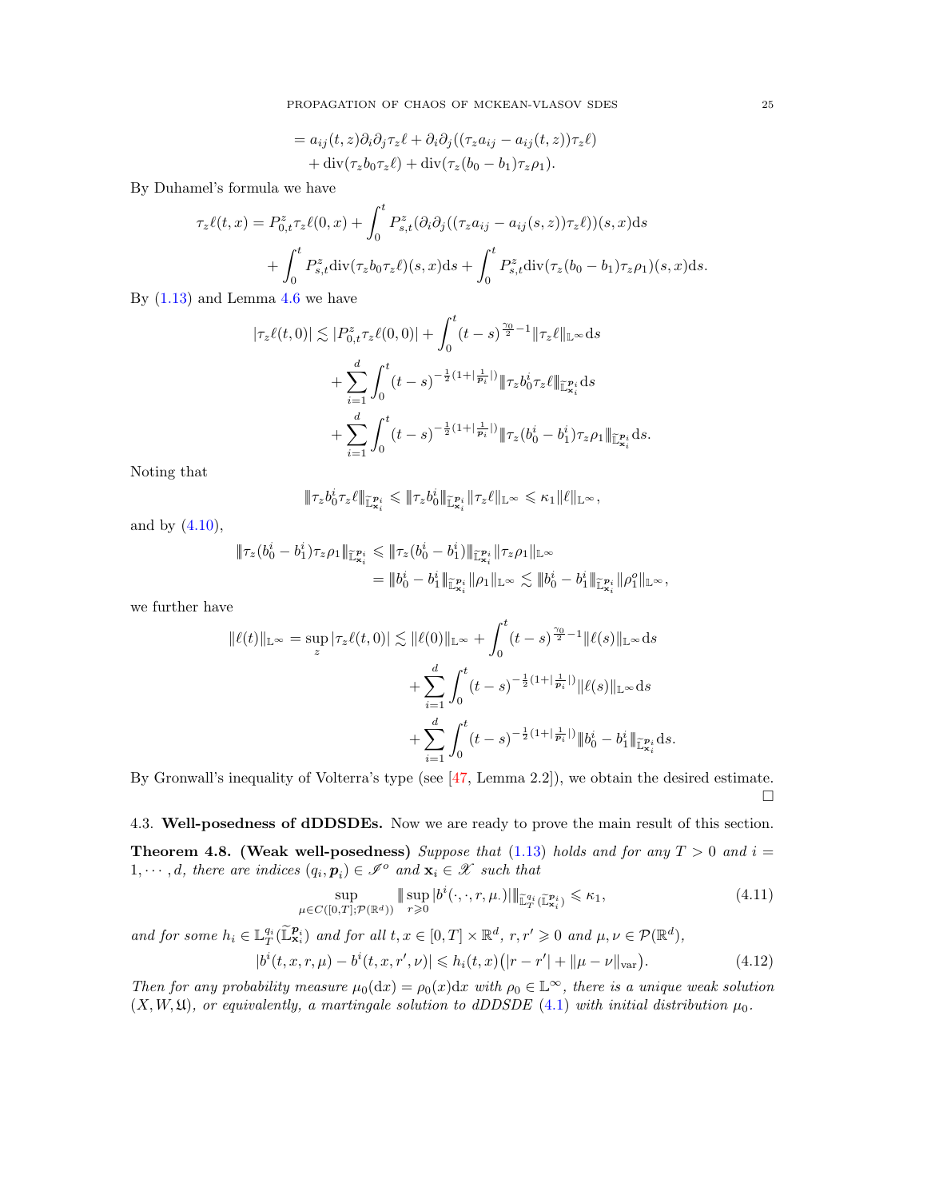PROPAGATION OF CHAOS OF MCKEAN-VLASOV SDES 25

$$
= a_{ij}(t, z)\partial_i\partial_j\tau_z\ell + \partial_i\partial_j((\tau_z a_{ij} - a_{ij}(t, z))\tau_z\ell)
$$
  
+ 
$$
\text{div}(\tau_z b_0 \tau_z\ell) + \text{div}(\tau_z (b_0 - b_1) \tau_z \rho_1).
$$

By Duhamel's formula we have

$$
\tau_z \ell(t, x) = P_{0,t}^z \tau_z \ell(0, x) + \int_0^t P_{s,t}^z (\partial_i \partial_j ((\tau_z a_{ij} - a_{ij}(s, z)) \tau_z \ell))(s, x) ds
$$

$$
+ \int_0^t P_{s,t}^z \text{div}(\tau_z b_0 \tau_z \ell)(s, x) ds + \int_0^t P_{s,t}^z \text{div}(\tau_z (b_0 - b_1) \tau_z \rho_1)(s, x) ds.
$$

By  $(1.13)$  and Lemma [4.6](#page-22-1) we have

$$
|\tau_z \ell(t,0)| \lesssim |P_{0,t}^z \tau_z \ell(0,0)| + \int_0^t (t-s)^{\frac{\gamma_0}{2}-1} \|\tau_z \ell\|_{\mathbb{L}^\infty} ds
$$
  
+ 
$$
\sum_{i=1}^d \int_0^t (t-s)^{-\frac{1}{2}(1+|\frac{1}{p_i}|)} \|\tau_z b_0^i \tau_z \ell\|_{\mathbb{L}^{p_i}_{\mathbf{x}_i}} ds
$$
  
+ 
$$
\sum_{i=1}^d \int_0^t (t-s)^{-\frac{1}{2}(1+|\frac{1}{p_i}|)} \|\tau_z (b_0^i - b_1^i) \tau_z \rho_1\|_{\mathbb{L}^{p_i}_{\mathbf{x}_i}} ds.
$$

Noting that

$$
\|\tau_z b_0^i \tau_z\ell\|_{\widetilde{\mathbb L}^{\mathcal P_i}_{\mathbf x_i}} \leqslant \|\tau_z b_0^i\|_{\widetilde{\mathbb L}^{\mathcal P_i}_{\mathbf x_i}} \|\tau_z\ell\|_{\mathbb L^\infty} \leqslant \kappa_1 \|\ell\|_{\mathbb L^\infty},
$$

and by [\(4.10\)](#page-23-0),

$$
\begin{aligned} \|\tau_z(b^i_0-b^i_1)\tau_z\rho_1\|_{\widetilde{\mathbb L}^{\mathcal P_i}_{x_i}} \leqslant & \|\tau_z(b^i_0-b^i_1)\|_{\widetilde{\mathbb L}^{\mathcal P_i}_{x_i}} \|\tau_z\rho_1\|_{\mathbb L^\infty} \\ & = \|\boldsymbol{b}^i_0-\boldsymbol{b}^i_1\|_{\widetilde{\mathbb L}^{\mathcal P_i}_{x_i}} \|\rho_1\|_{\mathbb L^\infty} \lesssim \|\boldsymbol{b}^i_0-\boldsymbol{b}^i_1\|_{\widetilde{\mathbb L}^{\mathcal P_i}_{x_i}} \|\rho_1^o\|_{\mathbb L^\infty}, \end{aligned}
$$

we further have

$$
\|\ell(t)\|_{\mathbb{L}^{\infty}} = \sup_{z} |\tau_{z}\ell(t,0)| \lesssim \|\ell(0)\|_{\mathbb{L}^{\infty}} + \int_{0}^{t} (t-s)^{\frac{\gamma_{0}}{2}-1} \|\ell(s)\|_{\mathbb{L}^{\infty}} ds + \sum_{i=1}^{d} \int_{0}^{t} (t-s)^{-\frac{1}{2}(1+|\frac{1}{p_{i}}|)} \|\ell(s)\|_{\mathbb{L}^{\infty}} ds + \sum_{i=1}^{d} \int_{0}^{t} (t-s)^{-\frac{1}{2}(1+|\frac{1}{p_{i}}|)} \|b_{0}^{i} - b_{1}^{i}\|_{\mathbb{L}^{\mathbb{P}_{i}}_{\mathbf{x}_{i}}} ds.
$$

By Gronwall's inequality of Volterra's type (see [\[47,](#page-46-20) Lemma 2.2]), we obtain the desired estimate.  $\Box$ 

<span id="page-24-3"></span><span id="page-24-0"></span>4.3. Well-posedness of dDDSDEs. Now we are ready to prove the main result of this section. **Theorem 4.8. (Weak well-posedness)** Suppose that [\(1.13\)](#page-4-2) holds and for any  $T > 0$  and  $i =$ 1,  $\dots$ , d, there are indices  $(q_i, p_i) \in \mathcal{I}^{\circ}$  and  $\mathbf{x}_i \in \mathcal{X}$  such that

<span id="page-24-2"></span><span id="page-24-1"></span>
$$
\sup_{\mu \in C([0,T]; \mathcal{P}(\mathbb{R}^d))} \| \sup_{r \geq 0} |b^i(\cdot, \cdot, r, \mu.)| \|_{\mathbb{L}^{q_i}_T(\mathbb{L}^{\mathbf{p}_i}_{\mathbf{x}_i})} \leq \kappa_1,
$$
\n(4.11)

and for some  $h_i \in \mathbb{L}_T^{q_i}(\widetilde{\mathbb{L}}_{\mathbf{x}_i}^{p_i})$  and for all  $t, x \in [0,T] \times \mathbb{R}^d$ ,  $r, r' \geq 0$  and  $\mu, \nu \in \mathcal{P}(\mathbb{R}^d)$ ,

$$
|b^{i}(t, x, r, \mu) - b^{i}(t, x, r', \nu)| \le h_{i}(t, x)(|r - r'| + ||\mu - \nu||_{var}). \tag{4.12}
$$

Then for any probability measure  $\mu_0(\mathrm{d}x) = \rho_0(x) \mathrm{d}x$  with  $\rho_0 \in \mathbb{L}^\infty$ , there is a unique weak solution  $(X, W, \mathfrak{U})$ , or equivalently, a martingale solution to dDDSDE [\(4.1\)](#page-20-4) with initial distribution  $\mu_0$ .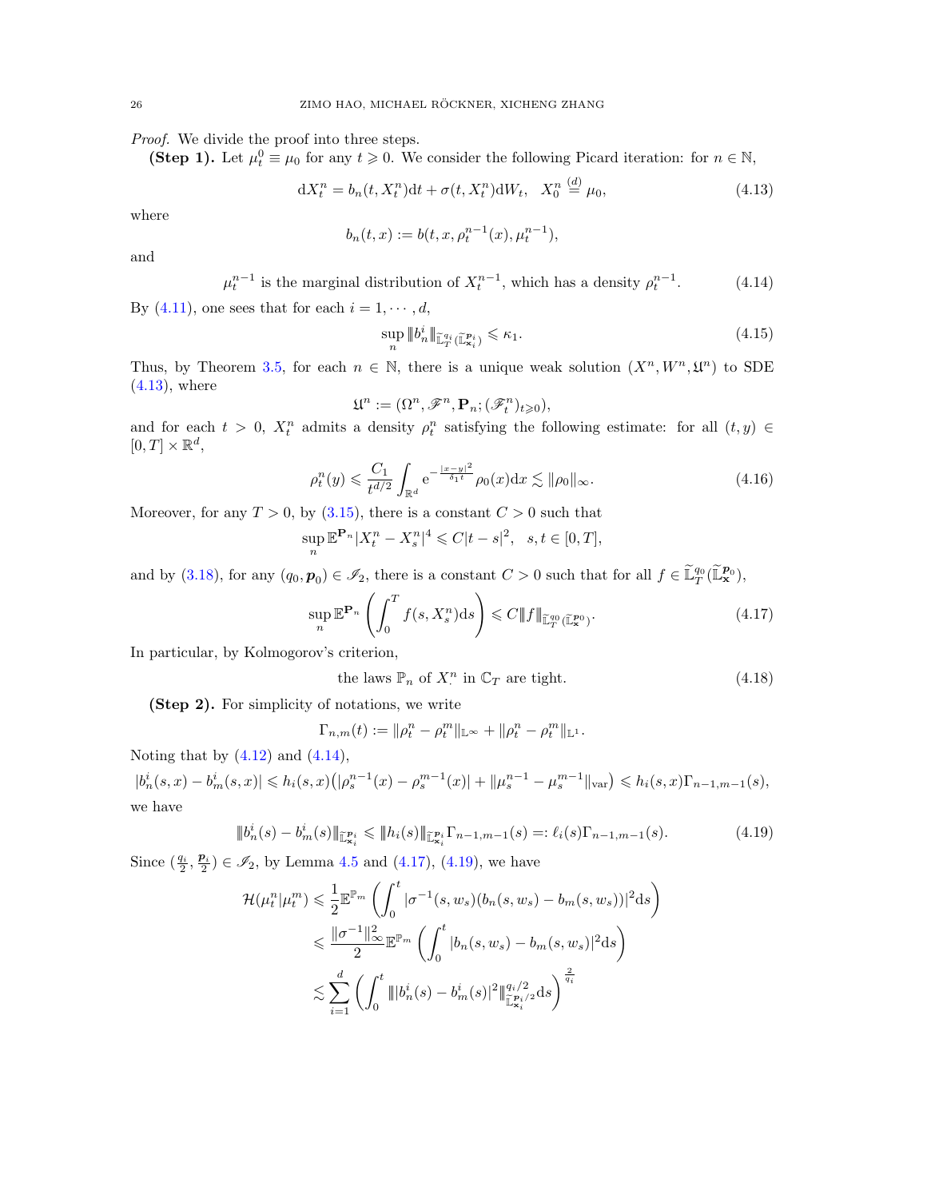Proof. We divide the proof into three steps.

(Step 1). Let  $\mu_t^0 \equiv \mu_0$  for any  $t \geq 0$ . We consider the following Picard iteration: for  $n \in \mathbb{N}$ ,

$$
dX_t^n = b_n(t, X_t^n)dt + \sigma(t, X_t^n)dW_t, \quad X_0^n \stackrel{(d)}{=} \mu_0,\tag{4.13}
$$

where

$$
b_n(t, x) := b(t, x, \rho_t^{n-1}(x), \mu_t^{n-1}),
$$

and

$$
\mu_t^{n-1}
$$
 is the marginal distribution of  $X_t^{n-1}$ , which has a density  $\rho_t^{n-1}$ . (4.14)

By [\(4.11\)](#page-24-1), one sees that for each  $i = 1, \dots, d$ ,

<span id="page-25-4"></span><span id="page-25-1"></span><span id="page-25-0"></span>
$$
\sup_{n} \|b_n^i\|_{\widetilde{\mathbb{L}}_T^{q_i}(\widetilde{\mathbb{L}}_{\mathbf{x}_i}^{p_i})} \leqslant \kappa_1. \tag{4.15}
$$

Thus, by Theorem [3.5,](#page-18-0) for each  $n \in \mathbb{N}$ , there is a unique weak solution  $(X^n, W^n, \mathfrak{U}^n)$  to SDE  $(4.13)$ , where

$$
\mathfrak{U}^n:=(\Omega^n,\mathscr{F}^n,{\bf P}_n;(\mathscr{F}^n_t)_{t\geqslant 0}),
$$

and for each  $t > 0$ ,  $X_t^n$  admits a density  $\rho_t^n$  satisfying the following estimate: for all  $(t, y) \in$  $[0, T] \times \mathbb{R}^d$ ,

$$
\rho_t^n(y) \leqslant \frac{C_1}{t^{d/2}} \int_{\mathbb{R}^d} e^{-\frac{|x-y|^2}{\delta_1 t}} \rho_0(x) dx \lesssim \|\rho_0\|_{\infty}.
$$
\n(4.16)

Moreover, for any  $T > 0$ , by  $(3.15)$ , there is a constant  $C > 0$  such that

$$
\sup_{n} \mathbb{E}^{\mathbf{P}_n} |X_t^n - X_s^n|^4 \leq C |t - s|^2, \ \ s, t \in [0, T],
$$

and by [\(3.18\)](#page-18-5), for any  $(q_0, p_0) \in \mathscr{I}_2$ , there is a constant  $C > 0$  such that for all  $f \in \tilde{\mathbb{L}}_T^{q_0}(\tilde{\mathbb{L}}_x^{p_0}),$ 

$$
\sup_{n} \mathbb{E}^{\mathbf{P}_n} \left( \int_0^T f(s, X_s^n) \, ds \right) \leq C \| f \|_{\widetilde{\mathbb{L}}_T^{q_0}(\widetilde{\mathbb{L}}_\mathbf{x}^{p_0})}.
$$
\n
$$
(4.17)
$$

In particular, by Kolmogorov's criterion,

<span id="page-25-5"></span><span id="page-25-3"></span><span id="page-25-2"></span>the laws 
$$
\mathbb{P}_n
$$
 of  $X^n$  in  $\mathbb{C}_T$  are tight. 
$$
(4.18)
$$

(Step 2). For simplicity of notations, we write

$$
\Gamma_{n,m}(t) := \|\rho_t^n - \rho_t^m\|_{\mathbb{L}^\infty} + \|\rho_t^n - \rho_t^m\|_{\mathbb{L}^1}.
$$

Noting that by  $(4.12)$  and  $(4.14)$ ,

 $|b_n^i(s,x)-b_m^i(s,x)| \leqslant h_i(s,x)\big(|\rho_s^{n-1}(x)-\rho_s^{m-1}(x)|+ \|\mu_s^{n-1}-\mu_s^{m-1}\|_{\text{var}}\big) \leqslant h_i(s,x)\Gamma_{n-1,m-1}(s),$ we have

$$
\|b_n^i(s) - b_m^i(s)\|_{\widetilde{\mathbb{L}}^{p_i}_{\mathbf{x}_i}} \le \|h_i(s)\|_{\widetilde{\mathbb{L}}^{p_i}_{\mathbf{x}_i}} \Gamma_{n-1,m-1}(s) =: \ell_i(s)\Gamma_{n-1,m-1}(s). \tag{4.19}
$$

Since  $(\frac{q_i}{2}, \frac{p_i}{2}) \in \mathcal{I}_2$ , by Lemma [4.5](#page-22-2) and [\(4.17\)](#page-25-2), [\(4.19\)](#page-25-3), we have

$$
\mathcal{H}(\mu_t^n | \mu_t^m) \leq \frac{1}{2} \mathbb{E}^{\mathbb{P}_m} \left( \int_0^t |\sigma^{-1}(s, w_s)(b_n(s, w_s) - b_m(s, w_s))|^2 \, ds \right)
$$
  

$$
\leq \frac{\|\sigma^{-1}\|_{\infty}^2}{2} \mathbb{E}^{\mathbb{P}_m} \left( \int_0^t |b_n(s, w_s) - b_m(s, w_s)|^2 \, ds \right)
$$
  

$$
\lesssim \sum_{i=1}^d \left( \int_0^t \| |b_n^i(s) - b_m^i(s)|^2 \|\mathbf{f}_{\mathbf{X}_i}^{q_i/2} \, ds \right)^{\frac{2}{q_i}}
$$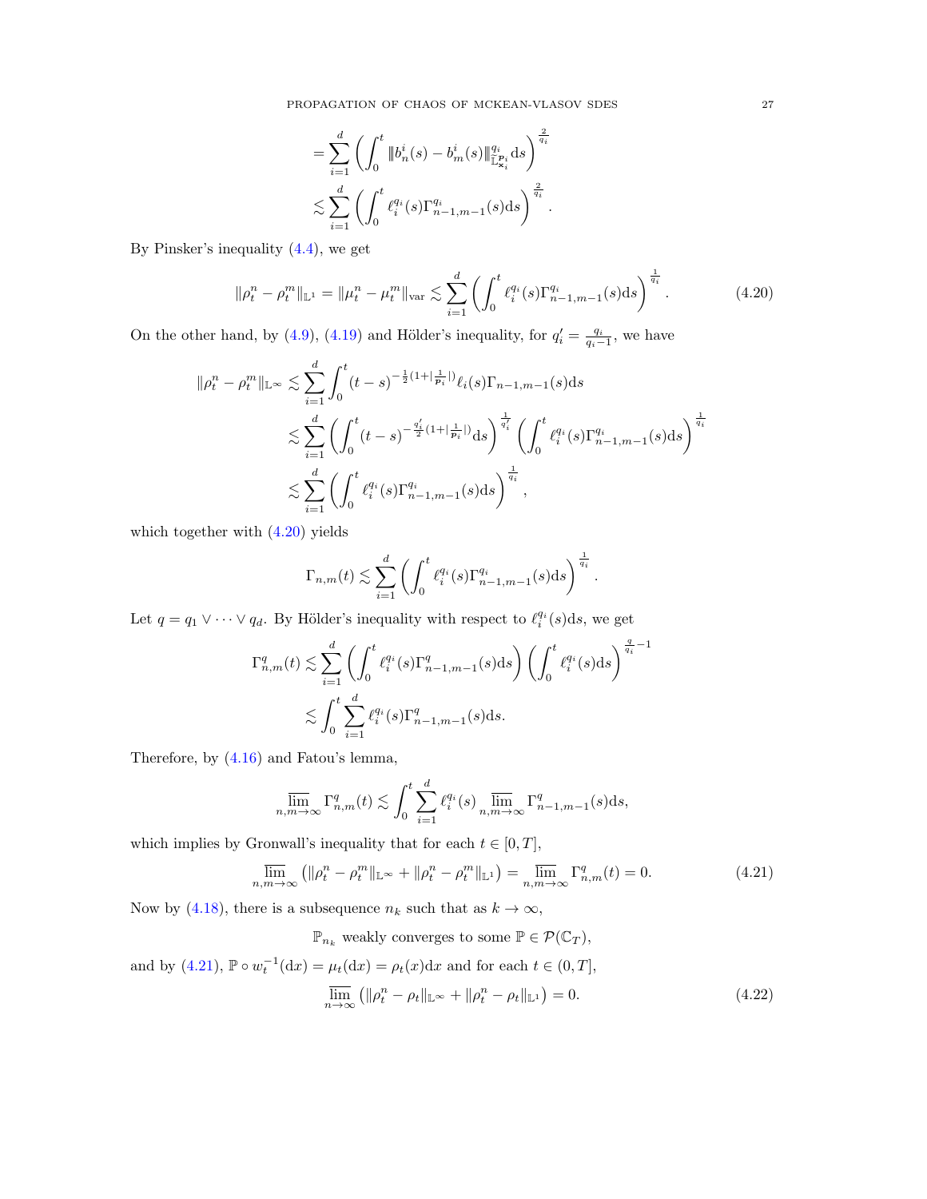PROPAGATION OF CHAOS OF MCKEAN-VLASOV SDES 27

<span id="page-26-0"></span>
$$
= \sum_{i=1}^d \left( \int_0^t \|b_n^i(s) - b_m^i(s)\|_{\mathbb{L}^{\mathcal{P}_i}_{\mathcal{X}_i}}^{q_i} ds \right)^{\frac{2}{q_i}} \n\lesssim \sum_{i=1}^d \left( \int_0^t \ell_i^{q_i}(s) \Gamma_{n-1,m-1}^{q_i}(s) ds \right)^{\frac{2}{q_i}}.
$$

By Pinsker's inequality [\(4.4\)](#page-21-3), we get

$$
\|\rho_t^n - \rho_t^m\|_{\mathbb{L}^1} = \|\mu_t^n - \mu_t^m\|_{\text{var}} \lesssim \sum_{i=1}^d \left( \int_0^t \ell_i^{q_i}(s) \Gamma_{n-1,m-1}^{q_i}(s) \text{d}s \right)^{\frac{1}{q_i}}. \tag{4.20}
$$

On the other hand, by [\(4.9\)](#page-23-1), [\(4.19\)](#page-25-3) and Hölder's inequality, for  $q'_{i} = \frac{q_{i}}{q_{i}-1}$ , we have

$$
\begin{split} \|\rho_{t}^{n}-\rho_{t}^{m}\|_{\mathbb{L}^{\infty}}&\lesssim\sum_{i=1}^{d}\int_{0}^{t}(t-s)^{-\frac{1}{2}(1+\vert\frac{1}{\mathbf{p}_{i}}\vert)}\ell_{i}(s)\Gamma_{n-1,m-1}(s)\mathrm{d}s\\ &\lesssim\sum_{i=1}^{d}\left(\int_{0}^{t}(t-s)^{-\frac{q'_{i}}{2}(1+\vert\frac{1}{\mathbf{p}_{i}}\vert)}\mathrm{d}s\right)^{\frac{1}{q_{i}}}\left(\int_{0}^{t}\ell_{i}^{q_{i}}(s)\Gamma_{n-1,m-1}^{q_{i}}(s)\mathrm{d}s\right)^{\frac{1}{q_{i}}}\\ &\lesssim\sum_{i=1}^{d}\left(\int_{0}^{t}\ell_{i}^{q_{i}}(s)\Gamma_{n-1,m-1}^{q_{i}}(s)\mathrm{d}s\right)^{\frac{1}{q_{i}}}, \end{split}
$$

which together with [\(4.20\)](#page-26-0) yields

$$
\Gamma_{n,m}(t) \lesssim \sum_{i=1}^d \left( \int_0^t \ell_i^{q_i}(s) \Gamma_{n-1,m-1}^{q_i}(s) \mathrm{d} s \right)^{\frac{1}{q_i}}.
$$

Let  $q = q_1 \vee \cdots \vee q_d$ . By Hölder's inequality with respect to  $\ell_i^{q_i}(s)$ ds, we get

$$
\begin{split} \Gamma_{n,m}^q(t)&\lesssim \sum_{i=1}^d\left(\int_0^t \ell_i^{q_i}(s)\Gamma_{n-1,m-1}^q(s)\mathrm{d}s\right)\left(\int_0^t \ell_i^{q_i}(s)\mathrm{d}s\right)^{\frac{q}{q_i}-1}\\ &\lesssim \int_0^t\sum_{i=1}^d \ell_i^{q_i}(s)\Gamma_{n-1,m-1}^q(s)\mathrm{d}s. \end{split}
$$

Therefore, by [\(4.16\)](#page-25-4) and Fatou's lemma,

$$
\varlimsup_{n,m\to\infty}\Gamma_{n,m}^q(t)\lesssim \int_0^t\sum_{i=1}^d\ell_i^{q_i}(s)\varlimsup_{n,m\to\infty}\Gamma_{n-1,m-1}^q(s)\mathrm{d} s,
$$

which implies by Gronwall's inequality that for each  $t \in [0, T]$ ,

$$
\overline{\lim}_{n,m \to \infty} \left( \|\rho_t^n - \rho_t^m\|_{\mathbb{L}^\infty} + \|\rho_t^n - \rho_t^m\|_{\mathbb{L}^1} \right) = \overline{\lim}_{n,m \to \infty} \Gamma_{n,m}^q(t) = 0. \tag{4.21}
$$

Now by [\(4.18\)](#page-25-5), there is a subsequence  $n_k$  such that as  $k \to \infty$ ,

 $\mathbb{P}_{n_k}$  weakly converges to some  $\mathbb{P} \in \mathcal{P}(\mathbb{C}_T),$ 

and by [\(4.21\)](#page-26-1),  $\mathbb{P} \circ w_t^{-1}(\text{d}x) = \mu_t(\text{d}x) = \rho_t(x)\text{d}x$  and for each  $t \in (0, T]$ ,

<span id="page-26-2"></span><span id="page-26-1"></span>
$$
\overline{\lim}_{n \to \infty} \left( \|\rho_t^n - \rho_t\|_{\mathbb{L}^\infty} + \|\rho_t^n - \rho_t\|_{\mathbb{L}^1} \right) = 0. \tag{4.22}
$$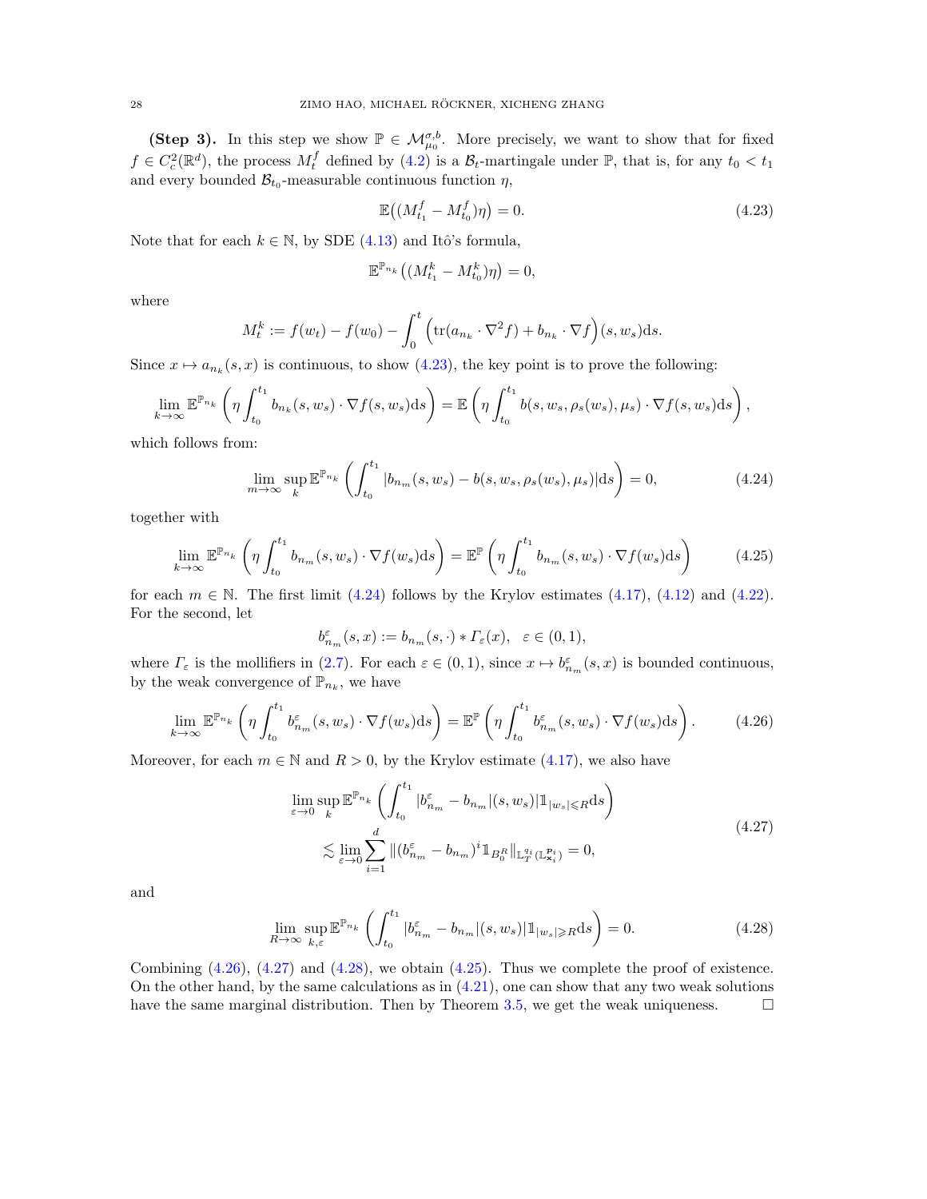(Step 3). In this step we show  $\mathbb{P} \in \mathcal{M}_{\mu_0}^{\sigma,b}$ . More precisely, we want to show that for fixed  $f \in C_c^2(\mathbb{R}^d)$ , the process  $M_t^f$  defined by [\(4.2\)](#page-21-4) is a  $\mathcal{B}_t$ -martingale under  $\mathbb{P}$ , that is, for any  $t_0 < t_1$ and every bounded  $\mathcal{B}_{t_0}$ -measurable continuous function  $\eta$ ,

<span id="page-27-0"></span>
$$
\mathbb{E}\left((M_{t_1}^f - M_{t_0}^f)\eta\right) = 0.\tag{4.23}
$$

Note that for each  $k \in \mathbb{N}$ , by SDE [\(4.13\)](#page-25-0) and Itô's formula,

<span id="page-27-1"></span>
$$
\mathbb{E}^{\mathbb{P}_{n_k}}\left((M_{t_1}^k - M_{t_0}^k)\eta\right) = 0,
$$

where

$$
M_t^k := f(w_t) - f(w_0) - \int_0^t \left( \text{tr}(a_{n_k} \cdot \nabla^2 f) + b_{n_k} \cdot \nabla f \right)(s, w_s) \, \mathrm{d}s.
$$

Since  $x \mapsto a_{n_k}(s, x)$  is continuous, to show [\(4.23\)](#page-27-0), the key point is to prove the following:

$$
\lim_{k \to \infty} \mathbb{E}^{\mathbb{P}_{n_k}} \left( \eta \int_{t_0}^{t_1} b_{n_k}(s, w_s) \cdot \nabla f(s, w_s) \, ds \right) = \mathbb{E} \left( \eta \int_{t_0}^{t_1} b(s, w_s, \rho_s(w_s), \mu_s) \cdot \nabla f(s, w_s) \, ds \right),
$$

which follows from:

$$
\lim_{m \to \infty} \sup_{k} \mathbb{E}^{\mathbb{P}_{n_k}} \left( \int_{t_0}^{t_1} |b_{n_m}(s, w_s) - b(s, w_s, \rho_s(w_s), \mu_s)| \, ds \right) = 0,\tag{4.24}
$$

together with

$$
\lim_{k \to \infty} \mathbb{E}^{\mathbb{P}_{n_k}} \left( \eta \int_{t_0}^{t_1} b_{n_m}(s, w_s) \cdot \nabla f(w_s) \, ds \right) = \mathbb{E}^{\mathbb{P}} \left( \eta \int_{t_0}^{t_1} b_{n_m}(s, w_s) \cdot \nabla f(w_s) \, ds \right) \tag{4.25}
$$

for each  $m \in \mathbb{N}$ . The first limit [\(4.24\)](#page-27-1) follows by the Krylov estimates [\(4.17\)](#page-25-2), [\(4.12\)](#page-24-2) and [\(4.22\)](#page-26-2). For the second, let

<span id="page-27-5"></span><span id="page-27-2"></span>
$$
b^{\varepsilon}_{n_m}(s,x):=b_{n_m}(s,\cdot)*\varGamma_{\varepsilon}(x),\ \ \varepsilon\in(0,1),
$$

where  $\Gamma_{\varepsilon}$  is the mollifiers in [\(2.7\)](#page-9-0). For each  $\varepsilon \in (0,1)$ , since  $x \mapsto b_{n_m}^{\varepsilon}(s,x)$  is bounded continuous, by the weak convergence of  $\mathbb{P}_{n_k}$ , we have

$$
\lim_{k \to \infty} \mathbb{E}^{\mathbb{P}_{n_k}} \left( \eta \int_{t_0}^{t_1} b_{n_m}^{\varepsilon}(s, w_s) \cdot \nabla f(w_s) \, ds \right) = \mathbb{E}^{\mathbb{P}} \left( \eta \int_{t_0}^{t_1} b_{n_m}^{\varepsilon}(s, w_s) \cdot \nabla f(w_s) \, ds \right). \tag{4.26}
$$

Moreover, for each  $m \in \mathbb{N}$  and  $R > 0$ , by the Krylov estimate [\(4.17\)](#page-25-2), we also have

<span id="page-27-4"></span><span id="page-27-3"></span>
$$
\lim_{\varepsilon \to 0} \sup_{k} \mathbb{E}^{\mathbb{P}_{n_k}} \left( \int_{t_0}^{t_1} |b_{n_m}^{\varepsilon} - b_{n_m}|(s, w_s)| \mathbb{1}_{|w_s| \le R} \mathrm{d}s \right)
$$
\n
$$
\lesssim \lim_{\varepsilon \to 0} \sum_{i=1}^{d} \| (b_{n_m}^{\varepsilon} - b_{n_m})^i \mathbb{1}_{B_0^R} \|_{\mathbb{L}_T^{q_i}(\mathbb{L}_{\mathbf{x}_i}^{p_i})} = 0,
$$
\n(4.27)

and

$$
\lim_{R \to \infty} \sup_{k,\varepsilon} \mathbb{E}^{\mathbb{P}_{n_k}} \left( \int_{t_0}^{t_1} |b_{n_m}^{\varepsilon} - b_{n_m}|(s, w_s)| \mathbb{1}_{|w_s| \ge R} \mathrm{d}s \right) = 0. \tag{4.28}
$$

Combining  $(4.26)$ ,  $(4.27)$  and  $(4.28)$ , we obtain  $(4.25)$ . Thus we complete the proof of existence. On the other hand, by the same calculations as in  $(4.21)$ , one can show that any two weak solutions have the same marginal distribution. Then by Theorem [3.5,](#page-18-0) we get the weak uniqueness.  $\Box$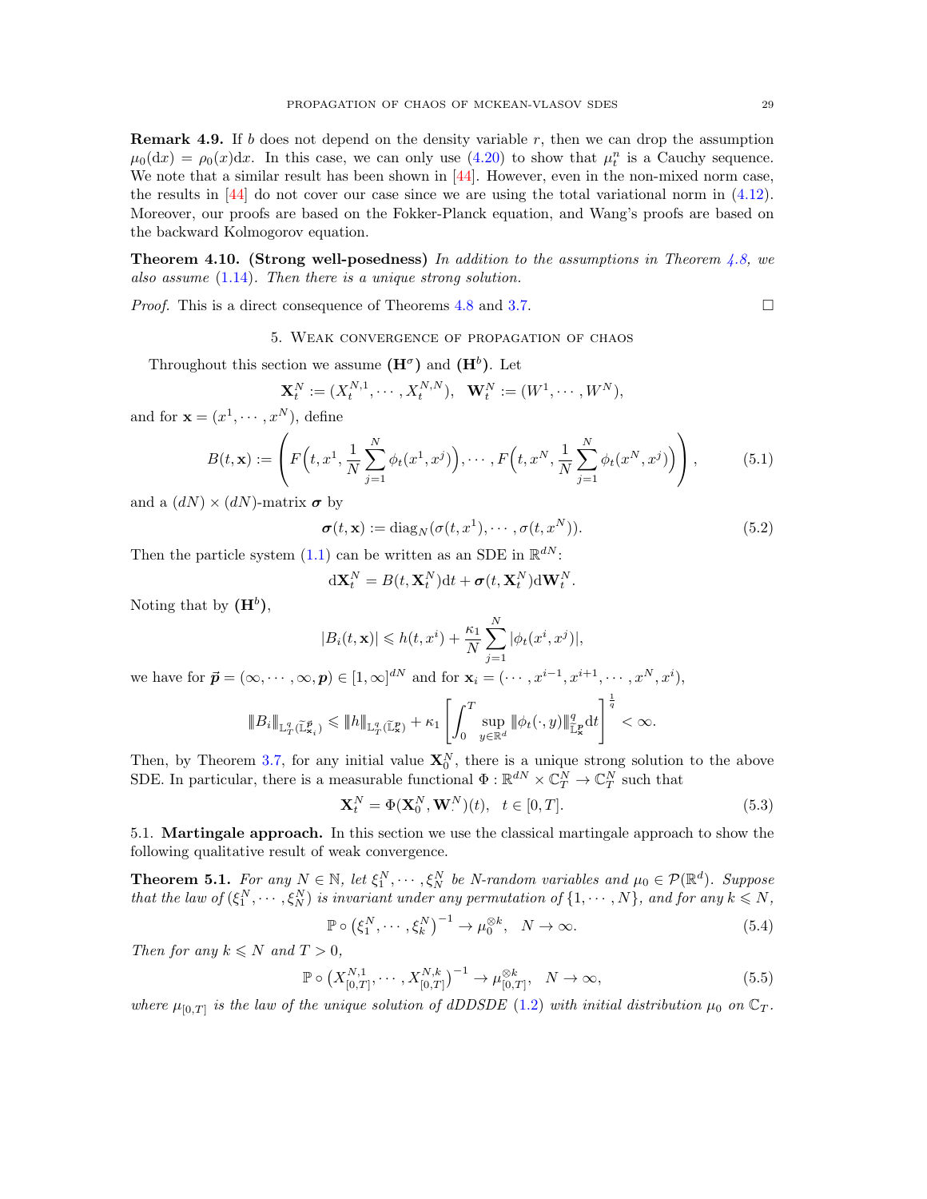**Remark 4.9.** If b does not depend on the density variable r, then we can drop the assumption  $\mu_0(dx) = \rho_0(x)dx$ . In this case, we can only use [\(4.20\)](#page-26-0) to show that  $\mu_t^n$  is a Cauchy sequence. We note that a similar result has been shown in  $[44]$ . However, even in the non-mixed norm case, the results in  $[44]$  do not cover our case since we are using the total variational norm in  $(4.12)$ . Moreover, our proofs are based on the Fokker-Planck equation, and Wang's proofs are based on the backward Kolmogorov equation.

**Theorem 4.10. (Strong well-posedness)** In addition to the assumptions in Theorem [4.8,](#page-24-3) we also assume [\(1.14\)](#page-5-4). Then there is a unique strong solution.

<span id="page-28-0"></span>*Proof.* This is a direct consequence of Theorems [4.8](#page-24-3) and [3.7.](#page-20-5) □

5. Weak convergence of propagation of chaos

Throughout this section we assume  $(\mathbf{H}^{\sigma})$  and  $(\mathbf{H}^{b})$ . Let

$$
\mathbf{X}_t^N := (X_t^{N,1}, \cdots, X_t^{N,N}), \ \ \mathbf{W}_t^N := (W^1, \cdots, W^N),
$$

and for  $\mathbf{x} = (x^1, \dots, x^N)$ , define

$$
B(t, \mathbf{x}) := \left( F\left(t, x^1, \frac{1}{N} \sum_{j=1}^N \phi_t(x^1, x^j) \right), \cdots, F\left(t, x^N, \frac{1}{N} \sum_{j=1}^N \phi_t(x^N, x^j) \right) \right), \tag{5.1}
$$

and a  $(dN) \times (dN)$ -matrix  $\sigma$  by

<span id="page-28-6"></span>
$$
\boldsymbol{\sigma}(t, \mathbf{x}) := \text{diag}_N(\boldsymbol{\sigma}(t, x^1), \cdots, \boldsymbol{\sigma}(t, x^N)).
$$
\n(5.2)

Then the particle system [\(1.1\)](#page-1-1) can be written as an SDE in  $\mathbb{R}^{dN}$ :

<span id="page-28-7"></span>
$$
\mathrm{d} \mathbf{X}_t^N = B(t, \mathbf{X}_t^N) \mathrm{d} t + \boldsymbol{\sigma}(t, \mathbf{X}_t^N) \mathrm{d} \mathbf{W}_t^N.
$$

Noting that by  $(\mathbf{H}^b)$ ,

$$
|B_i(t, \mathbf{x})| \leq h(t, x^i) + \frac{\kappa_1}{N} \sum_{j=1}^N |\phi_t(x^i, x^j)|,
$$

we have for  $\vec{\boldsymbol{p}} = (\infty, \dots, \infty, \boldsymbol{p}) \in [1, \infty]^{dN}$  and for  $\mathbf{x}_i = (\dots, x^{i-1}, x^{i+1}, \dots, x^N, x^i)$ ,

$$
|\!|\!|B_i|\!|\!|_{\mathbb{L}^q_T(\widetilde{\mathbb{L}}^{\vec{p}}_{\mathbf{x}_i})}\leqslant |\!|\!|h|\!|\!|_{\mathbb{L}^q_T(\widetilde{\mathbb{L}}^p_{\mathbf{x}})}+\kappa_1\left[\int_0^T \sup_{y\in\mathbb{R}^d}\|\phi_t(\cdot,y)\|_{\widetilde{\mathbb{L}}^p_{\mathbf{x}}}^q\mathrm{d}t\right]^{\frac{1}{q}}<\infty.
$$

Then, by Theorem [3.7,](#page-20-5) for any initial value  $\mathbf{X}_0^N$ , there is a unique strong solution to the above SDE. In particular, there is a measurable functional  $\Phi : \mathbb{R}^{dN} \times \mathbb{C}^N_T \to \mathbb{C}^N_T$  such that

<span id="page-28-3"></span><span id="page-28-2"></span>
$$
\mathbf{X}_t^N = \Phi(\mathbf{X}_0^N, \mathbf{W}_\cdot^N)(t), \quad t \in [0, T]. \tag{5.3}
$$

<span id="page-28-1"></span>5.1. Martingale approach. In this section we use the classical martingale approach to show the following qualitative result of weak convergence.

<span id="page-28-4"></span>**Theorem 5.1.** For any  $N \in \mathbb{N}$ , let  $\xi_1^N, \dots, \xi_N^N$  be N-random variables and  $\mu_0 \in \mathcal{P}(\mathbb{R}^d)$ . Suppose that the law of  $(\xi_1^N, \dots, \xi_N^N)$  is invariant under any permutation of  $\{1, \dots, N\}$ , and for any  $k \leq N$ ,

<span id="page-28-5"></span>
$$
\mathbb{P} \circ \left(\xi_1^N, \cdots, \xi_k^N\right)^{-1} \to \mu_0^{\otimes k}, \quad N \to \infty. \tag{5.4}
$$

Then for any  $k \leq N$  and  $T > 0$ ,

$$
\mathbb{P} \circ \left( X_{[0,T]}^{N,1}, \cdots, X_{[0,T]}^{N,k} \right)^{-1} \to \mu_{[0,T]}^{\otimes k}, \quad N \to \infty,
$$
\n(5.5)

where  $\mu_{[0,T]}$  is the law of the unique solution of dDDSDE [\(1.2\)](#page-1-2) with initial distribution  $\mu_0$  on  $\mathbb{C}_T$ .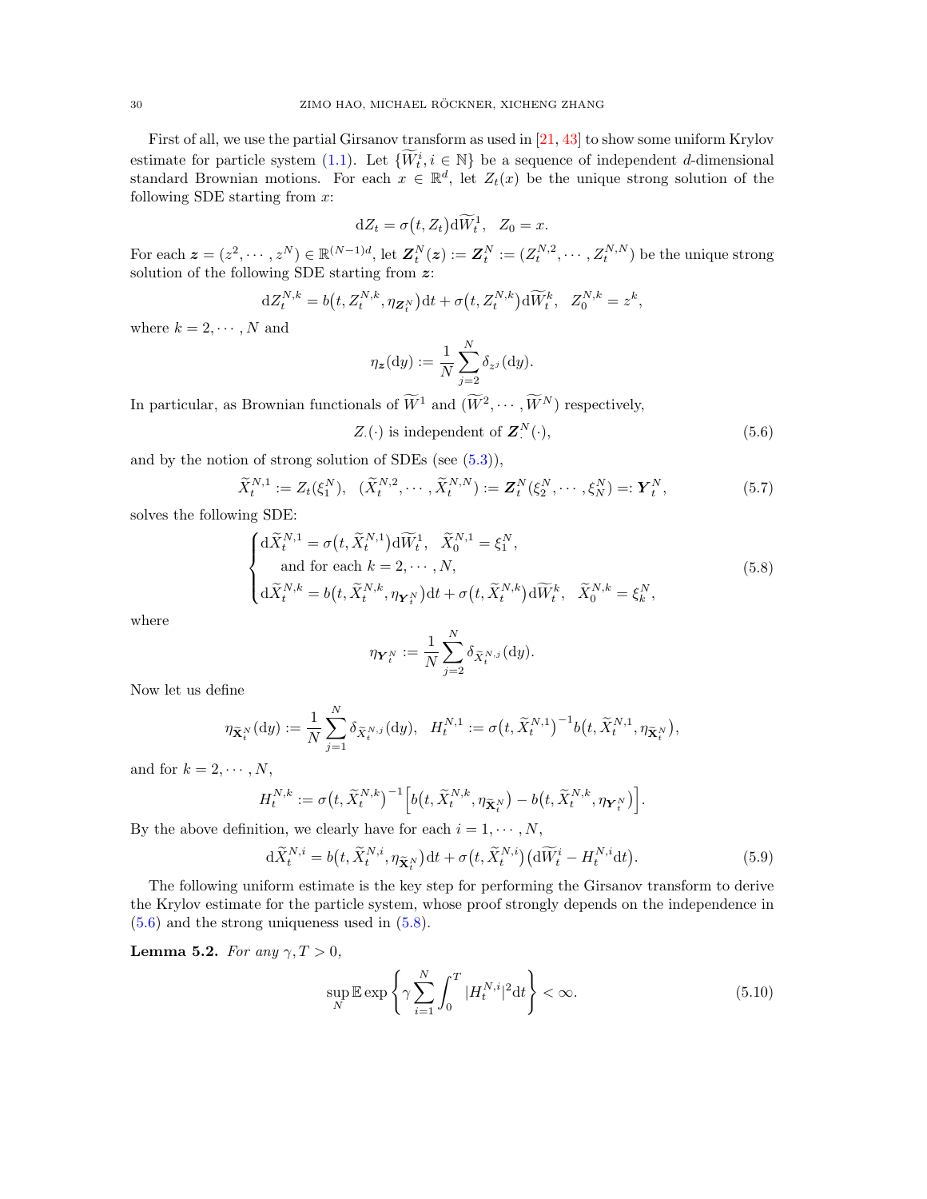First of all, we use the partial Girsanov transform as used in [\[21,](#page-45-17) [43\]](#page-46-14) to show some uniform Krylov estimate for particle system [\(1.1\)](#page-1-1). Let  $\{\widetilde{W}_t^i, i \in \mathbb{N}\}$  be a sequence of independent d-dimensional standard Brownian motions. For each  $x \in \mathbb{R}^d$ , let  $Z_t(x)$  be the unique strong solution of the following SDE starting from  $x$ :

$$
dZ_t = \sigma(t, Z_t) d\widetilde{W}_t^1, \quad Z_0 = x.
$$

For each  $\boldsymbol{z} = (z^2, \dots, z^N) \in \mathbb{R}^{(N-1)d}$ , let  $\boldsymbol{Z}_t^N(\boldsymbol{z}) := \boldsymbol{Z}_t^N := (Z_t^{N,2}, \dots, Z_t^{N,N})$  be the unique strong solution of the following SDE starting from  $\boldsymbol{z}$ :

$$
dZ_t^{N,k} = b(t, Z_t^{N,k}, \eta_{\mathbf{Z}_t^N})dt + \sigma(t, Z_t^{N,k})d\widetilde{W}_t^k, \quad Z_0^{N,k} = z^k,
$$

where  $k = 2, \dots, N$  and

<span id="page-29-1"></span>
$$
\eta_{\boldsymbol{z}}(\mathrm{d}y) := \frac{1}{N} \sum_{j=2}^{N} \delta_{z^{j}}(\mathrm{d}y).
$$

In particular, as Brownian functionals of  $\tilde{W}^1$  and  $(\tilde{W}^2, \cdots, \tilde{W}^N)$  respectively,

<span id="page-29-3"></span>
$$
Z_{\cdot}(\cdot) \text{ is independent of } \mathbf{Z}_{\cdot}^{N}(\cdot), \tag{5.6}
$$

and by the notion of strong solution of SDEs (see [\(5.3\)](#page-28-2)),

$$
\widetilde{X}_{t}^{N,1} := Z_{t}(\xi_{1}^{N}), \quad (\widetilde{X}_{t}^{N,2}, \cdots, \widetilde{X}_{t}^{N,N}) := \mathbf{Z}_{t}^{N}(\xi_{2}^{N}, \cdots, \xi_{N}^{N}) =: \mathbf{Y}_{t}^{N}, \tag{5.7}
$$

solves the following SDE:

$$
\begin{cases}\nd\widetilde{X}_{t}^{N,1} = \sigma(t,\widetilde{X}_{t}^{N,1})d\widetilde{W}_{t}^{1}, \quad \widetilde{X}_{0}^{N,1} = \xi_{1}^{N}, \\
\text{and for each } k = 2, \cdots, N, \\
d\widetilde{X}_{t}^{N,k} = b(t,\widetilde{X}_{t}^{N,k},\eta_{\mathbf{Y}_{t}^{N}})dt + \sigma(t,\widetilde{X}_{t}^{N,k})d\widetilde{W}_{t}^{k}, \quad \widetilde{X}_{0}^{N,k} = \xi_{k}^{N},\n\end{cases} (5.8)
$$

where

<span id="page-29-5"></span><span id="page-29-2"></span>
$$
\eta_{\bm Y^N_t}:=\frac{1}{N}\sum_{j=2}^N \delta_{\widetilde{X}^{N,j}_t}(\mathrm{d} y).
$$

Now let us define

$$
\eta_{\widetilde{\mathbf{X}}_t^N}(\mathrm{d}y) := \frac{1}{N} \sum_{j=1}^N \delta_{\widetilde{X}_t^{N,j}}(\mathrm{d}y), \quad H_t^{N,1} := \sigma\big(t, \widetilde{X}_t^{N,1}\big)^{-1} b\big(t, \widetilde{X}_t^{N,1}, \eta_{\widetilde{\mathbf{X}}_t^N}\big),
$$

and for  $k = 2, \cdots, N$ ,

$$
H^{N,k}_t:=\sigma\big(t,\widetilde{X}^{N,k}_t\big)^{-1}\Big[b\big(t,\widetilde{X}^{N,k}_t,\eta_{\widetilde{\mathbf{X}}^N_t}\big)-b\big(t,\widetilde{X}^{N,k}_t,\eta_{\mathbf{Y}^N_t}\big)\Big].
$$

By the above definition, we clearly have for each  $i = 1, \dots, N$ ,

$$
d\widetilde{X}_{t}^{N,i} = b(t, \widetilde{X}_{t}^{N,i}, \eta_{\widetilde{\mathbf{X}}_{t}^{N}})dt + \sigma(t, \widetilde{X}_{t}^{N,i})\big(d\widetilde{W}_{t}^{i} - H_{t}^{N,i}dt\big).
$$
\n(5.9)

The following uniform estimate is the key step for performing the Girsanov transform to derive the Krylov estimate for the particle system, whose proof strongly depends on the independence in [\(5.6\)](#page-29-1) and the strong uniqueness used in [\(5.8\)](#page-29-2).

<span id="page-29-0"></span>Lemma 5.2. For any  $\gamma, T > 0$ ,

<span id="page-29-4"></span>
$$
\sup_{N} \mathbb{E} \exp\left\{\gamma \sum_{i=1}^{N} \int_{0}^{T} |H_t^{N,i}|^2 dt\right\} < \infty.
$$
\n(5.10)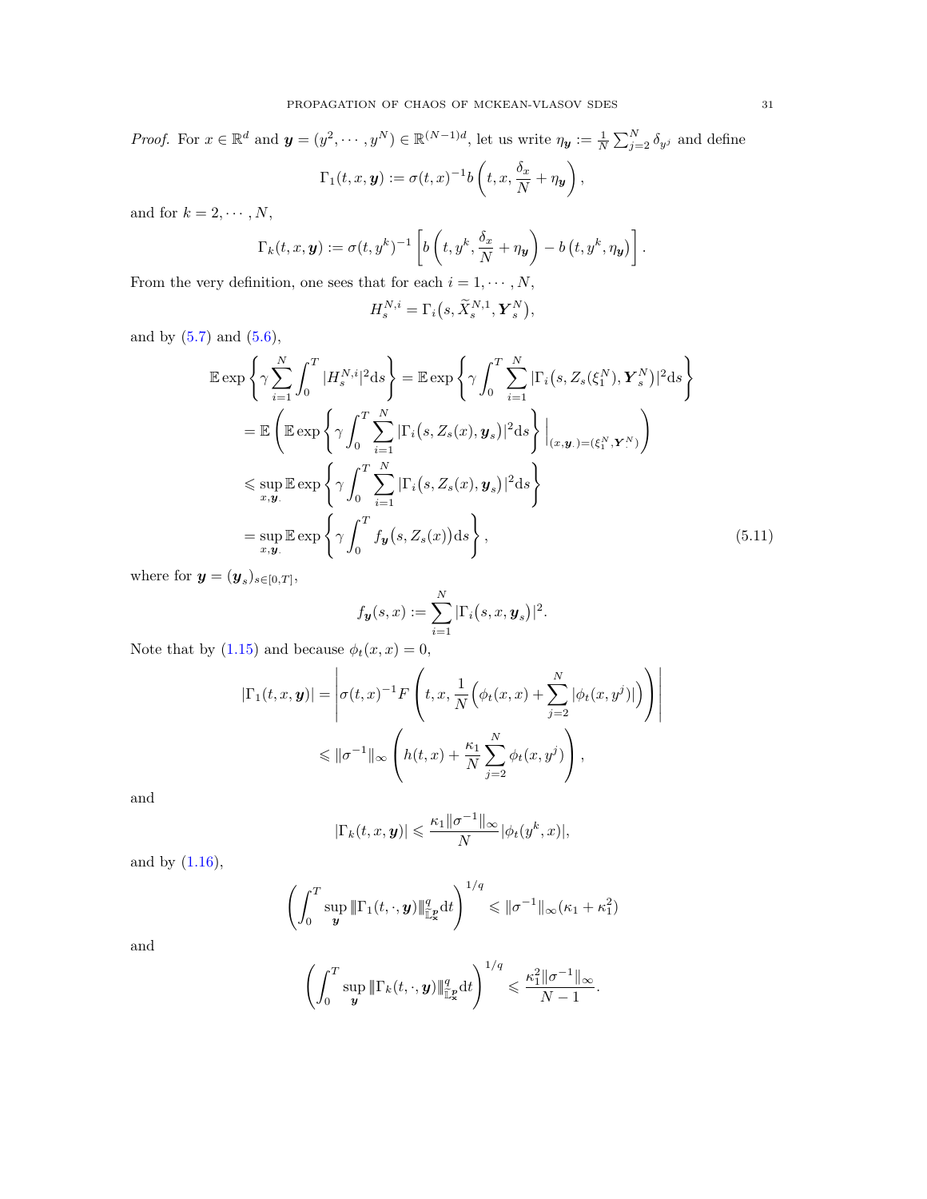*Proof.* For  $x \in \mathbb{R}^d$  and  $\mathbf{y} = (y^2, \dots, y^N) \in \mathbb{R}^{(N-1)d}$ , let us write  $\eta_{\mathbf{y}} := \frac{1}{N} \sum_{j=2}^N \delta_{y^j}$  and define  $\Gamma_1(t,x,\boldsymbol{y}):=\sigma(t,x)^{-1}b\left(t,x,\frac{\delta_x}{\delta_x}\right)$  $\frac{\delta_x}{N} + \eta_{\boldsymbol{y}}\bigg)$  ,

and for  $k=2,\cdots,N,$ 

$$
\Gamma_k(t, x, y) := \sigma(t, y^k)^{-1} \left[ b \left( t, y^k, \frac{\delta_x}{N} + \eta_y \right) - b \left( t, y^k, \eta_y \right) \right].
$$

From the very definition, one sees that for each  $i=1,\cdots,N,$ 

$$
H^{N,i}_s=\Gamma_i\big(s,\widetilde{X}^{N,1}_s,{\boldsymbol{Y}}^N_s\big),
$$

and by  $(5.7)$  and  $(5.6)$ ,

$$
\mathbb{E} \exp \left\{ \gamma \sum_{i=1}^{N} \int_{0}^{T} |H_{s}^{N,i}|^{2} ds \right\} = \mathbb{E} \exp \left\{ \gamma \int_{0}^{T} \sum_{i=1}^{N} |\Gamma_{i}(s, Z_{s}(\xi_{1}^{N}), \mathbf{Y}_{s}^{N})|^{2} ds \right\}
$$
\n
$$
= \mathbb{E} \left( \mathbb{E} \exp \left\{ \gamma \int_{0}^{T} \sum_{i=1}^{N} |\Gamma_{i}(s, Z_{s}(x), \mathbf{y}_{s})|^{2} ds \right\} |_{(x, \mathbf{y}_{.}) = (\xi_{1}^{N}, \mathbf{Y}_{.}^{N})} \right)
$$
\n
$$
\leq \sup_{x, \mathbf{y}_{.}} \mathbb{E} \exp \left\{ \gamma \int_{0}^{T} \sum_{i=1}^{N} |\Gamma_{i}(s, Z_{s}(x), \mathbf{y}_{s})|^{2} ds \right\}
$$
\n
$$
= \sup_{x, \mathbf{y}_{.}} \mathbb{E} \exp \left\{ \gamma \int_{0}^{T} f_{\mathbf{y}}(s, Z_{s}(x)) ds \right\}, \tag{5.11}
$$

where for  $\mathbf{y} = (\mathbf{y}_s)_{s \in [0,T]},$ 

<span id="page-30-0"></span>
$$
f_{\mathbf{y}}(s,x) := \sum_{i=1}^{N} |\Gamma_i(s,x,\mathbf{y}_s)|^2.
$$

Note that by [\(1.15\)](#page-5-5) and because  $\phi_t(x, x) = 0$ ,

$$
|\Gamma_1(t, x, y)| = \left| \sigma(t, x)^{-1} F\left(t, x, \frac{1}{N} \left(\phi_t(x, x) + \sum_{j=2}^N |\phi_t(x, y^j)|\right)\right) \right|
$$
  

$$
\leq \|\sigma^{-1}\|_{\infty} \left(h(t, x) + \frac{\kappa_1}{N} \sum_{j=2}^N \phi_t(x, y^j)\right),
$$

and

$$
|\Gamma_k(t, x, y)| \leq \frac{\kappa_1 ||\sigma^{-1}||_{\infty}}{N} |\phi_t(y^k, x)|,
$$

and by  $(1.16)$ ,

$$
\left(\int_0^T \sup_{\mathbf{y}} \|\Gamma_1(t,\cdot,\mathbf{y})\|_{\mathbb{L}^p_x}^q dt\right)^{1/q} \leqslant \|\sigma^{-1}\|_{\infty}(\kappa_1+\kappa_1^2)
$$

and

$$
\left(\int_0^T \sup_{\boldsymbol{y}} \|\Gamma_k(t,\cdot,\boldsymbol{y})\|_{\mathbb{L}^p_x}^q dt\right)^{1/q} \leqslant \frac{\kappa_1^2 \|\sigma^{-1}\|_{\infty}}{N-1}.
$$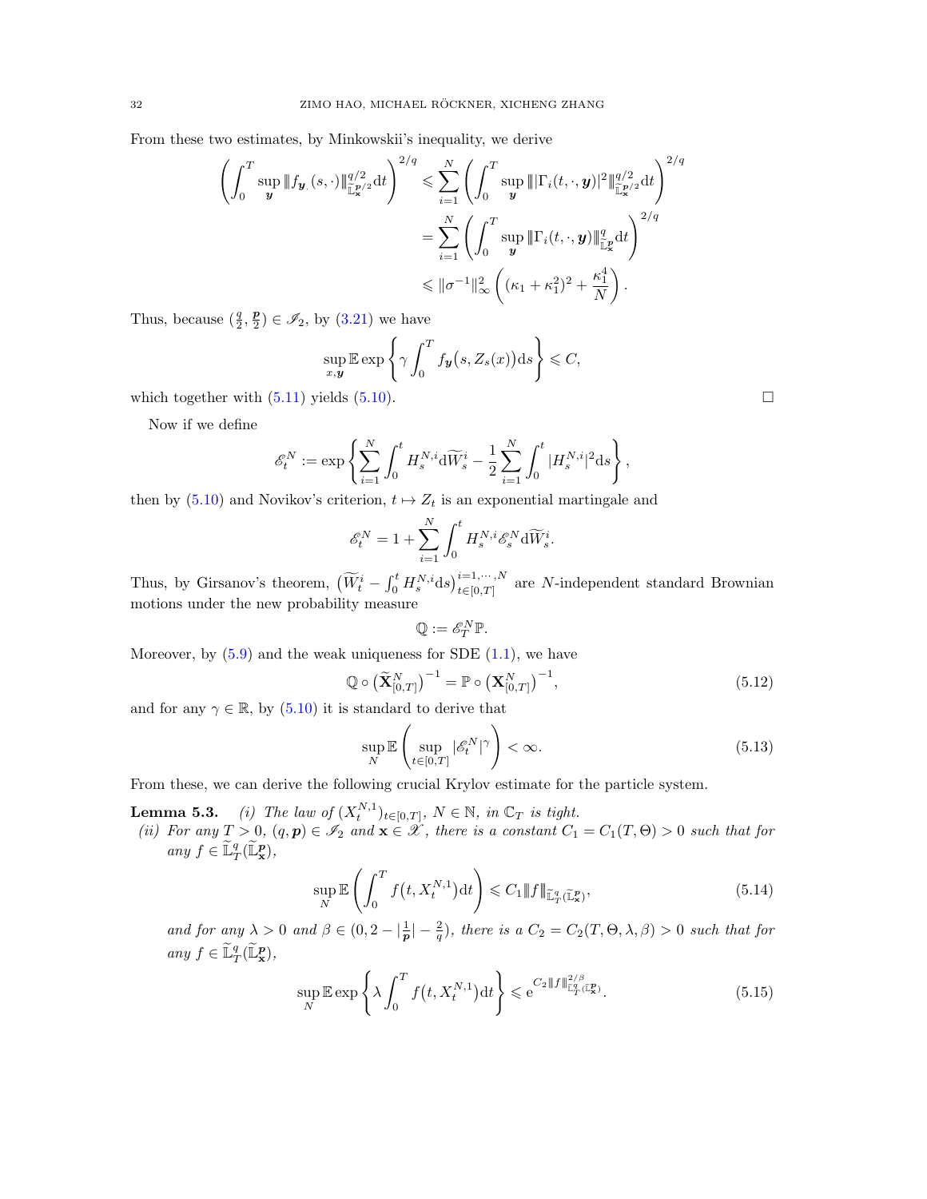From these two estimates, by Minkowskii's inequality, we derive

$$
\left(\int_0^T \sup_{\mathbf{y}} \|f_{\mathbf{y}}(s,\cdot)\|_{\mathbb{L}^{\infty/2}}^{q/2} dt\right)^{2/q} \leq \sum_{i=1}^N \left(\int_0^T \sup_{\mathbf{y}} \|\|\Gamma_i(t,\cdot,\mathbf{y})|^2\|_{\mathbb{L}^{\infty/2}}^{q/2} dt\right)^{2/q}
$$

$$
= \sum_{i=1}^N \left(\int_0^T \sup_{\mathbf{y}} \|\Gamma_i(t,\cdot,\mathbf{y})\|_{\mathbb{L}^{\infty}}^q dt\right)^{2/q}
$$

$$
\leq \|\sigma^{-1}\|_{\infty}^2 \left((\kappa_1 + \kappa_1^2)^2 + \frac{\kappa_1^4}{N}\right).
$$

Thus, because  $(\frac{q}{2}, \frac{p}{2}) \in \mathscr{I}_2$ , by  $(3.21)$  we have

$$
\sup_{x,y} \mathbb{E} \exp \left\{ \gamma \int_0^T f_{\mathbf{y}}(s, Z_s(x)) \mathrm{d} s \right\} \leqslant C,
$$

which together with  $(5.11)$  yields  $(5.10)$ .

Now if we define

$$
\mathscr{E}_t^N := \exp\left\{\sum_{i=1}^N \int_0^t H_s^{N,i} \mathrm{d}\widetilde{W}_s^i - \frac{1}{2} \sum_{i=1}^N \int_0^t |H_s^{N,i}|^2 \mathrm{d} s\right\},\,
$$

then by [\(5.10\)](#page-29-4) and Novikov's criterion,  $t \mapsto Z_t$  is an exponential martingale and

$$
\mathscr{E}_t^N = 1 + \sum_{i=1}^N \int_0^t H_s^{N,i} \mathscr{E}_s^N \mathrm{d} \widetilde{W}_s^i.
$$

Thus, by Girsanov's theorem,  $(\widetilde{W}_{t}^{i} - \int_{0}^{t} H_{s}^{N,i} ds)_{t \in [0,T]}^{i=1,\cdots,N}$  are N-independent standard Brownian motions under the new probability measure

$$
\mathbb{Q}:=\mathscr{E}_{T}^{N}\mathbb{P}.
$$

Moreover, by  $(5.9)$  and the weak uniqueness for SDE  $(1.1)$ , we have

$$
\mathbb{Q} \circ \left(\widetilde{\mathbf{X}}_{[0,T]}^N\right)^{-1} = \mathbb{P} \circ \left(\mathbf{X}_{[0,T]}^N\right)^{-1},\tag{5.12}
$$

and for any  $\gamma \in \mathbb{R}$ , by [\(5.10\)](#page-29-4) it is standard to derive that

<span id="page-31-3"></span>
$$
\sup_{N} \mathbb{E}\left(\sup_{t \in [0,T]} |\mathscr{E}_t^N|^\gamma\right) < \infty. \tag{5.13}
$$

From these, we can derive the following crucial Krylov estimate for the particle system.

**Lemma 5.3.** (i) The law of  $(X_t^{N,1})_{t \in [0,T]}, N \in \mathbb{N}$ , in  $\mathbb{C}_T$  is tight.

(ii) For any  $T > 0$ ,  $(q, p) \in \mathscr{I}_2$  and  $\mathbf{x} \in \mathscr{X}$ , there is a constant  $C_1 = C_1(T, \Theta) > 0$  such that for any  $f \in \widetilde{\mathbb{L}}_T^q(\widetilde{\mathbb{L}}_\mathbf{x}^p),$ 

$$
\sup_{N} \mathbb{E}\left(\int_{0}^{T} f\left(t, X_{t}^{N,1}\right) \mathrm{d}t\right) \leqslant C_{1} \|f\|_{\widetilde{\mathbb{L}}_{T}^{q}(\widetilde{\mathbb{L}}_{\mathbf{x}}^{p})},\tag{5.14}
$$

and for any  $\lambda > 0$  and  $\beta \in (0, 2 - \left|\frac{1}{p}\right| - \frac{2}{q})$ , there is a  $C_2 = C_2(T, \Theta, \lambda, \beta) > 0$  such that for any  $f \in \widetilde{\mathbb{L}}_T^q(\widetilde{\mathbb{L}}_\mathbf{x}^p)$ ,

<span id="page-31-2"></span>
$$
\sup_{N} \mathbb{E} \exp\left\{\lambda \int_{0}^{T} f(t, X_{t}^{N,1}) dt\right\} \leqslant e^{C_{2} \|f\|_{\widetilde{\mathbb{L}}_{T}^{q}(\widetilde{\mathbb{L}}_{x}^{p})}^{2/\beta}.
$$
\n(5.15)

<span id="page-31-1"></span><span id="page-31-0"></span>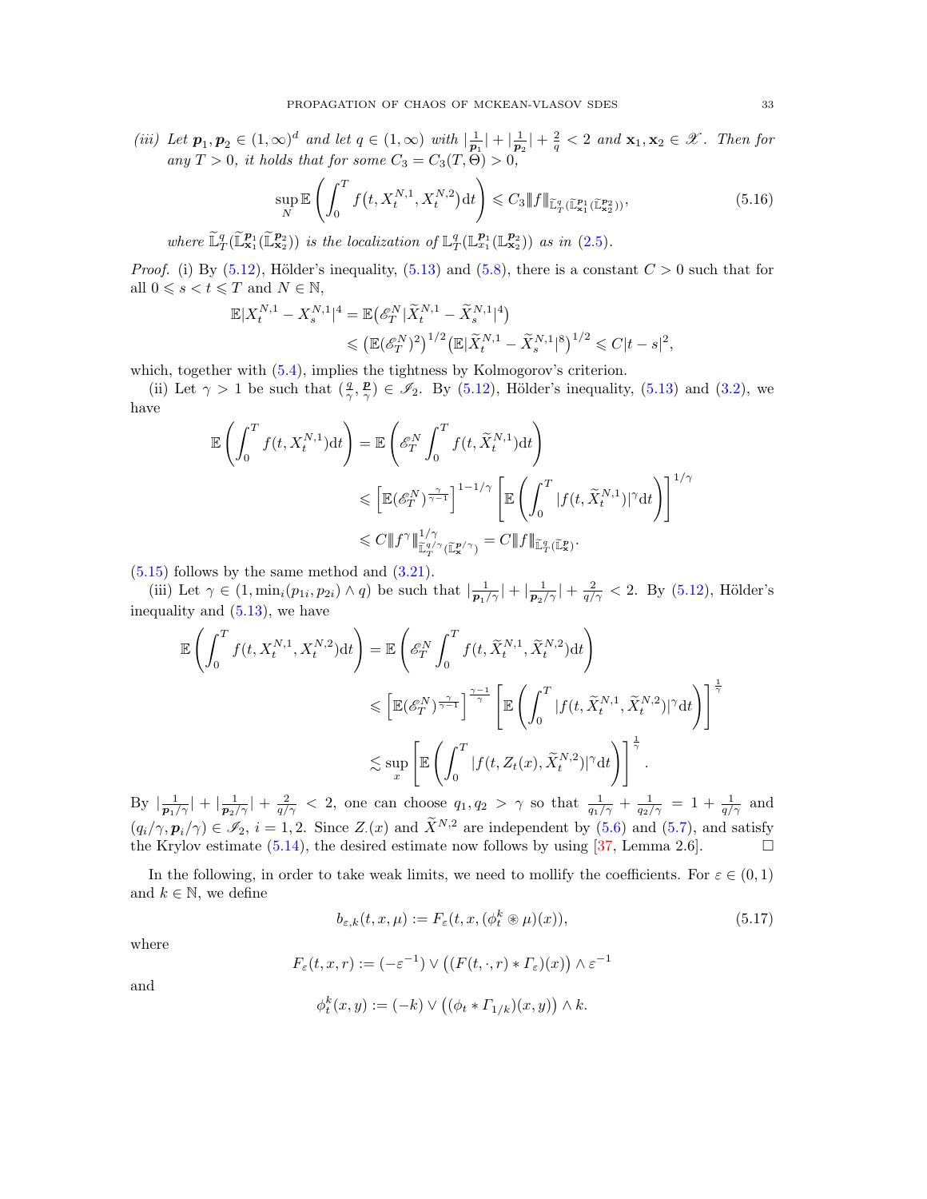(iii) Let  $p_1, p_2 \in (1, \infty)^d$  and let  $q \in (1, \infty)$  with  $\left|\frac{1}{p_1}\right| + \left|\frac{1}{p_2}\right| + \frac{2}{q} < 2$  and  $\mathbf{x}_1, \mathbf{x}_2 \in \mathcal{X}$ . Then for any  $T > 0$ , it holds that for some  $C_3 = C_3(T, \Theta) > 0$ ,

<span id="page-32-0"></span>
$$
\sup_{N} \mathbb{E}\left(\int_{0}^{T} f\left(t, X_{t}^{N,1}, X_{t}^{N,2}\right) \mathrm{d}t\right) \leqslant C_{3} \|f\|_{\widetilde{\mathbb{L}}_{T}^{q}(\widetilde{\mathbb{L}}_{\mathbf{x}_{1}}^{\mathbf{p}_{2}}(\widetilde{\mathbb{L}}_{\mathbf{x}_{2}}^{\mathbf{p}_{2}}))},\tag{5.16}
$$

where  $\widetilde{\mathbb{L}}_T^q(\widetilde{\mathbb{L}}_{\mathbf{x}_1}^{p_1}(\widetilde{\mathbb{L}}_{\mathbf{x}_2}^{p_2}))$  is the localization of  $\mathbb{L}_T^q(\mathbb{L}_{x_1}^{p_1}(\mathbb{L}_{\mathbf{x}_2}^{p_2}))$  as in [\(2.5\)](#page-8-5).

*Proof.* (i) By [\(5.12\)](#page-31-0), Hölder's inequality, [\(5.13\)](#page-31-1) and [\(5.8\)](#page-29-2), there is a constant  $C > 0$  such that for all  $0 \le s < t \le T$  and  $N \in \mathbb{N}$ ,

$$
\mathbb{E}|X_t^{N,1} - X_s^{N,1}|^4 = \mathbb{E}(\mathscr{E}_T^N | \widetilde{X}_t^{N,1} - \widetilde{X}_s^{N,1}|^4) \le (\mathbb{E}(\mathscr{E}_T^N)^2)^{1/2} (\mathbb{E}|\widetilde{X}_t^{N,1} - \widetilde{X}_s^{N,1}|^8)^{1/2} \le C|t-s|^2,
$$

which, together with  $(5.4)$ , implies the tightness by Kolmogorov's criterion.

(ii) Let  $\gamma > 1$  be such that  $(\frac{q}{\gamma}, \frac{p}{\gamma}) \in \mathscr{I}_2$ . By [\(5.12\)](#page-31-0), Hölder's inequality, [\(5.13\)](#page-31-1) and [\(3.2\)](#page-15-3), we have

$$
\begin{split} \mathbb{E}\left(\int_{0}^{T}f(t,X_{t}^{N,1})\mathrm{d}t\right) & =\mathbb{E}\left(\mathscr{E}_{T}^{N}\int_{0}^{T}f(t,\widetilde{X}_{t}^{N,1})\mathrm{d}t\right) \\ & \leqslant\left[\mathbb{E}(\mathscr{E}_{T}^{N})^{\frac{\gamma}{\gamma-1}}\right]^{1-1/\gamma}\left[\mathbb{E}\left(\int_{0}^{T}|f(t,\widetilde{X}_{t}^{N,1})|^{\gamma}\mathrm{d}t\right)\right]^{1/\gamma} \\ & \leqslant C\|f^{\gamma}\|_{\widetilde{\mathbb{L}}_{T}^{d/\gamma}(\widetilde{\mathbb{L}}_{x}^{p/\gamma})}=C\|f\|_{\widetilde{\mathbb{L}}_{T}^{q}(\widetilde{\mathbb{L}}_{x}^{n})}. \end{split}
$$

 $(5.15)$  follows by the same method and  $(3.21)$ .

(iii) Let  $\gamma \in (1, \min_i(p_{1i}, p_{2i}) \wedge q)$  be such that  $\left|\frac{1}{p_1/\gamma}\right| + \left|\frac{1}{p_2/\gamma}\right| + \frac{2}{q/\gamma} < 2$ . By [\(5.12\)](#page-31-0), Hölder's inequality and [\(5.13\)](#page-31-1), we have

$$
\mathbb{E}\left(\int_0^T f(t, X_t^{N,1}, X_t^{N,2}) dt\right) = \mathbb{E}\left(\mathcal{E}_T^N \int_0^T f(t, \tilde{X}_t^{N,1}, \tilde{X}_t^{N,2}) dt\right)
$$
  

$$
\leq \left[\mathbb{E}(\mathcal{E}_T^N)^{\frac{\gamma}{\gamma-1}}\right]^{\frac{\gamma-1}{\gamma}} \left[\mathbb{E}\left(\int_0^T |f(t, \tilde{X}_t^{N,1}, \tilde{X}_t^{N,2})|^{\gamma} dt\right)\right]^{\frac{1}{\gamma}}
$$
  

$$
\lesssim \sup_x \left[\mathbb{E}\left(\int_0^T |f(t, Z_t(x), \tilde{X}_t^{N,2})|^{\gamma} dt\right)\right]^{\frac{1}{\gamma}}.
$$

By  $\left|\frac{1}{p_1/\gamma}\right| + \left|\frac{1}{p_2/\gamma}\right| + \frac{2}{q/\gamma} < 2$ , one can choose  $q_1, q_2 > \gamma$  so that  $\frac{1}{q_1/\gamma} + \frac{1}{q_2/\gamma} = 1 + \frac{1}{q/\gamma}$  and  $(q_i/\gamma, \mathbf{p}_i/\gamma) \in \mathscr{I}_2$ ,  $i = 1, 2$ . Since  $Z_{\cdot}(x)$  and  $\tilde{X}^{N,2}$  are independent by [\(5.6\)](#page-29-1) and [\(5.7\)](#page-29-3), and satisfy the Krylov estimate [\(5.14\)](#page-31-3), the desired estimate now follows by using [\[37,](#page-46-6) Lemma 2.6].

In the following, in order to take weak limits, we need to mollify the coefficients. For  $\varepsilon \in (0,1)$ and  $k \in \mathbb{N}$ , we define

<span id="page-32-1"></span>
$$
b_{\varepsilon,k}(t,x,\mu) := F_{\varepsilon}(t,x,(\phi_t^k \circledast \mu)(x)),\tag{5.17}
$$

where

$$
F_\varepsilon(t,x,r):=(-\varepsilon^{-1})\vee\left((F(t,\cdot,r)\ast\varGamma_\varepsilon)(x)\right)\wedge\varepsilon^{-1}
$$

and

$$
\phi_t^k(x, y) := (-k) \vee \left( (\phi_t * \varGamma_{1/k})(x, y) \right) \wedge k.
$$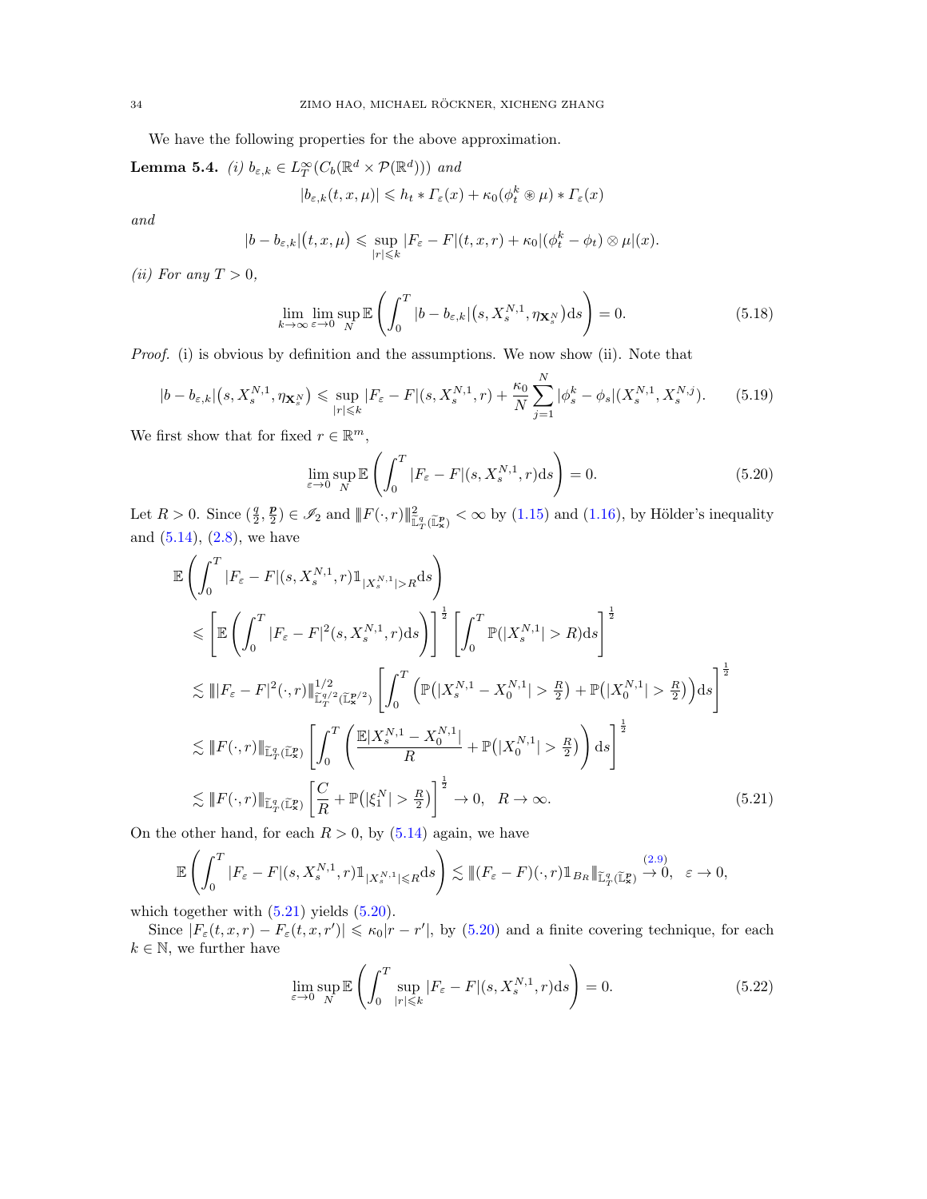We have the following properties for the above approximation.

**Lemma 5.4.** (i)  $b_{\varepsilon,k} \in L_T^{\infty}(C_b(\mathbb{R}^d \times \mathcal{P}(\mathbb{R}^d)))$  and

$$
|b_{\varepsilon,k}(t,x,\mu)| \leqslant h_t * \varGamma_{\varepsilon}(x) + \kappa_0(\phi_t^k \circledast \mu) * \varGamma_{\varepsilon}(x)
$$

and

$$
|b - b_{\varepsilon,k}|(t, x, \mu) \leq \sup_{|r| \leq k} |F_{\varepsilon} - F|(t, x, r) + \kappa_0 |(\phi_t^k - \phi_t) \otimes \mu|(x).
$$

(ii) For any  $T > 0$ ,

$$
\lim_{k \to \infty} \lim_{\varepsilon \to 0} \sup_N \mathbb{E}\left(\int_0^T |b - b_{\varepsilon,k}|(s, X_s^{N,1}, \eta_{\mathbf{X}_s^N}) ds\right) = 0.
$$
\n(5.18)

Proof. (i) is obvious by definition and the assumptions. We now show (ii). Note that

$$
|b - b_{\varepsilon,k}| \left( s, X_s^{N,1}, \eta_{\mathbf{X}_s^N} \right) \leq \sup_{|r| \leq k} |F_{\varepsilon} - F|(s, X_s^{N,1}, r) + \frac{\kappa_0}{N} \sum_{j=1}^N |\phi_s^k - \phi_s| (X_s^{N,1}, X_s^{N,j}). \tag{5.19}
$$

We first show that for fixed  $r \in \mathbb{R}^m$ ,

$$
\lim_{\varepsilon \to 0} \sup_{N} \mathbb{E}\left(\int_{0}^{T} |F_{\varepsilon} - F|(s, X_{s}^{N,1}, r) \mathrm{d}s\right) = 0. \tag{5.20}
$$

<span id="page-33-4"></span><span id="page-33-3"></span><span id="page-33-1"></span><span id="page-33-0"></span> $\mathbf{v}$ 

Let  $R > 0$ . Since  $(\frac{q}{2}, \frac{p}{2}) \in \mathscr{I}_2$  and  $||F(\cdot, r)||_{\mathbb{L}^q_T(\mathbb{L}^p_x)}^2 < \infty$  by [\(1.15\)](#page-5-5) and [\(1.16\)](#page-5-1), by Hölder's inequality and  $(5.14)$ ,  $(2.8)$ , we have

$$
\mathbb{E}\left(\int_{0}^{T}|F_{\varepsilon}-F|(s,X_{s}^{N,1},r)\mathbb{1}_{|X_{s}^{N,1}|>R}ds\right) \n\leq \left[\mathbb{E}\left(\int_{0}^{T}|F_{\varepsilon}-F|^{2}(s,X_{s}^{N,1},r)ds\right)\right]^{\frac{1}{2}}\left[\int_{0}^{T}\mathbb{P}(|X_{s}^{N,1}|>R)ds\right]^{\frac{1}{2}} \n\lesssim \||F_{\varepsilon}-F|^{2}(\cdot,r)\||_{\widetilde{\mathbb{L}}_{T}^{q/2}(\widetilde{\mathbb{L}}_{x}^{p/2})}\left[\int_{0}^{T}\left(\mathbb{P}(|X_{s}^{N,1}-X_{0}^{N,1}|>\frac{R}{2})+\mathbb{P}(|X_{0}^{N,1}|>\frac{R}{2})\right)ds\right]^{\frac{1}{2}} \n\lesssim \||F(\cdot,r)\||_{\widetilde{\mathbb{L}}_{T}^{q}(\widetilde{\mathbb{L}}_{x}^{p})}\left[\int_{0}^{T}\left(\frac{\mathbb{E}|X_{s}^{N,1}-X_{0}^{N,1}|}{R}+\mathbb{P}(|X_{0}^{N,1}|>\frac{R}{2})\right)ds\right]^{\frac{1}{2} \n\lesssim \||F(\cdot,r)\||_{\widetilde{\mathbb{L}}_{T}^{q}(\widetilde{\mathbb{L}}_{x}^{p})}\left[\frac{C}{R}+\mathbb{P}(|\xi_{1}^{N}|>\frac{R}{2})\right]^{\frac{1}{2}} \to 0, \quad R \to \infty.
$$
\n(5.21)

On the other hand, for each  $R > 0$ , by  $(5.14)$  again, we have

$$
\mathbb{E}\left(\int_0^T |F_{\varepsilon}-F|(s,X^{N,1}_s,r)\mathbb{1}_{|X^{N,1}_s|\leq R}ds\right)\lesssim \|(F_{\varepsilon}-F)(\cdot,r)\mathbb{1}_{B_R}\|_{\widetilde{\mathbb{L}}_T^q(\widetilde{\mathbb{L}}_X^p)}\xrightarrow{(2.9)} 0,\ \varepsilon\to 0,
$$

which together with  $(5.21)$  yields  $(5.20)$ .

Since  $|F_{\varepsilon}(t, x, r) - F_{\varepsilon}(t, x, r')| \leq \kappa_0 |r - r'|$ , by [\(5.20\)](#page-33-1) and a finite covering technique, for each  $k \in \mathbb{N}$ , we further have

<span id="page-33-2"></span>
$$
\lim_{\varepsilon \to 0} \sup_{N} \mathbb{E} \left( \int_{0}^{T} \sup_{|r| \leqslant k} |F_{\varepsilon} - F|(s, X_s^{N, 1}, r) \, ds \right) = 0. \tag{5.22}
$$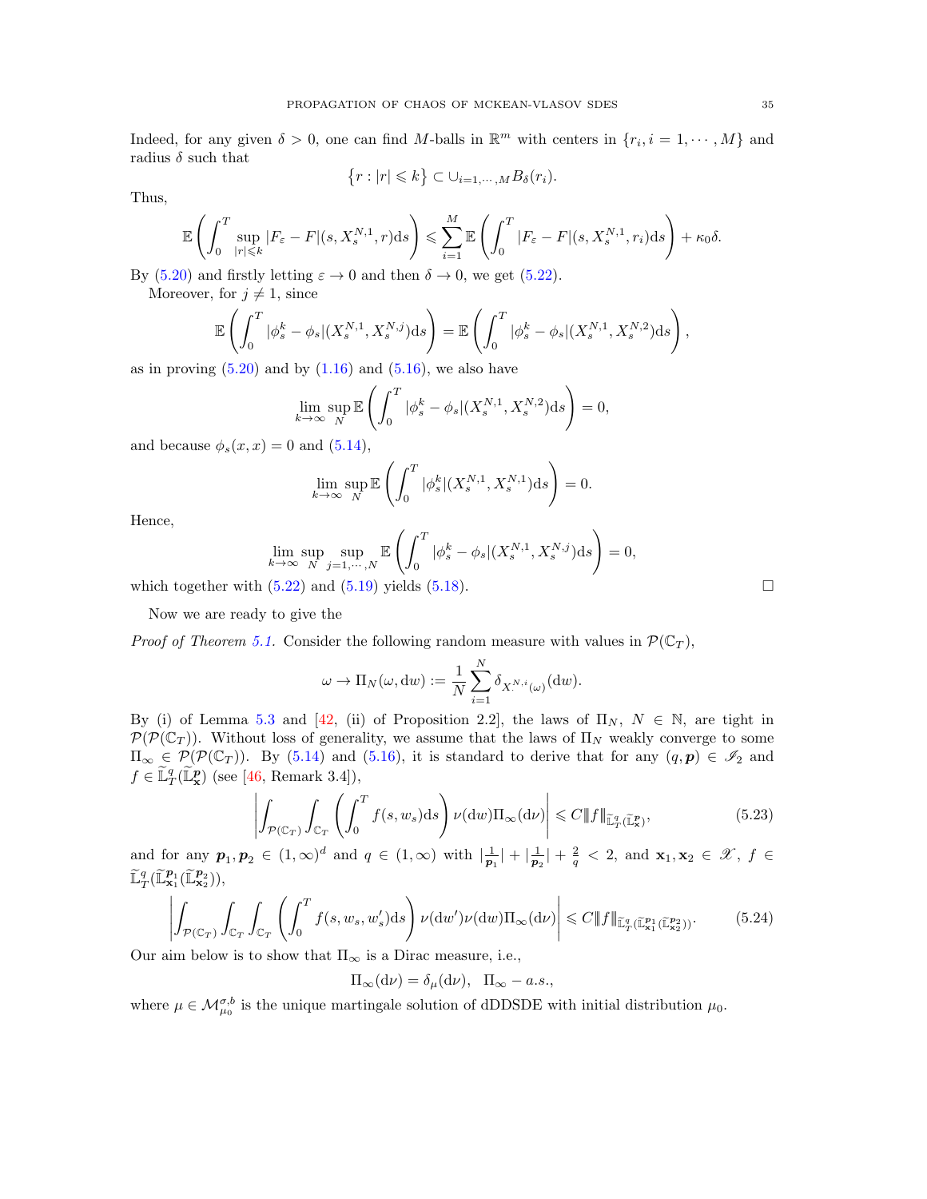Indeed, for any given  $\delta > 0$ , one can find M-balls in  $\mathbb{R}^m$  with centers in  $\{r_i, i = 1, \dots, M\}$  and radius  $\delta$  such that

$$
\left\{r:|r|\leqslant k\right\}\subset \cup_{i=1,\cdots,M}B_{\delta}(r_{i}).
$$

Thus,

$$
\mathbb{E}\left(\int_{0}^{T} \sup_{|r| \leq k} |F_{\varepsilon} - F|(s, X_{s}^{N,1}, r)ds\right) \leq \sum_{i=1}^{M} \mathbb{E}\left(\int_{0}^{T} |F_{\varepsilon} - F|(s, X_{s}^{N,1}, r_{i})ds\right) + \kappa_{0}\delta.
$$

By [\(5.20\)](#page-33-1) and firstly letting  $\varepsilon \to 0$  and then  $\delta \to 0$ , we get [\(5.22\)](#page-33-2).

Moreover, for  $j \neq 1$ , since

$$
\mathbb{E}\left(\int_0^T |\phi_s^k - \phi_s|(X_s^{N,1}, X_s^{N,j})ds\right) = \mathbb{E}\left(\int_0^T |\phi_s^k - \phi_s|(X_s^{N,1}, X_s^{N,2})ds\right),\tag{5.38}
$$

as in proving  $(5.20)$  and by  $(1.16)$  and  $(5.16)$ , we also have

$$
\lim_{k \to \infty} \sup_N \mathbb{E}\left(\int_0^T |\phi_s^k - \phi_s|(X_s^{N,1}, X_s^{N,2})ds\right) = 0,
$$

and because  $\phi_s(x, x) = 0$  and  $(5.14)$ ,

$$
\lim_{k \to \infty} \sup_N \mathbb{E}\left(\int_0^T |\phi_s^k|(X^{N,1}_s,X^{N,1}_s)\mathrm{d} s\right) = 0.
$$

Hence,

$$
\lim_{k \to \infty} \sup_{N} \sup_{j=1,\dots,N} \mathbb{E}\left(\int_0^T |\phi_s^k - \phi_s| (X_s^{N,1}, X_s^{N,j}) ds\right) = 0,
$$
\n(5.88)

which together with  $(5.22)$  and  $(5.19)$  yields  $(5.18)$ .

Now we are ready to give the

*Proof of Theorem [5.1.](#page-28-4)* Consider the following random measure with values in  $\mathcal{P}(\mathbb{C}_T)$ ,

$$
\omega \to \Pi_N(\omega, \mathrm{d}w) := \frac{1}{N} \sum_{i=1}^N \delta_{X^{N,i}(\omega)}(\mathrm{d}w).
$$

By (i) of Lemma [5.3](#page-0-0) and [\[42,](#page-46-9) (ii) of Proposition 2.2], the laws of  $\Pi_N$ ,  $N \in \mathbb{N}$ , are tight in  $\mathcal{P}(\mathcal{P}(\mathbb{C}_T))$ . Without loss of generality, we assume that the laws of  $\Pi_N$  weakly converge to some  $\Pi_{\infty} \in \mathcal{P}(\mathcal{P}(\mathbb{C}_T))$ . By [\(5.14\)](#page-31-3) and [\(5.16\)](#page-32-0), it is standard to derive that for any  $(q, p) \in \mathscr{I}_2$  and  $f \in \widetilde{\mathbb{L}}_T^q(\widetilde{\mathbb{L}}_\mathbf{x}^p)$  (see [\[46,](#page-46-17) Remark 3.4]),

$$
\left| \int_{\mathcal{P}(\mathbb{C}_T)} \int_{\mathbb{C}_T} \left( \int_0^T f(s, w_s) \, ds \right) \nu(\mathrm{d}w) \Pi_\infty(\mathrm{d}w) \right| \leq C \|f\|_{\widetilde{\mathbb{L}}_T^q(\widetilde{\mathbb{L}}_T^p)},\tag{5.23}
$$

and for any  $p_1, p_2 \in (1, \infty)^d$  and  $q \in (1, \infty)$  with  $\left|\frac{1}{p_1}\right| + \left|\frac{1}{p_2}\right| + \frac{2}{q} < 2$ , and  $\mathbf{x}_1, \mathbf{x}_2 \in \mathcal{X}$ ,  $f \in$  $\widetilde{\mathbb{L}}_T^q(\widetilde{\mathbb{L}}_{\mathbf{x}_1}^{p_1}(\widetilde{\mathbb{L}}_{\mathbf{x}_2}^{p_2})),$ 

$$
\left| \int_{\mathcal{P}(\mathbb{C}_T)} \int_{\mathbb{C}_T} \int_{\mathbb{C}_T} \left( \int_0^T f(s, w_s, w'_s) \, ds \right) \nu(\mathrm{d}w') \nu(\mathrm{d}w) \Pi_\infty(\mathrm{d}w) \right| \leq C \|f\|_{\widetilde{\mathbb{L}}_T^q(\widetilde{\mathbb{L}}_{\mathbf{x}_1}^{p_1}(\widetilde{\mathbb{L}}_{\mathbf{x}_2}^{p_2}))}. \tag{5.24}
$$

Our aim below is to show that  $\Pi_{\infty}$  is a Dirac measure, i.e.,

$$
\Pi_{\infty}(\mathrm{d}\nu) = \delta_{\mu}(\mathrm{d}\nu), \ \ \Pi_{\infty} - a.s.,
$$

where  $\mu \in \mathcal{M}_{\mu_0}^{\sigma,b}$  is the unique martingale solution of dDDSDE with initial distribution  $\mu_0$ .

<span id="page-34-1"></span><span id="page-34-0"></span>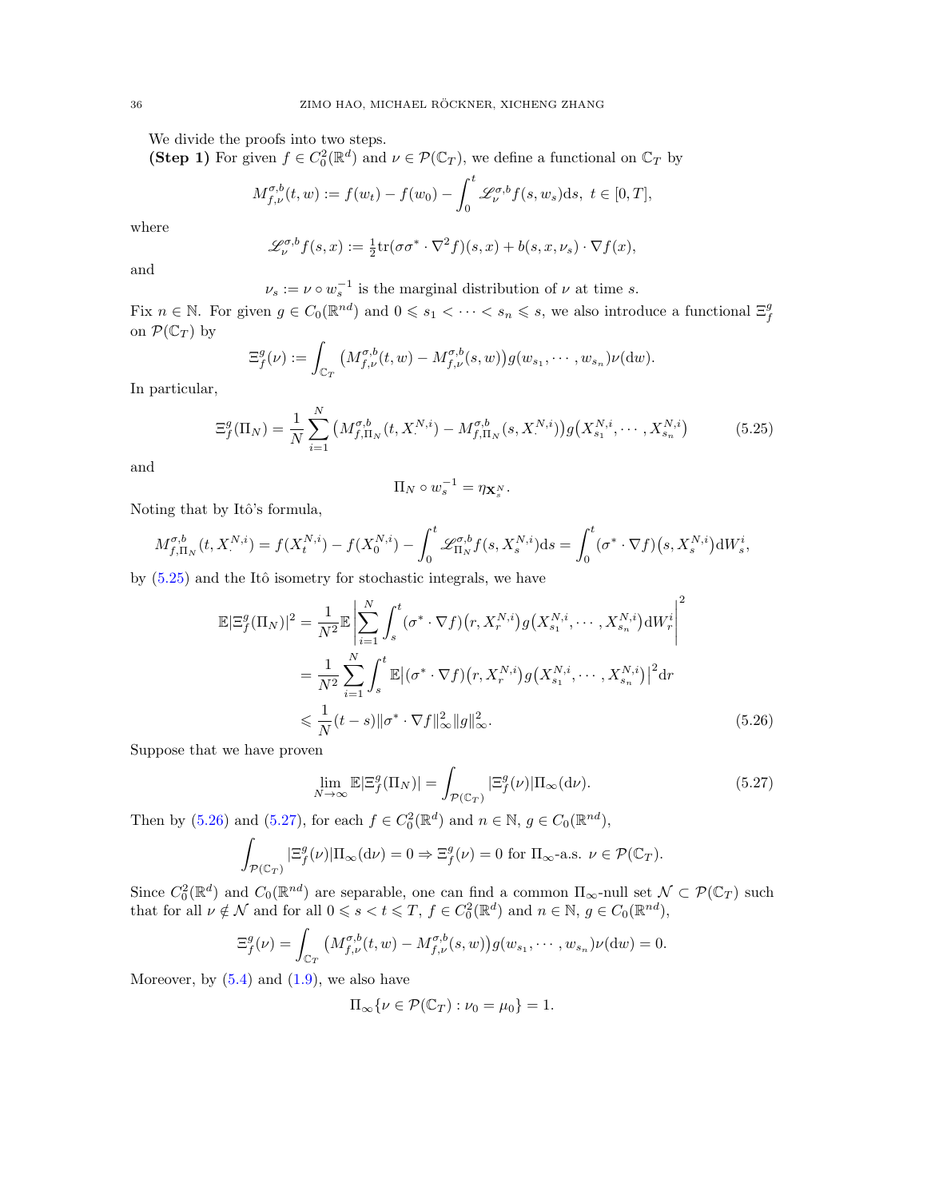We divide the proofs into two steps.

(Step 1) For given  $f \in C_0^2(\mathbb{R}^d)$  and  $\nu \in \mathcal{P}(\mathbb{C}_T)$ , we define a functional on  $\mathbb{C}_T$  by

$$
M_{f,\nu}^{\sigma,b}(t,w) := f(w_t) - f(w_0) - \int_0^t \mathcal{L}_{\nu}^{\sigma,b} f(s, w_s) \, ds, \ t \in [0, T],
$$

where

$$
\mathscr{L}_{\nu}^{\sigma,b} f(s,x) := \frac{1}{2} \text{tr}(\sigma \sigma^* \cdot \nabla^2 f)(s,x) + b(s,x,\nu_s) \cdot \nabla f(x),
$$

and

 $\nu_s := \nu \circ w_s^{-1}$  is the marginal distribution of  $\nu$  at time s.

Fix  $n \in \mathbb{N}$ . For given  $g \in C_0(\mathbb{R}^{nd})$  and  $0 \leq s_1 < \cdots < s_n \leq s$ , we also introduce a functional  $\Xi_f^g$ on  $\mathcal{P}(\mathbb{C}_T)$  by

$$
\Xi_f^g(\nu) := \int_{\mathbb{C}_T} \left( M_{f,\nu}^{\sigma,b}(t,w) - M_{f,\nu}^{\sigma,b}(s,w) \right) g(w_{s_1},\cdots,w_{s_n}) \nu(\mathrm{d}w).
$$

In particular,

$$
\Xi_f^g(\Pi_N) = \frac{1}{N} \sum_{i=1}^N \left( M_{f,\Pi_N}^{\sigma,b}(t, X^{N,i}) - M_{f,\Pi_N}^{\sigma,b}(s, X^{N,i}) \right) g\left( X_{s_1}^{N,i}, \cdots, X_{s_n}^{N,i} \right) \tag{5.25}
$$

and

<span id="page-35-1"></span><span id="page-35-0"></span>
$$
\Pi_N \circ w_s^{-1} = \eta_{\mathbf{X}_s^N}.
$$

Noting that by Itô's formula,

$$
M_{f,\Pi_N}^{\sigma,b}(t, X^{N,i}) = f(X^{N,i}_t) - f(X^{N,i}_0) - \int_0^t \mathcal{L}_{\Pi_N}^{\sigma,b} f(s, X^{N,i}_s) ds = \int_0^t (\sigma^* \cdot \nabla f)(s, X^{N,i}_s) dW_s^i,
$$

by  $(5.25)$  and the Itô isometry for stochastic integrals, we have

$$
\mathbb{E}|\Xi_{f}^{g}(\Pi_{N})|^{2} = \frac{1}{N^{2}}\mathbb{E}\left|\sum_{i=1}^{N}\int_{s}^{t}(\sigma^{*}\cdot\nabla f)(r, X_{r}^{N,i})g(X_{s_{1}}^{N,i}, \cdots, X_{s_{n}}^{N,i})\mathrm{d}W_{r}^{i}\right|^{2}
$$

$$
= \frac{1}{N^{2}}\sum_{i=1}^{N}\int_{s}^{t}\mathbb{E}|(\sigma^{*}\cdot\nabla f)(r, X_{r}^{N,i})g(X_{s_{1}}^{N,i}, \cdots, X_{s_{n}}^{N,i})|^{2}\mathrm{d}r
$$

$$
\leq \frac{1}{N}(t-s)\|\sigma^{*}\cdot\nabla f\|_{\infty}^{2}\|g\|_{\infty}^{2}.
$$
(5.26)

Suppose that we have proven

<span id="page-35-2"></span>
$$
\lim_{N \to \infty} \mathbb{E} |\Xi_f^g(\Pi_N)| = \int_{\mathcal{P}(\mathbb{C}_T)} |\Xi_f^g(\nu)| \Pi_\infty(\mathrm{d}\nu). \tag{5.27}
$$

Then by [\(5.26\)](#page-35-1) and [\(5.27\)](#page-35-2), for each  $f \in C_0^2(\mathbb{R}^d)$  and  $n \in \mathbb{N}$ ,  $g \in C_0(\mathbb{R}^{nd})$ ,

$$
\int_{\mathcal{P}(\mathbb{C}_T)} |\Xi_f^g(\nu)| \Pi_{\infty}(\mathrm{d}\nu) = 0 \Rightarrow \Xi_f^g(\nu) = 0 \text{ for } \Pi_{\infty} \text{-a.s. } \nu \in \mathcal{P}(\mathbb{C}_T).
$$

Since  $C_0^2(\mathbb{R}^d)$  and  $C_0(\mathbb{R}^{nd})$  are separable, one can find a common  $\Pi_{\infty}$ -null set  $\mathcal{N} \subset \mathcal{P}(\mathbb{C}_T)$  such that for all  $\nu \notin \mathcal{N}$  and for all  $0 \le s < t \le T$ ,  $f \in C_0^2(\mathbb{R}^d)$  and  $n \in \mathbb{N}$ ,  $g \in C_0(\mathbb{R}^{nd})$ ,

$$
\Xi_f^g(\nu) = \int_{\mathbb{C}_T} \left( M_{f,\nu}^{\sigma,b}(t,w) - M_{f,\nu}^{\sigma,b}(s,w) \right) g(w_{s_1}, \cdots, w_{s_n}) \nu(\mathrm{d}w) = 0.
$$

Moreover, by  $(5.4)$  and  $(1.9)$ , we also have

$$
\Pi_{\infty}\{\nu \in \mathcal{P}(\mathbb{C}_T): \nu_0 = \mu_0\} = 1.
$$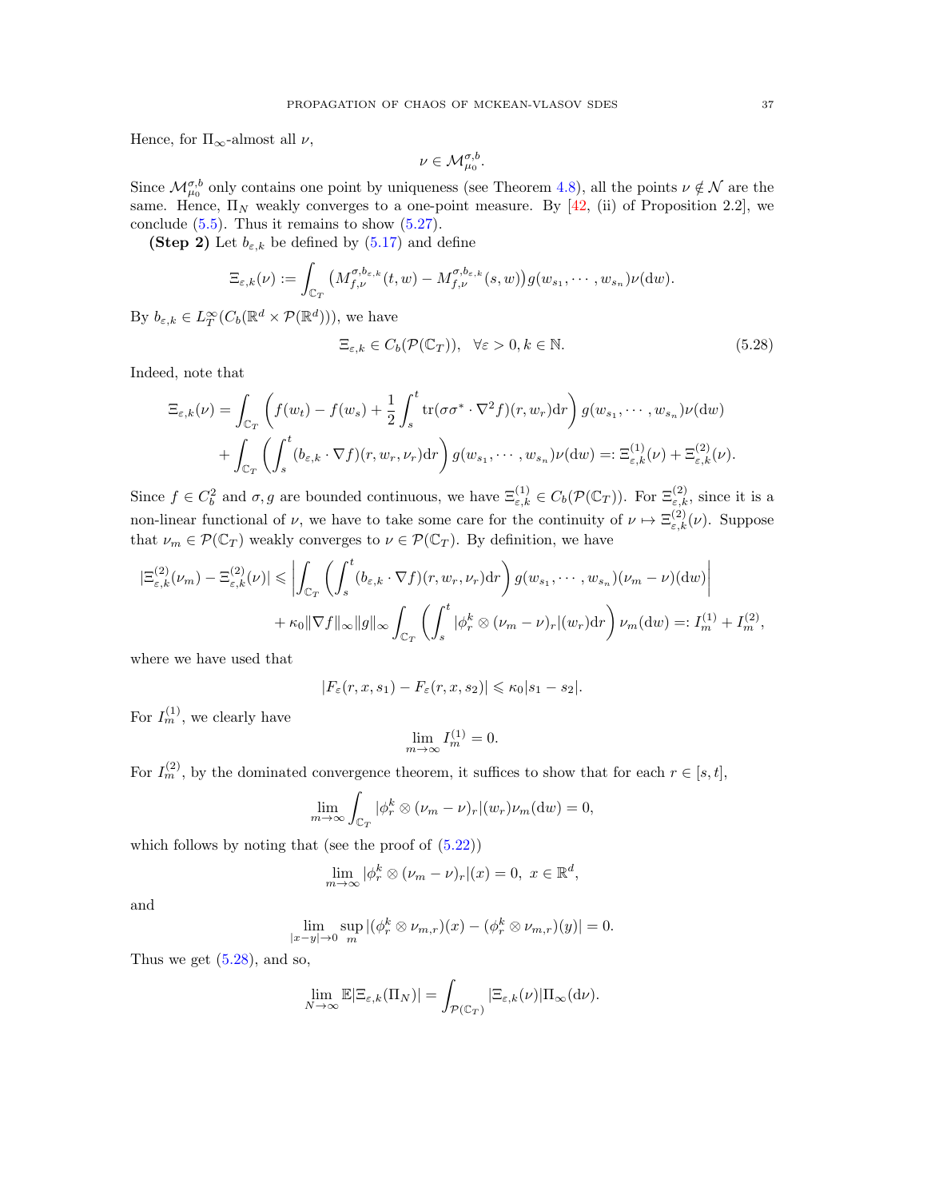Hence, for  $\Pi_{\infty}$ -almost all  $\nu$ ,

<span id="page-36-0"></span>
$$
\nu\in \mathcal{M}_{\mu_0}^{\sigma,b}.
$$

Since  $\mathcal{M}_{\mu_0}^{\sigma,b}$  only contains one point by uniqueness (see Theorem [4.8\)](#page-24-3), all the points  $\nu \notin \mathcal{N}$  are the same. Hence,  $\Pi_N$  weakly converges to a one-point measure. By [\[42,](#page-46-9) (ii) of Proposition 2.2], we conclude  $(5.5)$ . Thus it remains to show  $(5.27)$ .

(Step 2) Let  $b_{\varepsilon,k}$  be defined by [\(5.17\)](#page-32-1) and define

$$
\Xi_{\varepsilon,k}(\nu) := \int_{\mathbb{C}_T} \big(M_{f,\nu}^{\sigma,b_{\varepsilon,k}}(t,w) - M_{f,\nu}^{\sigma,b_{\varepsilon,k}}(s,w)\big)g(w_{s_1},\cdots,w_{s_n})\nu(\mathrm{d} w).
$$

By  $b_{\varepsilon,k} \in L_T^{\infty}(C_b(\mathbb{R}^d \times \mathcal{P}(\mathbb{R}^d))),$  we have

$$
\Xi_{\varepsilon,k} \in C_b(\mathcal{P}(\mathbb{C}_T)), \quad \forall \varepsilon > 0, k \in \mathbb{N}.
$$

Indeed, note that

$$
\Xi_{\varepsilon,k}(\nu) = \int_{\mathbb{C}_T} \left( f(w_t) - f(w_s) + \frac{1}{2} \int_s^t \text{tr}(\sigma \sigma^* \cdot \nabla^2 f)(r, w_r) dr \right) g(w_{s_1}, \dots, w_{s_n}) \nu(\mathrm{d}w) \n+ \int_{\mathbb{C}_T} \left( \int_s^t (b_{\varepsilon,k} \cdot \nabla f)(r, w_r, \nu_r) dr \right) g(w_{s_1}, \dots, w_{s_n}) \nu(\mathrm{d}w) =: \Xi_{\varepsilon,k}^{(1)}(\nu) + \Xi_{\varepsilon,k}^{(2)}(\nu).
$$

Since  $f \in C_b^2$  and  $\sigma, g$  are bounded continuous, we have  $\Xi_{\varepsilon,k}^{(1)} \in C_b(\mathcal{P}(\mathbb{C}_T))$ . For  $\Xi_{\varepsilon,k}^{(2)}$ , since it is a non-linear functional of  $\nu$ , we have to take some care for the continuity of  $\nu \mapsto \Xi_{\varepsilon,k}^{(2)}(\nu)$ . Suppose that  $\nu_m \in \mathcal{P}(\mathbb{C}_T)$  weakly converges to  $\nu \in \mathcal{P}(\mathbb{C}_T)$ . By definition, we have

$$
\begin{split} |\Xi_{\varepsilon,k}^{(2)}(\nu_m) - \Xi_{\varepsilon,k}^{(2)}(\nu)| &\leq \left| \int_{\mathbb{C}_T} \left( \int_s^t (b_{\varepsilon,k} \cdot \nabla f)(r, w_r, \nu_r) dr \right) g(w_{s_1}, \cdots, w_{s_n}) (\nu_m - \nu)(dw) \right| \\ &+ \kappa_0 \|\nabla f\|_{\infty} \|g\|_{\infty} \int_{\mathbb{C}_T} \left( \int_s^t |\phi_r^k \otimes (\nu_m - \nu)_r| (w_r) dr \right) \nu_m(dw) =: I_m^{(1)} + I_m^{(2)}, \end{split}
$$

where we have used that

$$
|F_{\varepsilon}(r, x, s_1) - F_{\varepsilon}(r, x, s_2)| \leq \kappa_0 |s_1 - s_2|.
$$

For  $I_m^{(1)}$ , we clearly have

$$
\lim_{m \to \infty} I_m^{(1)} = 0.
$$

For  $I_m^{(2)}$ , by the dominated convergence theorem, it suffices to show that for each  $r \in [s, t]$ ,

$$
\lim_{m \to \infty} \int_{\mathbb{C}_T} |\phi_r^k \otimes (\nu_m - \nu)_r|(w_r)\nu_m(\mathrm{d}w) = 0,
$$

which follows by noting that (see the proof of  $(5.22)$ )

$$
\lim_{m \to \infty} |\phi_r^k \otimes (\nu_m - \nu)_r|(x) = 0, \ x \in \mathbb{R}^d,
$$

and

$$
\lim_{|x-y|\to 0} \sup_m |(\phi_r^k \otimes \nu_{m,r})(x) - (\phi_r^k \otimes \nu_{m,r})(y)| = 0.
$$

Thus we get  $(5.28)$ , and so,

$$
\lim_{N\to\infty} \mathbb{E}|\Xi_{\varepsilon,k}(\Pi_N)| = \int_{\mathcal{P}(\mathbb{C}_T)} |\Xi_{\varepsilon,k}(\nu)| \Pi_\infty(\mathrm{d}\nu).
$$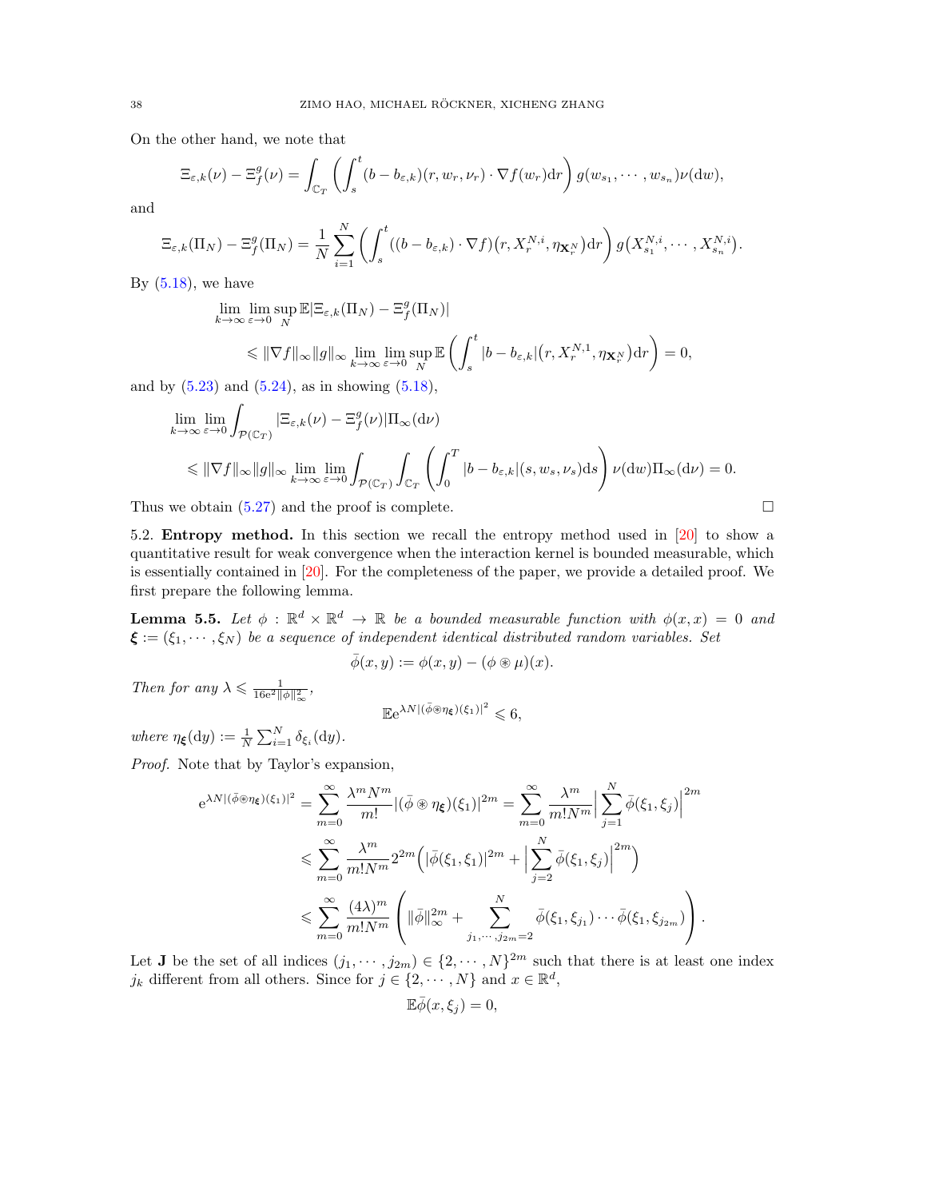On the other hand, we note that

$$
\Xi_{\varepsilon,k}(\nu)-\Xi_f^g(\nu)=\int_{\mathbb{C}_T}\left(\int_s^t(b-b_{\varepsilon,k})(r,w_r,\nu_r)\cdot\nabla f(w_r)\mathrm{d}r\right)g(w_{s_1},\cdots,w_{s_n})\nu(\mathrm{d}w),
$$

and

$$
\Xi_{\varepsilon,k}(\Pi_N)-\Xi_f^g(\Pi_N)=\frac{1}{N}\sum_{i=1}^N\left(\int_s^t((b-b_{\varepsilon,k})\cdot\nabla f)(r,X_r^{N,i},\eta_{\mathbf{X}_r^N})dr\right)g\big(X_{s_1}^{N,i},\cdots,X_{s_n}^{N,i}\big).
$$

By  $(5.18)$ , we have

$$
\lim_{k \to \infty} \lim_{\varepsilon \to 0} \sup_N \mathbb{E} |\Xi_{\varepsilon,k}(\Pi_N) - \Xi_f^g(\Pi_N)|
$$
\n
$$
\leq \|\nabla f\|_{\infty} \|g\|_{\infty} \lim_{k \to \infty} \lim_{\varepsilon \to 0} \sup_N \mathbb{E} \left( \int_s^t |b - b_{\varepsilon,k}|(r, X_r^{N,1}, \eta_{\mathbf{X}_r^N}) dr \right) = 0,
$$

and by  $(5.23)$  and  $(5.24)$ , as in showing  $(5.18)$ ,

$$
\lim_{k \to \infty} \lim_{\varepsilon \to 0} \int_{\mathcal{P}(\mathbb{C}_T)} |\Xi_{\varepsilon,k}(\nu) - \Xi_f^g(\nu)| \Pi_{\infty}(\mathrm{d}\nu)
$$
\n
$$
\leq \|\nabla f\|_{\infty} \|g\|_{\infty} \lim_{k \to \infty} \lim_{\varepsilon \to 0} \int_{\mathcal{P}(\mathbb{C}_T)} \int_{\mathbb{C}_T} \left( \int_0^T |b - b_{\varepsilon,k}|(s, w_s, v_s) \mathrm{d}s \right) \nu(\mathrm{d}w) \Pi_{\infty}(\mathrm{d}\nu) = 0.
$$

Thus we obtain  $(5.27)$  and the proof is complete.  $\Box$ 

<span id="page-37-0"></span>5.2. Entropy method. In this section we recall the entropy method used in [\[20\]](#page-45-11) to show a quantitative result for weak convergence when the interaction kernel is bounded measurable, which is essentially contained in [\[20\]](#page-45-11). For the completeness of the paper, we provide a detailed proof. We first prepare the following lemma.

<span id="page-37-1"></span>**Lemma 5.5.** Let  $\phi$  :  $\mathbb{R}^d \times \mathbb{R}^d \to \mathbb{R}$  be a bounded measurable function with  $\phi(x, x) = 0$  and  $\boldsymbol{\xi} := (\xi_1, \dots, \xi_N)$  be a sequence of independent identical distributed random variables. Set

$$
\bar{\phi}(x,y) := \phi(x,y) - (\phi \circledast \mu)(x).
$$

Then for any  $\lambda \leqslant \frac{1}{16e^2\|\phi\|_{\infty}^2}$ ,

$$
\mathbb{E}e^{\lambda N|(\bar{\phi}\circledast\eta_{\xi})(\xi_1)|^2}\leqslant 6,
$$

where  $\eta_{\xi}(\mathrm{d}y) := \frac{1}{N} \sum_{i=1}^{N} \delta_{\xi_i}(\mathrm{d}y).$ 

Proof. Note that by Taylor's expansion,

$$
e^{\lambda N \left| (\bar{\phi} \circledast \eta_{\xi})(\xi_1) \right|^2} = \sum_{m=0}^{\infty} \frac{\lambda^m N^m}{m!} |(\bar{\phi} \circledast \eta_{\xi})(\xi_1)|^{2m} = \sum_{m=0}^{\infty} \frac{\lambda^m}{m! N^m} \Big| \sum_{j=1}^N \bar{\phi}(\xi_1, \xi_j) \Big|^{2m}
$$
  

$$
\leqslant \sum_{m=0}^{\infty} \frac{\lambda^m}{m! N^m} 2^{2m} \Big( |\bar{\phi}(\xi_1, \xi_1)|^{2m} + \Big| \sum_{j=2}^N \bar{\phi}(\xi_1, \xi_j) \Big|^{2m} \Big)
$$
  

$$
\leqslant \sum_{m=0}^{\infty} \frac{(4\lambda)^m}{m! N^m} \left( \|\bar{\phi}\|_{\infty}^{2m} + \sum_{j_1, \cdots, j_{2m}=2}^N \bar{\phi}(\xi_1, \xi_{j_1}) \cdots \bar{\phi}(\xi_1, \xi_{j_{2m}}) \right).
$$

Let **J** be the set of all indices  $(j_1, \dots, j_{2m}) \in \{2, \dots, N\}^{2m}$  such that there is at least one index  $j_k$  different from all others. Since for  $j \in \{2, \dots, N\}$  and  $x \in \mathbb{R}^d$ ,

$$
\mathbb{E}\overline{\phi}(x,\xi_j)=0,
$$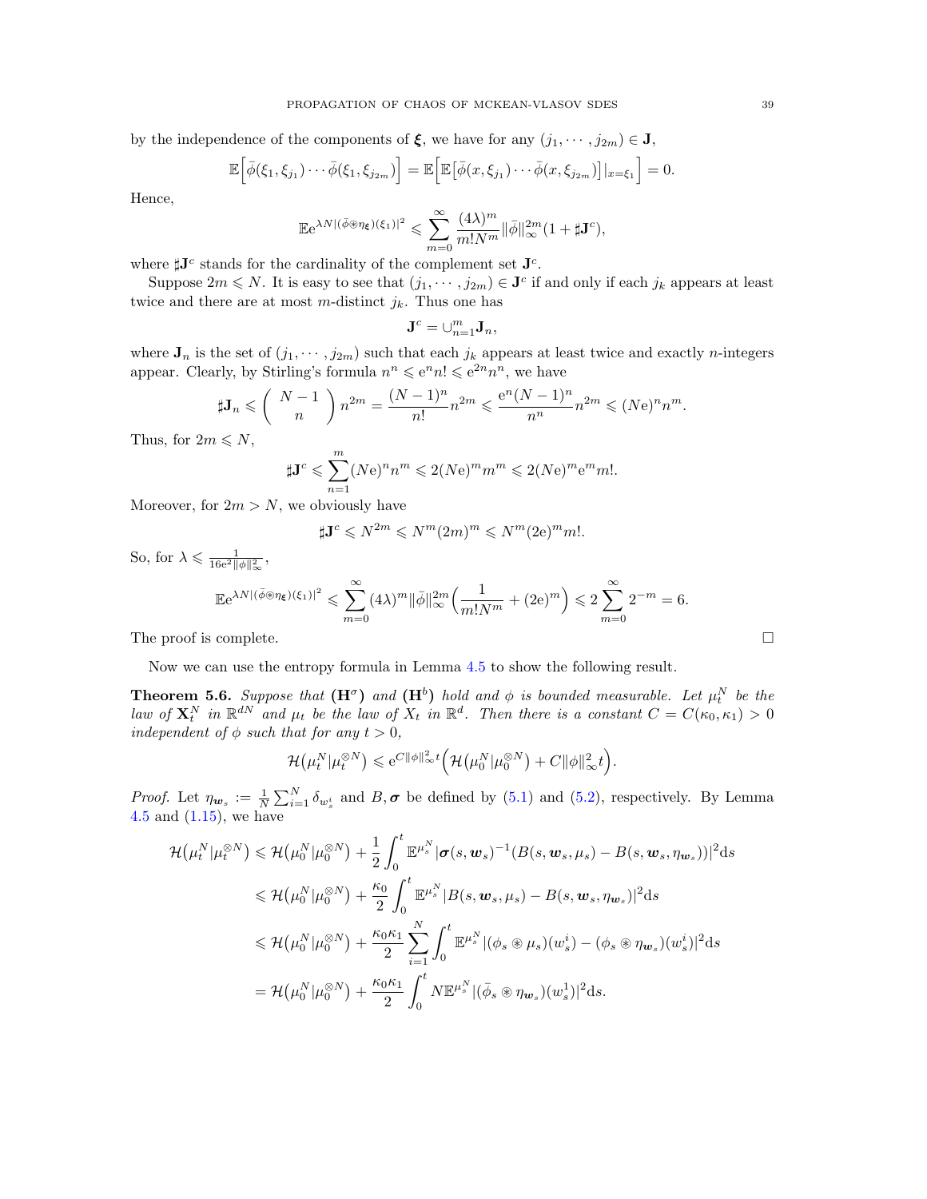by the independence of the components of  $\xi$ , we have for any  $(j_1, \dots, j_{2m}) \in J$ ,

$$
\mathbb{E}\Big[\bar{\phi}(\xi_1,\xi_{j_1})\cdots\bar{\phi}(\xi_1,\xi_{j_{2m}})\Big]=\mathbb{E}\Big[\mathbb{E}\big[\bar{\phi}(x,\xi_{j_1})\cdots\bar{\phi}(x,\xi_{j_{2m}})\big]|_{x=\xi_1}\Big]=0.
$$

Hence,

$$
\mathbb{E}e^{\lambda N |(\bar{\phi}\circledast \eta_{\xi})(\xi_1)|^2} \leqslant \sum_{m=0}^{\infty} \frac{(4\lambda)^m}{m!N^m} \|\bar{\phi}\|_{\infty}^{2m} (1 + \sharp \mathbf{J}^c),
$$

where  $\sharp \mathbf{J}^c$  stands for the cardinality of the complement set  $\mathbf{J}^c$ .

Suppose  $2m \leq N$ . It is easy to see that  $(j_1, \dots, j_{2m}) \in \mathbf{J}^c$  if and only if each  $j_k$  appears at least twice and there are at most m-distinct  $j_k$ . Thus one has

$$
\mathbf{J}^c = \cup_{n=1}^m \mathbf{J}_n,
$$

where  $J_n$  is the set of  $(j_1, \dots, j_{2m})$  such that each  $j_k$  appears at least twice and exactly *n*-integers appear. Clearly, by Stirling's formula  $n^n \leq e^n n! \leq e^{2n} n^n$ , we have

$$
\mathbf{J}_n \leqslant \left( \begin{array}{c} N-1 \\ n \end{array} \right) n^{2m} = \frac{(N-1)^n}{n!} n^{2m} \leqslant \frac{e^n (N-1)^n}{n^n} n^{2m} \leqslant (N e)^n n^m.
$$

Thus, for  $2m \leq N$ ,

 $\sharp$ 

$$
\sharp \mathbf{J}^c \leqslant \sum_{n=1}^m (Ne)^n n^m \leqslant 2(Ne)^m m^m \leqslant 2(Ne)^m e^m m!.
$$

Moreover, for  $2m > N$ , we obviously have

$$
\sharp \mathbf{J}^c \leqslant N^{2m} \leqslant N^m (2m)^m \leqslant N^m (2 \mathrm{e})^m m!.
$$

So, for  $\lambda \leqslant \frac{1}{16e^2 ||\phi||_{\infty}^2}$ ,

$$
\mathbb{E}e^{\lambda N \left| (\bar{\phi} \circledast \eta_{\xi})(\xi_1) \right|^2} \leqslant \sum_{m=0}^{\infty} (4\lambda)^m \|\bar{\phi}\|_{\infty}^{2m} \left( \frac{1}{m!N^m} + (2e)^m \right) \leqslant 2 \sum_{m=0}^{\infty} 2^{-m} = 6.
$$

The proof is complete.  $\Box$ 

Now we can use the entropy formula in Lemma [4.5](#page-22-2) to show the following result.

<span id="page-38-0"></span>**Theorem 5.6.** Suppose that  $(\mathbf{H}^{\sigma})$  and  $(\mathbf{H}^b)$  hold and  $\phi$  is bounded measurable. Let  $\mu_t^N$  be the law of  $\mathbf{X}_t^N$  in  $\mathbb{R}^{dN}$  and  $\mu_t$  be the law of  $X_t$  in  $\mathbb{R}^d$ . Then there is a constant  $C = C(\kappa_0, \kappa_1) > 0$ independent of  $\phi$  such that for any  $t > 0$ ,

$$
\mathcal{H}(\mu_t^N|\mu_t^{\otimes N}) \leqslant e^{C\|\phi\|_{\infty}^2 t} \Big(\mathcal{H}(\mu_0^N|\mu_0^{\otimes N}) + C\|\phi\|_{\infty}^2 t\Big).
$$

*Proof.* Let  $\eta_{\mathbf{w}_s} := \frac{1}{N} \sum_{i=1}^N \delta_{w_s^i}$  and  $B, \sigma$  be defined by [\(5.1\)](#page-28-6) and [\(5.2\)](#page-28-7), respectively. By Lemma [4.5](#page-22-2) and [\(1.15\)](#page-5-5), we have

$$
\mathcal{H}(\mu_t^N|\mu_t^{\otimes N}) \leq \mathcal{H}(\mu_0^N|\mu_0^{\otimes N}) + \frac{1}{2} \int_0^t \mathbb{E}^{\mu_s^N} |\boldsymbol{\sigma}(s, \boldsymbol{w}_s)^{-1} (B(s, \boldsymbol{w}_s, \mu_s) - B(s, \boldsymbol{w}_s, \eta_{\boldsymbol{w}_s}))|^2 ds
$$
  
\n
$$
\leq \mathcal{H}(\mu_0^N|\mu_0^{\otimes N}) + \frac{\kappa_0}{2} \int_0^t \mathbb{E}^{\mu_s^N} |B(s, \boldsymbol{w}_s, \mu_s) - B(s, \boldsymbol{w}_s, \eta_{\boldsymbol{w}_s})|^2 ds
$$
  
\n
$$
\leq \mathcal{H}(\mu_0^N|\mu_0^{\otimes N}) + \frac{\kappa_0 \kappa_1}{2} \sum_{i=1}^N \int_0^t \mathbb{E}^{\mu_s^N} |(\phi_s \otimes \mu_s)(w_s^i) - (\phi_s \otimes \eta_{\boldsymbol{w}_s})(w_s^i)|^2 ds
$$
  
\n
$$
= \mathcal{H}(\mu_0^N|\mu_0^{\otimes N}) + \frac{\kappa_0 \kappa_1}{2} \int_0^t N \mathbb{E}^{\mu_s^N} |(\bar{\phi}_s \otimes \eta_{\boldsymbol{w}_s})(w_s^1)|^2 ds.
$$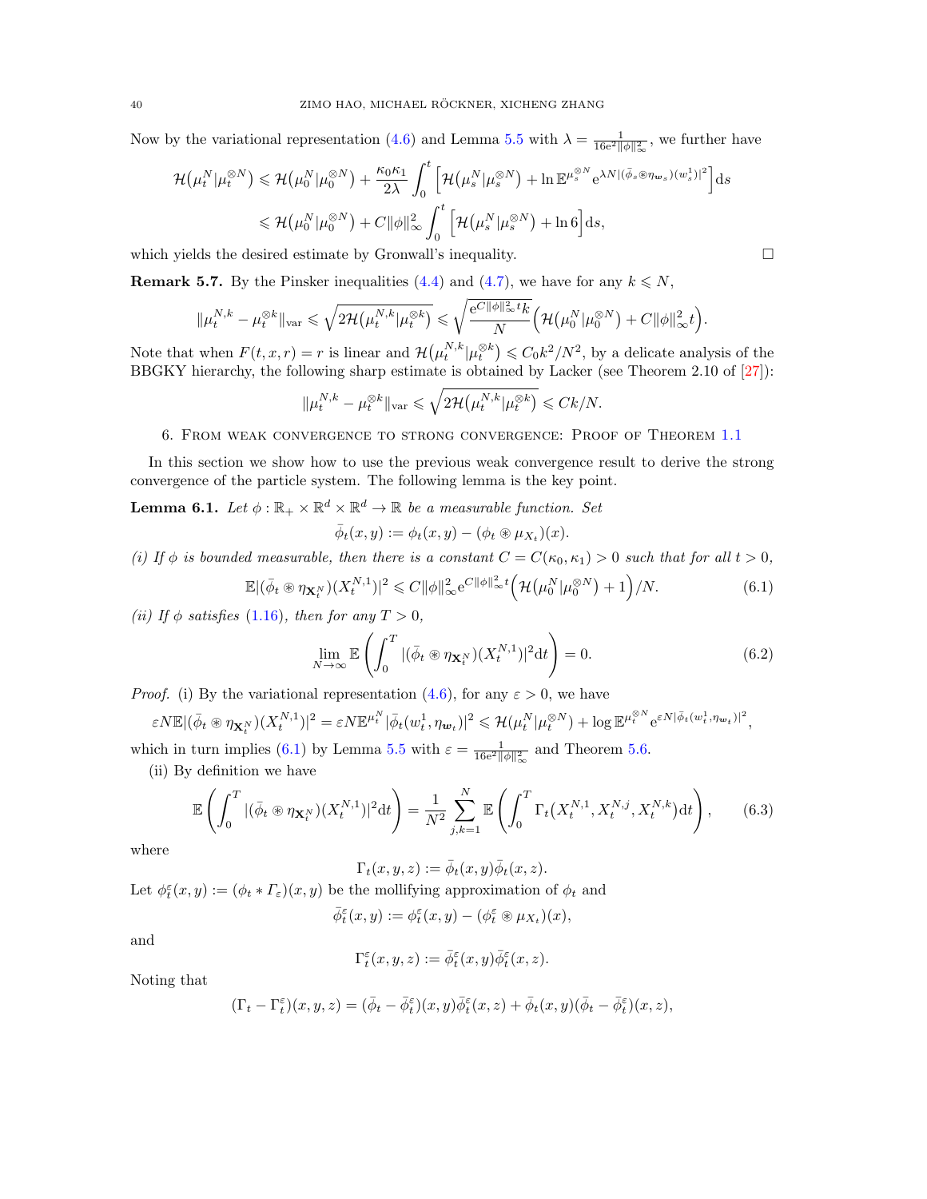Now by the variational representation [\(4.6\)](#page-21-5) and Lemma [5.5](#page-37-1) with  $\lambda = \frac{1}{16e^2 ||\phi||_{\infty}^2}$ , we further have

$$
\mathcal{H}(\mu_t^N | \mu_t^{\otimes N}) \leq \mathcal{H}(\mu_0^N | \mu_0^{\otimes N}) + \frac{\kappa_0 \kappa_1}{2\lambda} \int_0^t \left[ \mathcal{H}(\mu_s^N | \mu_s^{\otimes N}) + \ln \mathbb{E}^{\mu_s^{\otimes N}} e^{\lambda N |(\bar{\phi}_s \otimes \eta_{\mathbf{w}_s})(w_s^1)|^2} \right] ds
$$
  

$$
\leq \mathcal{H}(\mu_0^N | \mu_0^{\otimes N}) + C ||\phi||_{\infty}^2 \int_0^t \left[ \mathcal{H}(\mu_s^N | \mu_s^{\otimes N}) + \ln 6 \right] ds,
$$

which yields the desired estimate by Gronwall's inequality.

**Remark 5.7.** By the Pinsker inequalities [\(4.4\)](#page-21-3) and [\(4.7\)](#page-22-3), we have for any  $k \leq N$ ,

$$
\|\mu_t^{N,k}-\mu_t^{\otimes k}\|_{\text{var}} \leqslant \sqrt{2\mathcal{H}\left(\mu_t^{N,k}|\mu_t^{\otimes k}\right)} \leqslant \sqrt{\frac{e^{C\|\phi\|_{\infty}^2t}k}{N}}\Big(\mathcal{H}\left(\mu_0^N|\mu_0^{\otimes N}\right)+C\|\phi\|_{\infty}^2t\Big).
$$

Note that when  $F(t, x, r) = r$  is linear and  $\mathcal{H}(\mu_t^{N,k} | \mu_t^{\otimes k}) \leq C_0 k^2 / N^2$ , by a delicate analysis of the BBGKY hierarchy, the following sharp estimate is obtained by Lacker (see Theorem 2.10 of [\[27\]](#page-45-23)):

$$
\|\mu_t^{N,k} - \mu_t^{\otimes k}\|_{\text{var}} \leqslant \sqrt{2\mathcal{H}\big(\mu_t^{N,k}|\mu_t^{\otimes k}\big)} \leqslant Ck/N.
$$

### 6. From weak convergence to strong convergence: Proof of Theorem [1.1](#page-5-0)

<span id="page-39-0"></span>In this section we show how to use the previous weak convergence result to derive the strong convergence of the particle system. The following lemma is the key point.

<span id="page-39-1"></span>**Lemma 6.1.** Let  $\phi : \mathbb{R}_+ \times \mathbb{R}^d \times \mathbb{R}^d \to \mathbb{R}$  be a measurable function. Set

$$
\bar{\phi}_t(x,y) := \phi_t(x,y) - (\phi_t \circledast \mu_{X_t})(x).
$$

(i) If  $\phi$  is bounded measurable, then there is a constant  $C = C(\kappa_0, \kappa_1) > 0$  such that for all  $t > 0$ ,

$$
\mathbb{E} |(\bar{\phi}_t \circledast \eta_{\mathbf{X}_t^N})(X_t^{N,1})|^2 \leq C \|\phi\|_{\infty}^2 e^{C \|\phi\|_{\infty}^2 t} \Big(\mathcal{H}(\mu_0^N | \mu_0^{\otimes N}) + 1\Big)/N. \tag{6.1}
$$

(ii) If  $\phi$  satisfies [\(1.16\)](#page-5-1), then for any  $T > 0$ ,

$$
\lim_{N \to \infty} \mathbb{E}\left(\int_0^T |(\bar{\phi}_t \circledast \eta_{\mathbf{X}_t^N})(X_t^{N,1})|^2 dt\right) = 0.
$$
\n(6.2)

*Proof.* (i) By the variational representation [\(4.6\)](#page-21-5), for any  $\varepsilon > 0$ , we have

$$
\varepsilon N \mathbb{E} |(\bar{\phi}_t \circledast \eta_{\mathbf{X}_t^N})(X_t^{N,1})|^2 = \varepsilon N \mathbb{E}^{\mu_t^N} |\bar{\phi}_t(w_t^1, \eta_{\mathbf{w}_t})|^2 \leq \mathcal{H}(\mu_t^N | \mu_t^{\otimes N}) + \log \mathbb{E}^{\mu_t^{\otimes N}} e^{\varepsilon N |\bar{\phi}_t(w_t^1, \eta_{\mathbf{w}_t})|^2},
$$

which in turn implies [\(6.1\)](#page-39-2) by Lemma [5.5](#page-37-1) with  $\varepsilon = \frac{1}{16e^2 ||\phi||^2_{\infty}}$  and Theorem [5.6.](#page-38-0) (ii) By definition we have

$$
\mathbb{E}\left(\int_0^T |(\bar{\phi}_t \circledast \eta_{\mathbf{X}_t^N})(X_t^{N,1})|^2 dt\right) = \frac{1}{N^2} \sum_{j,k=1}^N \mathbb{E}\left(\int_0^T \Gamma_t\big(X_t^{N,1}, X_t^{N,j}, X_t^{N,k}\big) dt\right),\tag{6.3}
$$

where

<span id="page-39-3"></span> $\Gamma_t(x, y, z) := \overline{\phi}_t(x, y) \overline{\phi}_t(x, z).$ 

Let  $\phi_t^{\varepsilon}(x, y) := (\phi_t * \varGamma_{\varepsilon})(x, y)$  be the mollifying approximation of  $\phi_t$  and

$$
\bar{\phi}_t^\varepsilon(x,y):=\phi_t^\varepsilon(x,y)-(\phi_t^\varepsilon\circledast\mu_{X_t})(x),
$$

and

$$
\Gamma^\varepsilon_t(x,y,z):=\bar\phi_t^\varepsilon(x,y)\bar\phi_t^\varepsilon(x,z).
$$

Noting that

$$
(\Gamma_t - \Gamma_t^{\varepsilon})(x, y, z) = (\bar{\phi}_t - \bar{\phi}_t^{\varepsilon})(x, y)\bar{\phi}_t^{\varepsilon}(x, z) + \bar{\phi}_t(x, y)(\bar{\phi}_t - \bar{\phi}_t^{\varepsilon})(x, z),
$$

<span id="page-39-4"></span><span id="page-39-2"></span>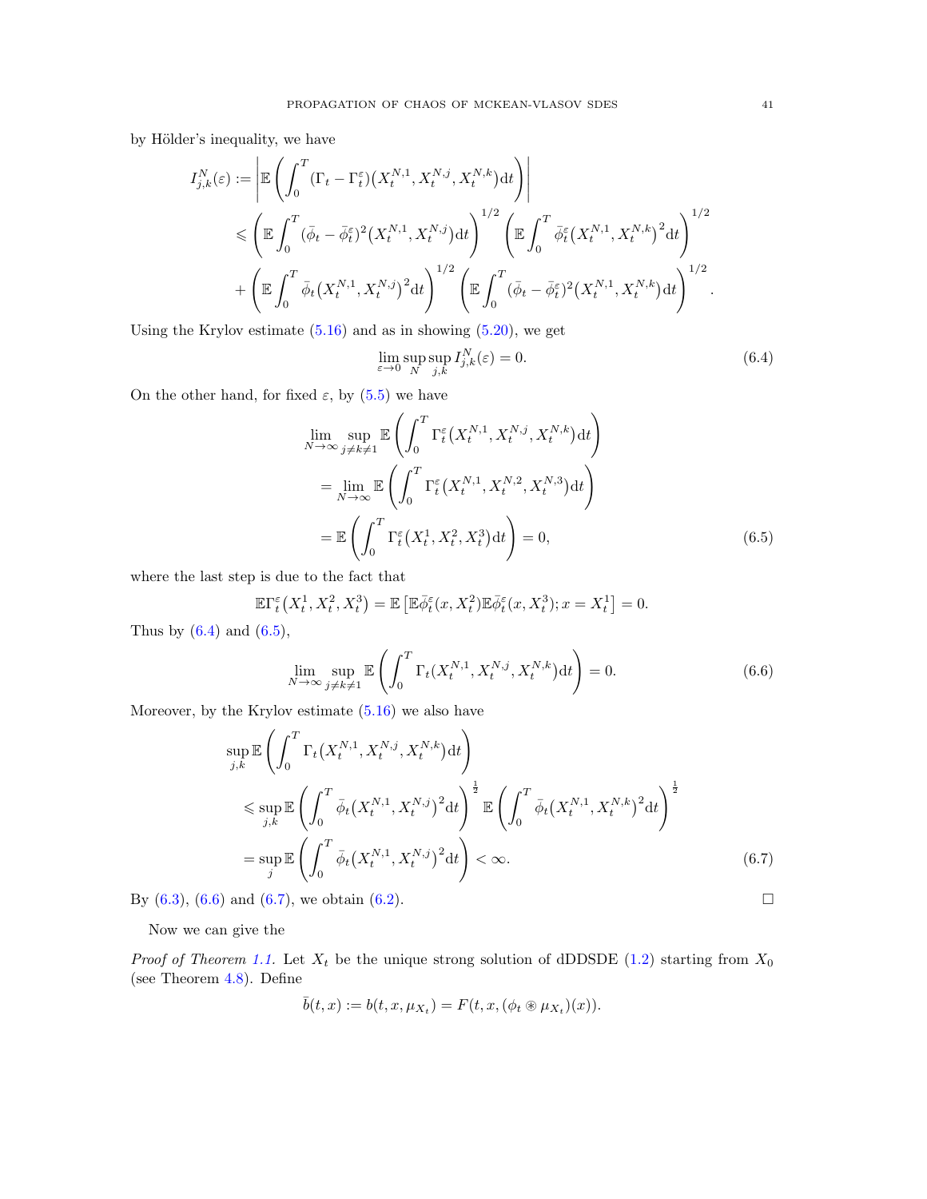by Hölder's inequality, we have

$$
I_{j,k}^{N}(\varepsilon) := \left| \mathbb{E} \left( \int_{0}^{T} (\Gamma_t - \Gamma_t^{\varepsilon}) \left( X_t^{N,1}, X_t^{N,j}, X_t^{N,k} \right) dt \right) \right|
$$
  
\$\leqslant \left( \mathbb{E} \int\_{0}^{T} (\bar{\phi}\_t - \bar{\phi}\_t^{\varepsilon})^2 \left( X\_t^{N,1}, X\_t^{N,j} \right) dt \right)^{1/2} \left( \mathbb{E} \int\_{0}^{T} \bar{\phi}\_t^{\varepsilon} \left( X\_t^{N,1}, X\_t^{N,k} \right)^2 dt \right)^{1/2}\$  
\$+ \left( \mathbb{E} \int\_{0}^{T} \bar{\phi}\_t \left( X\_t^{N,1}, X\_t^{N,j} \right)^2 dt \right)^{1/2} \left( \mathbb{E} \int\_{0}^{T} (\bar{\phi}\_t - \bar{\phi}\_t^{\varepsilon})^2 \left( X\_t^{N,1}, X\_t^{N,k} \right) dt \right)^{1/2}\$.

Using the Krylov estimate  $(5.16)$  and as in showing  $(5.20)$ , we get

<span id="page-40-1"></span><span id="page-40-0"></span>
$$
\lim_{\varepsilon \to 0} \sup_N \sup_{j,k} I_{j,k}^N(\varepsilon) = 0.
$$
\n(6.4)

On the other hand, for fixed  $\varepsilon$ , by [\(5.5\)](#page-28-5) we have

$$
\lim_{N \to \infty} \sup_{j \neq k \neq 1} \mathbb{E} \left( \int_0^T \Gamma_t^{\varepsilon} \left( X_t^{N,1}, X_t^{N,j}, X_t^{N,k} \right) dt \right)
$$
\n
$$
= \lim_{N \to \infty} \mathbb{E} \left( \int_0^T \Gamma_t^{\varepsilon} \left( X_t^{N,1}, X_t^{N,2}, X_t^{N,3} \right) dt \right)
$$
\n
$$
= \mathbb{E} \left( \int_0^T \Gamma_t^{\varepsilon} \left( X_t^1, X_t^2, X_t^3 \right) dt \right) = 0,
$$
\n(6.5)

where the last step is due to the fact that

$$
\mathbb{E}\Gamma^\varepsilon_t\big(X^1_t,X^2_t,X^3_t\big)=\mathbb{E}\left[\mathbb{E}\bar{\phi}^\varepsilon_t(x,X^2_t)\mathbb{E}\bar{\phi}^\varepsilon_t(x,X^3_t);x=X^1_t\right]=0.
$$

Thus by  $(6.4)$  and  $(6.5)$ ,

<span id="page-40-2"></span>
$$
\lim_{N \to \infty} \sup_{j \neq k \neq 1} \mathbb{E}\left(\int_0^T \Gamma_t(X_t^{N,1}, X_t^{N,j}, X_t^{N,k}) dt\right) = 0.
$$
\n(6.6)

Moreover, by the Krylov estimate  $(5.16)$  we also have

$$
\sup_{j,k} \mathbb{E}\left(\int_0^T \Gamma_t(X_t^{N,1}, X_t^{N,j}, X_t^{N,k}) dt\right) \n\leq \sup_{j,k} \mathbb{E}\left(\int_0^T \bar{\phi}_t(X_t^{N,1}, X_t^{N,j})^2 dt\right)^{\frac{1}{2}} \mathbb{E}\left(\int_0^T \bar{\phi}_t(X_t^{N,1}, X_t^{N,k})^2 dt\right)^{\frac{1}{2}} \n= \sup_j \mathbb{E}\left(\int_0^T \bar{\phi}_t(X_t^{N,1}, X_t^{N,j})^2 dt\right) < \infty.
$$
\n(6.7)

By  $(6.3)$ ,  $(6.6)$  and  $(6.7)$ , we obtain  $(6.2)$ .

Now we can give the

*Proof of Theorem [1.1.](#page-5-0)* Let  $X_t$  be the unique strong solution of dDDSDE [\(1.2\)](#page-1-2) starting from  $X_0$ (see Theorem [4.8\)](#page-24-3). Define

<span id="page-40-3"></span>
$$
\overline{b}(t,x) := b(t,x,\mu_{X_t}) = F(t,x,(\phi_t \circledast \mu_{X_t})(x)).
$$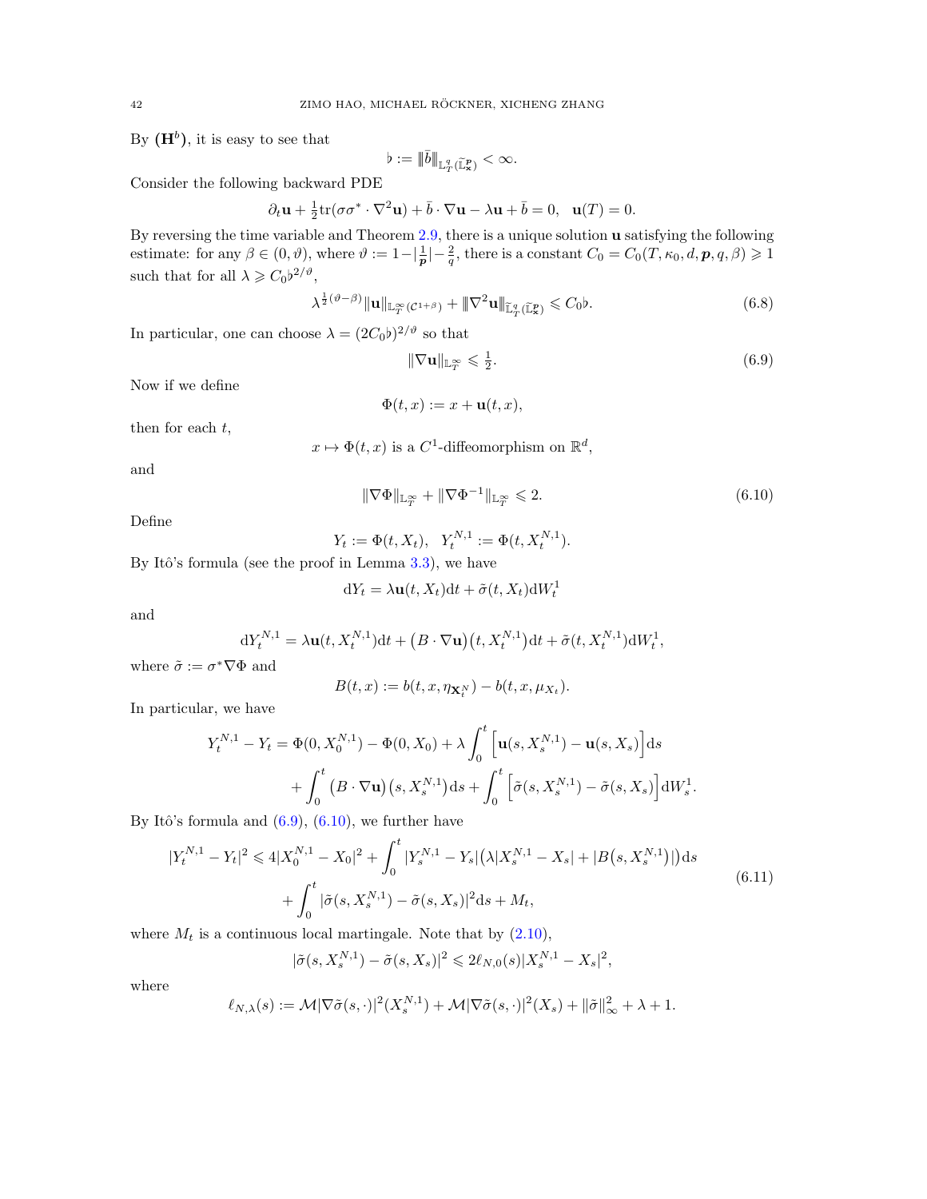By  $(H<sup>b</sup>)$ , it is easy to see that

$$
\flat:=\|\bar b\|_{{\mathbb L}^q_T(\widetilde {\mathbb L}^p_{\bf x})}<\infty.
$$

Consider the following backward PDE

$$
\partial_t \mathbf{u} + \frac{1}{2} \text{tr}(\sigma \sigma^* \cdot \nabla^2 \mathbf{u}) + \bar{b} \cdot \nabla \mathbf{u} - \lambda \mathbf{u} + \bar{b} = 0, \ \ \mathbf{u}(T) = 0.
$$

By reversing the time variable and Theorem [2.9,](#page-14-0) there is a unique solution u satisfying the following estimate: for any  $\beta \in (0, \vartheta)$ , where  $\vartheta := 1 - \left|\frac{1}{p}\right| - \frac{2}{q}$ , there is a constant  $C_0 = C_0(T, \kappa_0, d, p, q, \beta) \geq 1$ such that for all  $\lambda \geq C_0 b^{2/\vartheta}$ ,

$$
\lambda^{\frac{1}{2}(\vartheta-\beta)} \|\mathbf{u}\|_{\mathbb{L}^{\infty}_{T}(C^{1+\beta})} + \|\nabla^{2}\mathbf{u}\|_{\mathbb{L}^{q}_{T}(\mathbb{L}^{p}_{\mathbf{x}})} \leq C_{0} \flat.
$$
\n(6.8)

In particular, one can choose  $\lambda = (2C_0b)^{2/\vartheta}$  so that

<span id="page-41-3"></span><span id="page-41-1"></span><span id="page-41-0"></span>
$$
\|\nabla \mathbf{u}\|_{\mathbb{L}_T^\infty} \leqslant \frac{1}{2}.\tag{6.9}
$$

Now if we define

$$
\Phi(t, x) := x + \mathbf{u}(t, x),
$$

then for each  $t$ ,

$$
x \mapsto \Phi(t, x)
$$
 is a C<sup>1</sup>-diffeomorphism on  $\mathbb{R}^d$ ,

and

$$
\|\nabla\Phi\|_{\mathbb{L}_T^\infty} + \|\nabla\Phi^{-1}\|_{\mathbb{L}_T^\infty} \leqslant 2. \tag{6.10}
$$

Define

$$
Y_t := \Phi(t, X_t), \ \ Y_t^{N,1} := \Phi(t, X_t^{N,1}).
$$

By Itô's formula (see the proof in Lemma  $3.3$ ), we have

$$
dY_t = \lambda \mathbf{u}(t, X_t)dt + \tilde{\sigma}(t, X_t)dW_t^1
$$

and

$$
dY_t^{N,1} = \lambda \mathbf{u}(t, X_t^{N,1})dt + (B \cdot \nabla \mathbf{u})(t, X_t^{N,1})dt + \tilde{\sigma}(t, X_t^{N,1})dW_t^1,
$$

where  $\tilde{\sigma} := \sigma^* \nabla \Phi$  and

<span id="page-41-2"></span>
$$
B(t,x):=b(t,x,\eta_{\mathbf{X}_t^N})-b(t,x,\mu_{X_t}).
$$

In particular, we have

$$
Y_t^{N,1} - Y_t = \Phi(0, X_0^{N,1}) - \Phi(0, X_0) + \lambda \int_0^t \left[ \mathbf{u}(s, X_s^{N,1}) - \mathbf{u}(s, X_s) \right] ds
$$
  
+ 
$$
\int_0^t \left( B \cdot \nabla \mathbf{u} \right) \left( s, X_s^{N,1} \right) ds + \int_0^t \left[ \tilde{\sigma}(s, X_s^{N,1}) - \tilde{\sigma}(s, X_s) \right] dW_s^1.
$$

By Itô's formula and  $(6.9)$ ,  $(6.10)$ , we further have

$$
|Y_t^{N,1} - Y_t|^2 \le 4|X_0^{N,1} - X_0|^2 + \int_0^t |Y_s^{N,1} - Y_s| \left(\lambda |X_s^{N,1} - X_s| + |B(s, X_s^{N,1})|\right) ds
$$
  
+ 
$$
\int_0^t |\tilde{\sigma}(s, X_s^{N,1}) - \tilde{\sigma}(s, X_s)|^2 ds + M_t,
$$
\n(6.11)

where  $M_t$  is a continuous local martingale. Note that by  $(2.10)$ ,

$$
|\tilde{\sigma}(s, X_s^{N,1}) - \tilde{\sigma}(s, X_s)|^2 \le 2\ell_{N,0}(s)|X_s^{N,1} - X_s|^2,
$$

where

$$
\ell_{N,\lambda}(s) := \mathcal{M}|\nabla \tilde{\sigma}(s,\cdot)|^2(X_s^{N,1}) + \mathcal{M}|\nabla \tilde{\sigma}(s,\cdot)|^2(X_s) + \|\tilde{\sigma}\|_{\infty}^2 + \lambda + 1.
$$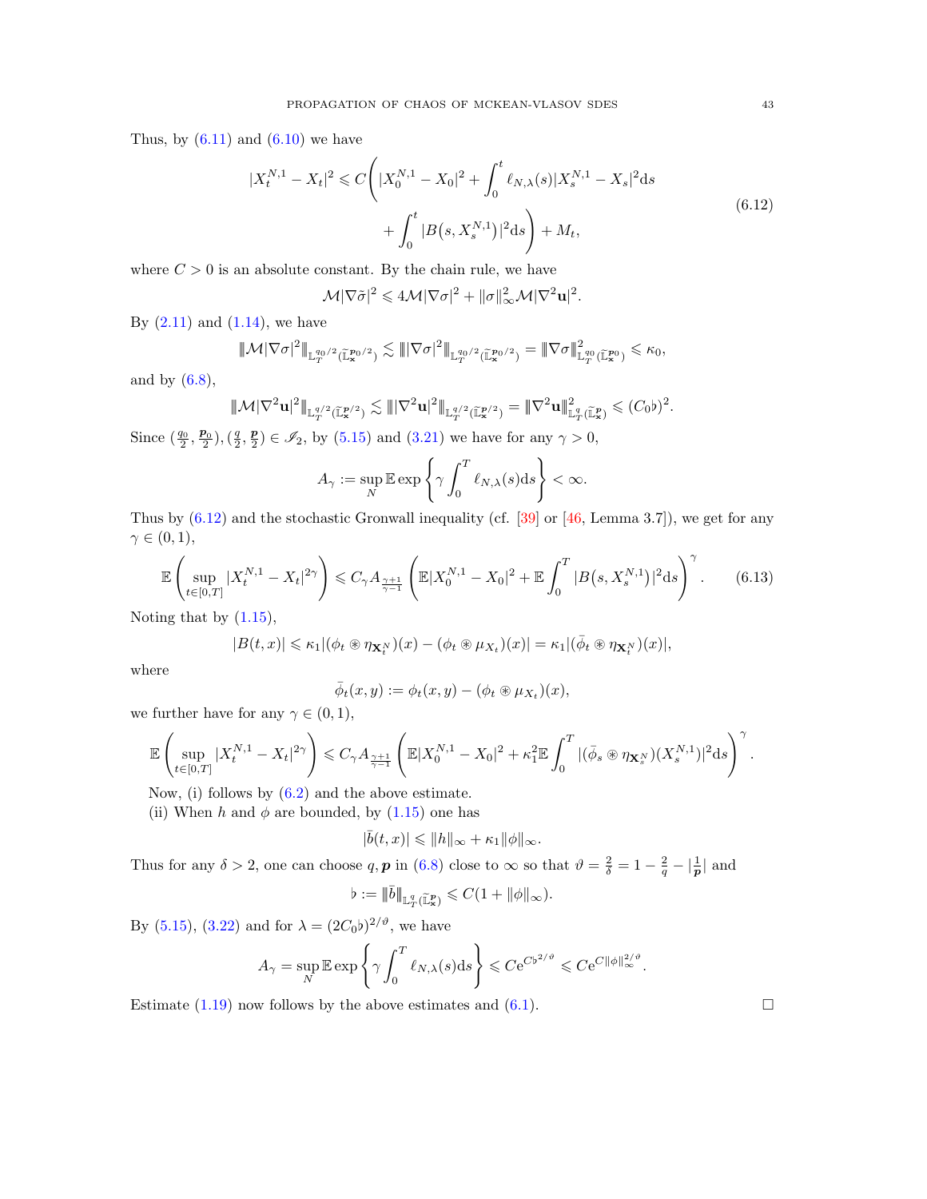Thus, by  $(6.11)$  and  $(6.10)$  we have

$$
|X_t^{N,1} - X_t|^2 \le C \left( |X_0^{N,1} - X_0|^2 + \int_0^t \ell_{N,\lambda}(s) |X_s^{N,1} - X_s|^2 ds + \int_0^t |B(s, X_s^{N,1})|^2 ds \right) + M_t,
$$
\n(6.12)

where  $C > 0$  is an absolute constant. By the chain rule, we have

<span id="page-42-0"></span>
$$
\mathcal{M}|\nabla\tilde{\sigma}|^2 \leq 4\mathcal{M}|\nabla\sigma|^2 + \|\sigma\|_{\infty}^2 \mathcal{M}|\nabla^2\mathbf{u}|^2.
$$

By  $(2.11)$  and  $(1.14)$ , we have

$$
|\!|\!|{\mathcal M}|\nabla\sigma|^2|\!|\!|_{\mathbb{L}^{q_0/2}_T(\widetilde{\mathbb{L}}^{p_0/2}_{{\bf x}})}\lesssim |\!|\!| |\nabla\sigma|^2|\!|\!|_{\mathbb{L}^{q_0/2}_T(\widetilde{\mathbb{L}}^{p_0/2}_{{\bf x}})}=\|\nabla\sigma|\!|\!|_{\mathbb{L}^{q_0}_T(\widetilde{\mathbb{L}}^{p_0}_{{\bf x}})}^2\leqslant \kappa_0,
$$

and by  $(6.8)$ ,

$$
|\!|\!| \mathcal{M}|\nabla^2\mathbf{u}|^2|\!|\!|_{\mathbb{L}^{q/2}_T(\widetilde{\mathbb{L}}^{p/2}_\mathbf{x})}\lesssim |\!|\!| |\nabla^2\mathbf{u}|^2|\!|\!|_{\mathbb{L}^{q/2}_T(\widetilde{\mathbb{L}}^{p/2}_\mathbf{x})} = |\!|\!| \nabla^2\mathbf{u} |\!|\!|_{\mathbb{L}^q_T(\widetilde{\mathbb{L}}^{p}_\mathbf{x})}^2\leq (C_0\flat)^2.
$$

Since  $(\frac{q_0}{2}, \frac{p_0}{2}), (\frac{q}{2}, \frac{p}{2}) \in \mathscr{I}_2$ , by [\(5.15\)](#page-31-2) and [\(3.21\)](#page-20-1) we have for any  $\gamma > 0$ ,

$$
A_{\gamma} := \sup_{N} \mathbb{E} \exp \left\{ \gamma \int_{0}^{T} \ell_{N,\lambda}(s) \mathrm{d}s \right\} < \infty.
$$

Thus by  $(6.12)$  and the stochastic Gronwall inequality (cf. [\[39\]](#page-46-21) or [\[46,](#page-46-17) Lemma 3.7]), we get for any  $\gamma \in (0,1),$ 

$$
\mathbb{E}\left(\sup_{t\in[0,T]}|X_t^{N,1}-X_t|^{2\gamma}\right) \leqslant C_\gamma A_{\frac{\gamma+1}{\gamma-1}}\left(\mathbb{E}|X_0^{N,1}-X_0|^2+\mathbb{E}\int_0^T|B(s,X_s^{N,1})|^2ds\right)^\gamma. \tag{6.13}
$$

Noting that by  $(1.15)$ ,

$$
|B(t,x)| \leq \kappa_1 |(\phi_t \circledast \eta_{\mathbf{X}_t^N})(x) - (\phi_t \circledast \mu_{X_t})(x)| = \kappa_1 |(\bar{\phi}_t \circledast \eta_{\mathbf{X}_t^N})(x)|,
$$

where

<span id="page-42-1"></span>
$$
\bar{\phi}_t(x,y) := \phi_t(x,y) - (\phi_t \circledast \mu_{X_t})(x),
$$

we further have for any  $\gamma \in (0,1)$ ,

$$
\mathbb{E}\left(\sup_{t\in[0,T]}|X^{N,1}_t-X_t|^{2\gamma}\right)\leqslant C_\gamma A_{\frac{\gamma+1}{\gamma-1}}\left(\mathbb{E}|X^{N,1}_0-X_0|^2+\kappa_1^2\mathbb{E}\int_0^T|(\bar{\phi}_s\circledast\eta_{\mathbf{X}^N_s})(X^{N,1}_s)|^2{\rm d} s\right)^{\gamma}.
$$

Now, (i) follows by [\(6.2\)](#page-39-4) and the above estimate.

(ii) When h and  $\phi$  are bounded, by [\(1.15\)](#page-5-5) one has

$$
|\bar b(t,x)|\leqslant \|h\|_\infty+\kappa_1\|\phi\|_\infty.
$$

Thus for any  $\delta > 2$ , one can choose q, p in [\(6.8\)](#page-41-3) close to  $\infty$  so that  $\vartheta = \frac{2}{\delta} = 1 - \frac{2}{q} - |\frac{1}{p}|$  and

$$
\flat:=\|\bar b\|_{{\mathbb L}^q_T(\widetilde {\mathbb L}^p_{\bf x})}\leqslant C(1+\|\phi\|_\infty).
$$

By [\(5.15\)](#page-31-2), [\(3.22\)](#page-20-3) and for  $\lambda = (2C_0b)^{2/\vartheta}$ , we have

$$
A_{\gamma} = \sup_{N} \mathbb{E} \exp \left\{ \gamma \int_{0}^{T} \ell_{N,\lambda}(s) \mathrm{d}s \right\} \leqslant C e^{C b^{2/\vartheta}} \leqslant C e^{C ||\phi||_{\infty}^{2/\vartheta}}.
$$

Estimate [\(1.19\)](#page-5-2) now follows by the above estimates and [\(6.1\)](#page-39-2).  $\Box$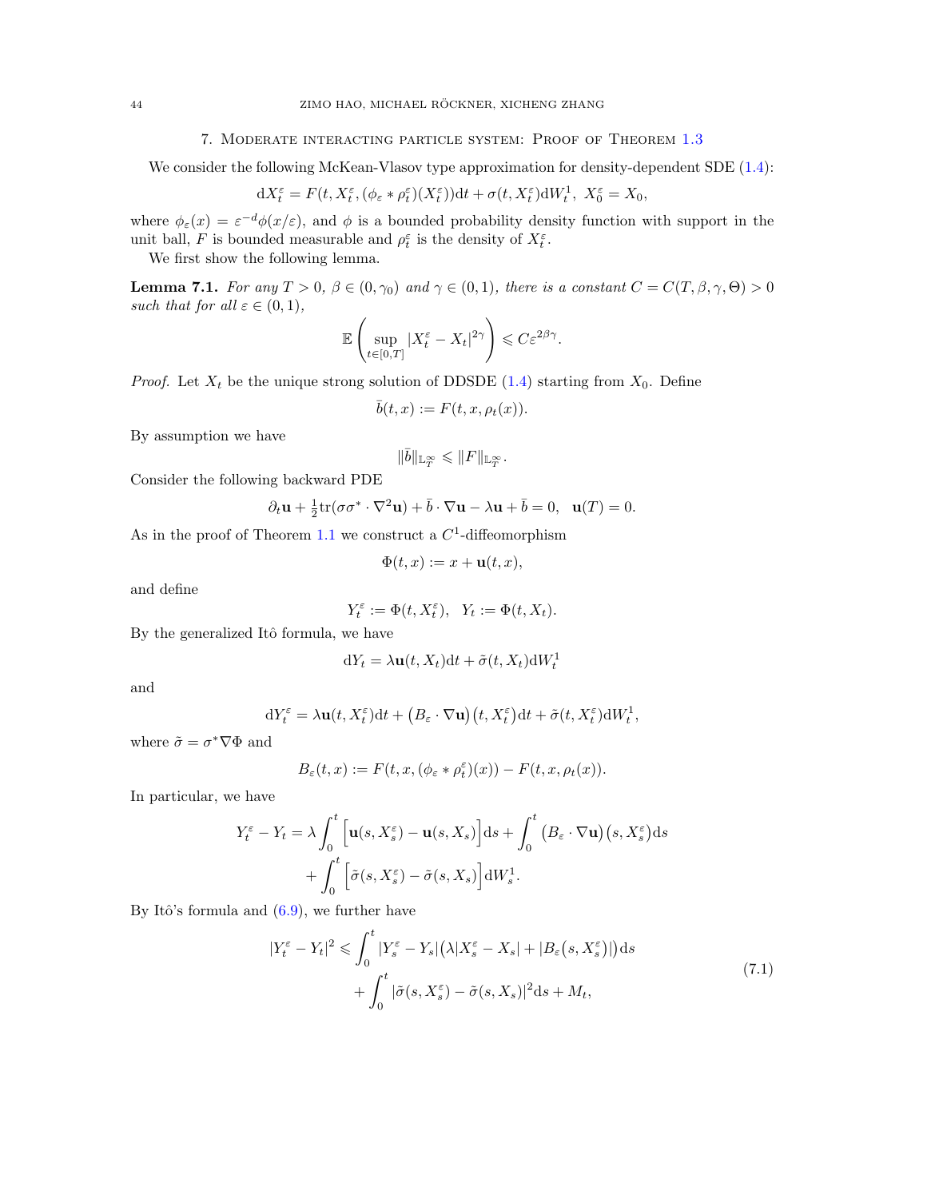### 7. Moderate interacting particle system: Proof of Theorem [1.3](#page-6-0)

<span id="page-43-0"></span>We consider the following McKean-Vlasov type approximation for density-dependent SDE  $(1.4)$ :

$$
dX_t^{\varepsilon} = F(t, X_t^{\varepsilon}, (\phi_{\varepsilon} * \rho_t^{\varepsilon})(X_t^{\varepsilon}))dt + \sigma(t, X_t^{\varepsilon})dW_t^1, X_0^{\varepsilon} = X_0,
$$

where  $\phi_{\varepsilon}(x) = \varepsilon^{-d} \phi(x/\varepsilon)$ , and  $\phi$  is a bounded probability density function with support in the unit ball, F is bounded measurable and  $\rho_t^{\varepsilon}$  is the density of  $X_t^{\varepsilon}$ .

We first show the following lemma.

<span id="page-43-1"></span>**Lemma 7.1.** For any  $T > 0$ ,  $\beta \in (0, \gamma_0)$  and  $\gamma \in (0, 1)$ , there is a constant  $C = C(T, \beta, \gamma, \Theta) > 0$ such that for all  $\varepsilon \in (0,1)$ ,

$$
\mathbb{E}\left(\sup_{t\in[0,T]}|X_t^{\varepsilon}-X_t|^{2\gamma}\right)\leqslant C\varepsilon^{2\beta\gamma}.
$$

*Proof.* Let  $X_t$  be the unique strong solution of DDSDE [\(1.4\)](#page-1-3) starting from  $X_0$ . Define

$$
\bar{b}(t,x) := F(t,x,\rho_t(x)).
$$

By assumption we have

$$
\|\bar{b}\|_{{\mathbb L}^\infty_T}\leqslant \|F\|_{{\mathbb L}^\infty_T}.
$$

Consider the following backward PDE

$$
\partial_t \mathbf{u} + \frac{1}{2} \text{tr}(\sigma \sigma^* \cdot \nabla^2 \mathbf{u}) + \bar{b} \cdot \nabla \mathbf{u} - \lambda \mathbf{u} + \bar{b} = 0, \ \ \mathbf{u}(T) = 0.
$$

As in the proof of Theorem [1.1](#page-5-0) we construct a  $C<sup>1</sup>$ -diffeomorphism

$$
\Phi(t, x) := x + \mathbf{u}(t, x),
$$

and define

$$
Y_t^{\varepsilon} := \Phi(t, X_t^{\varepsilon}), \ \ Y_t := \Phi(t, X_t).
$$

By the generalized Itô formula, we have

$$
dY_t = \lambda \mathbf{u}(t, X_t)dt + \tilde{\sigma}(t, X_t)dW_t^1
$$

and

$$
dY_t^{\varepsilon} = \lambda \mathbf{u}(t, X_t^{\varepsilon}) dt + \left(B_{\varepsilon} \cdot \nabla \mathbf{u}\right)(t, X_t^{\varepsilon}) dt + \tilde{\sigma}(t, X_t^{\varepsilon}) dW_t^1,
$$

where  $\tilde{\sigma} = \sigma^* \nabla \Phi$  and

$$
B_{\varepsilon}(t,x) := F(t,x,(\phi_{\varepsilon} * \rho_t^{\varepsilon})(x)) - F(t,x,\rho_t(x)).
$$

In particular, we have

$$
Y_t^{\varepsilon} - Y_t = \lambda \int_0^t \left[ \mathbf{u}(s, X_s^{\varepsilon}) - \mathbf{u}(s, X_s) \right] ds + \int_0^t \left( B_{\varepsilon} \cdot \nabla \mathbf{u} \right) (s, X_s^{\varepsilon}) ds + \int_0^t \left[ \tilde{\sigma}(s, X_s^{\varepsilon}) - \tilde{\sigma}(s, X_s) \right] dW_s^1.
$$

By Itô's formula and  $(6.9)$ , we further have

$$
|Y_t^{\varepsilon} - Y_t|^2 \leq \int_0^t |Y_s^{\varepsilon} - Y_s| \left(\lambda |X_s^{\varepsilon} - X_s| + |B_{\varepsilon}(s, X_s^{\varepsilon})|\right) ds
$$
  
+ 
$$
\int_0^t |\tilde{\sigma}(s, X_s^{\varepsilon}) - \tilde{\sigma}(s, X_s)|^2 ds + M_t,
$$
 (7.1)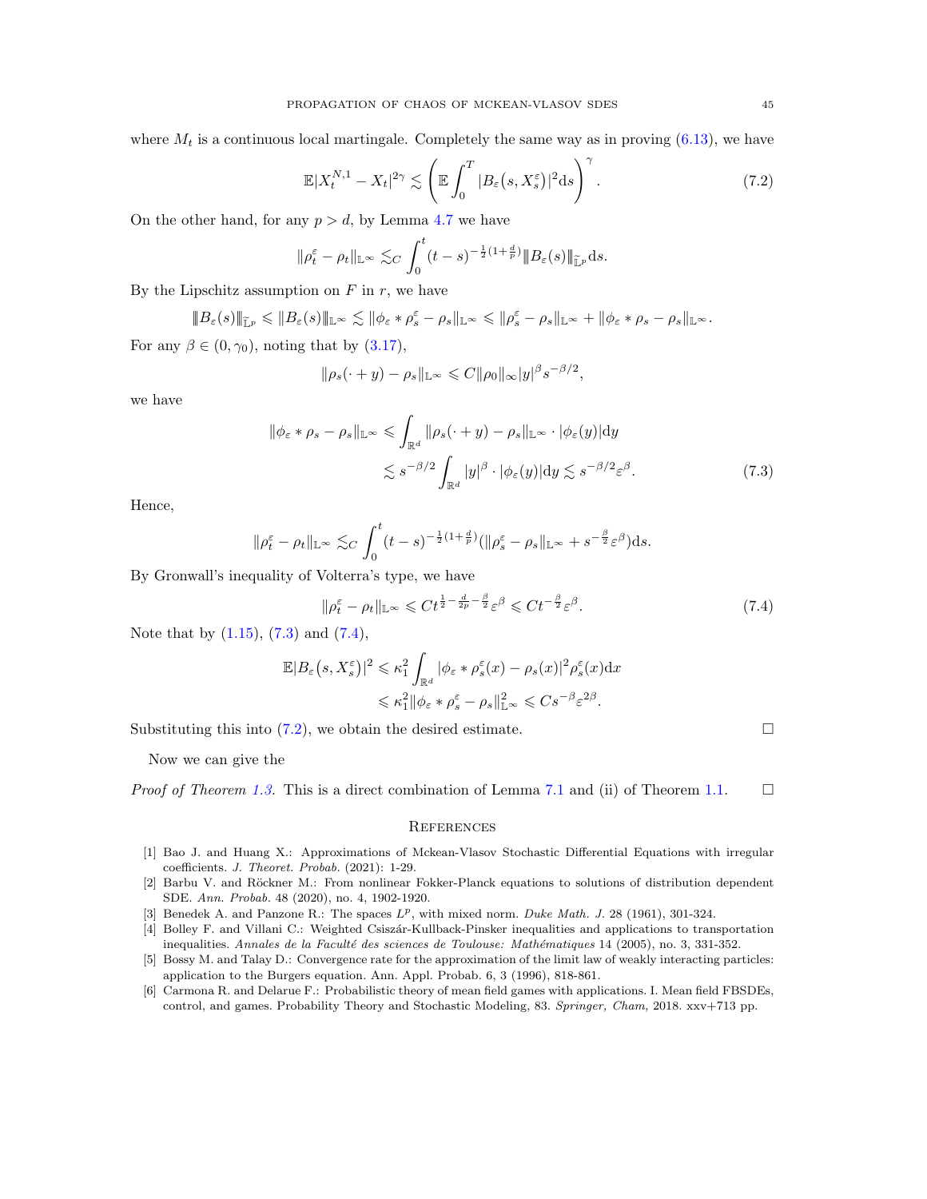where  $M_t$  is a continuous local martingale. Completely the same way as in proving  $(6.13)$ , we have

<span id="page-44-9"></span>
$$
\mathbb{E}|X_t^{N,1} - X_t|^{2\gamma} \lesssim \left(\mathbb{E}\int_0^T |B_\varepsilon(s,X_s^\varepsilon)|^2 \mathrm{d}s\right)^\gamma. \tag{7.2}
$$

On the other hand, for any  $p > d$ , by Lemma [4.7](#page-23-2) we have

$$
\|\rho_t^{\varepsilon}-\rho_t\|_{\mathbb{L}^{\infty}}\lesssim_C \int_0^t (t-s)^{-\frac{1}{2}(1+\frac{d}{p})} \|B_{\varepsilon}(s)\|_{\widetilde{\mathbb{L}}^p}ds.
$$

By the Lipschitz assumption on  $F$  in  $r$ , we have

$$
\|B_{\varepsilon}(s)\|_{\widetilde{\mathbb{L}}^p}\leqslant \|B_{\varepsilon}(s)\|_{\mathbb{L}^{\infty}}\lesssim \|\phi_{\varepsilon}\ast \rho^{\varepsilon}_s-\rho_s\|_{\mathbb{L}^{\infty}}\leqslant \|\rho^{\varepsilon}_s-\rho_s\|_{\mathbb{L}^{\infty}}+\|\phi_{\varepsilon}\ast \rho_s-\rho_s\|_{\mathbb{L}^{\infty}}.
$$

For any  $\beta \in (0, \gamma_0)$ , noting that by  $(3.17)$ ,

<span id="page-44-7"></span>
$$
\|\rho_s(\cdot+y)-\rho_s\|_{\mathbb{L}^\infty}\leqslant C\|\rho_0\|_\infty|y|^{\beta}s^{-\beta/2},
$$

we have

$$
\|\phi_{\varepsilon} * \rho_s - \rho_s\|_{\mathbb{L}^\infty} \leq \int_{\mathbb{R}^d} \|\rho_s(\cdot + y) - \rho_s\|_{\mathbb{L}^\infty} \cdot |\phi_{\varepsilon}(y)| \mathrm{d}y
$$
  

$$
\lesssim s^{-\beta/2} \int_{\mathbb{R}^d} |y|^\beta \cdot |\phi_{\varepsilon}(y)| \mathrm{d}y \lesssim s^{-\beta/2} \varepsilon^\beta.
$$
 (7.3)

Hence,

$$
\|\rho_t^{\varepsilon}-\rho_t\|_{\mathbb{L}^{\infty}}\lesssim_C \int_0^t (t-s)^{-\frac{1}{2}(1+\frac{d}{p})}(\|\rho_s^{\varepsilon}-\rho_s\|_{\mathbb{L}^{\infty}}+s^{-\frac{\beta}{2}}\varepsilon^{\beta})\mathrm{d}s.
$$

By Gronwall's inequality of Volterra's type, we have

$$
\|\rho_t^{\varepsilon} - \rho_t\|_{\mathbb{L}^\infty} \leq C t^{\frac{1}{2} - \frac{d}{2p} - \frac{\beta}{2}} \varepsilon^\beta \leq C t^{-\frac{\beta}{2}} \varepsilon^\beta. \tag{7.4}
$$

Note that by  $(1.15)$ ,  $(7.3)$  and  $(7.4)$ ,

$$
\mathbb{E}|B_{\varepsilon}(s, X_{s}^{\varepsilon})|^{2} \leq \kappa_{1}^{2} \int_{\mathbb{R}^{d}} |\phi_{\varepsilon} * \rho_{s}^{\varepsilon}(x) - \rho_{s}(x)|^{2} \rho_{s}^{\varepsilon}(x) dx
$$
  

$$
\leq \kappa_{1}^{2} ||\phi_{\varepsilon} * \rho_{s}^{\varepsilon} - \rho_{s}||_{\mathbb{L}^{\infty}}^{2} \leq C s^{-\beta} \varepsilon^{2\beta}.
$$

Substituting this into  $(7.2)$ , we obtain the desired estimate.

Now we can give the

*Proof of Theorem [1.3.](#page-6-0)* This is a direct combination of Lemma [7.1](#page-43-1) and (ii) of Theorem [1.1.](#page-5-0)  $\Box$ 

#### <span id="page-44-8"></span><span id="page-44-0"></span>**REFERENCES**

- <span id="page-44-3"></span>[1] Bao J. and Huang X.: Approximations of Mckean-Vlasov Stochastic Differential Equations with irregular coefficients. J. Theoret. Probab. (2021): 1-29.
- <span id="page-44-1"></span>[2] Barbu V. and Röckner M.: From nonlinear Fokker-Planck equations to solutions of distribution dependent SDE. Ann. Probab. 48 (2020), no. 4, 1902-1920.
- <span id="page-44-5"></span>[3] Benedek A. and Panzone R.: The spaces  $L^p$ , with mixed norm. Duke Math. J. 28 (1961), 301-324.
- <span id="page-44-6"></span>[4] Bolley F. and Villani C.: Weighted Csiszár-Kullback-Pinsker inequalities and applications to transportation inequalities. Annales de la Faculté des sciences de Toulouse: Mathématiques 14 (2005), no. 3, 331-352.
- <span id="page-44-4"></span>[5] Bossy M. and Talay D.: Convergence rate for the approximation of the limit law of weakly interacting particles: application to the Burgers equation. Ann. Appl. Probab. 6, 3 (1996), 818-861.
- <span id="page-44-2"></span>[6] Carmona R. and Delarue F.: Probabilistic theory of mean field games with applications. I. Mean field FBSDEs, control, and games. Probability Theory and Stochastic Modeling, 83. Springer, Cham, 2018. xxv+713 pp.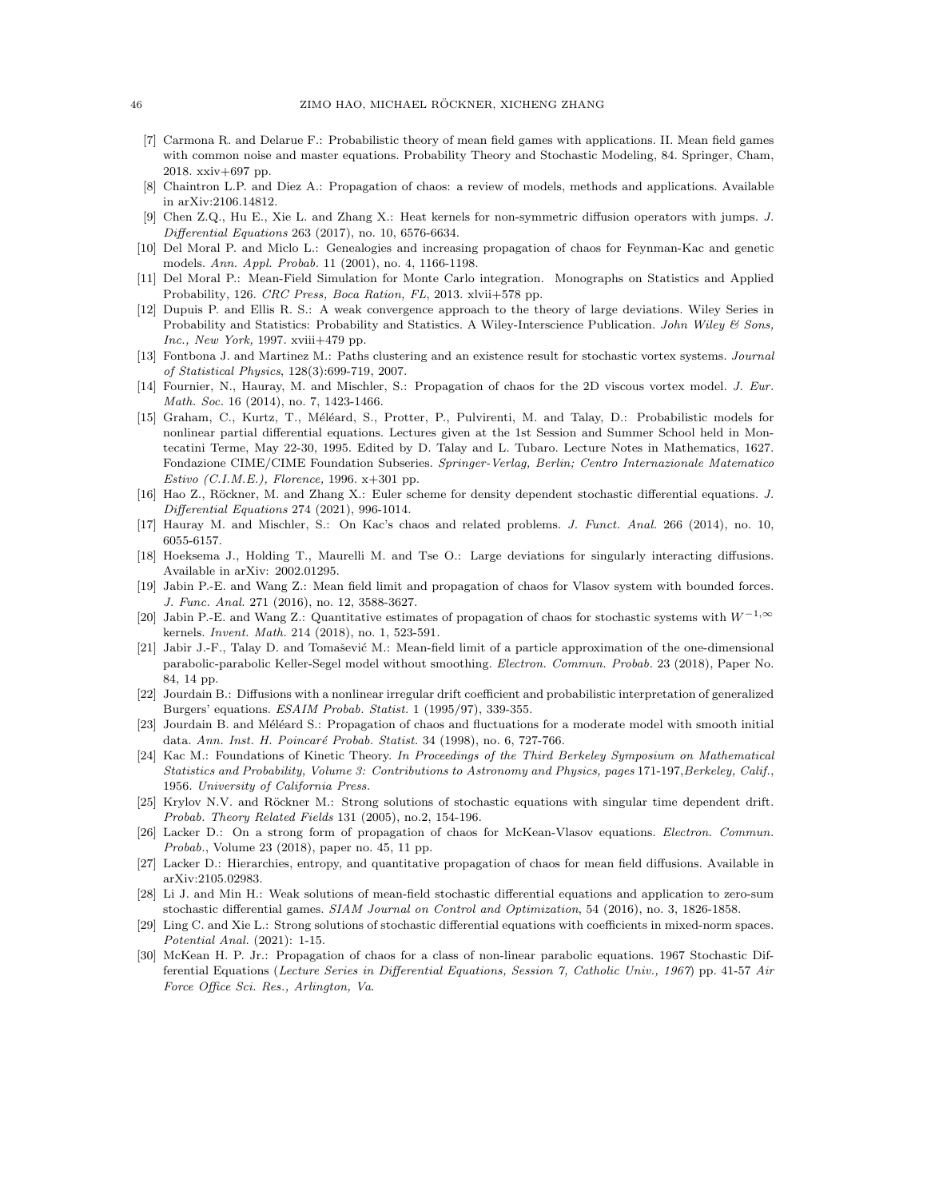- <span id="page-45-13"></span>[7] Carmona R. and Delarue F.: Probabilistic theory of mean field games with applications. II. Mean field games with common noise and master equations. Probability Theory and Stochastic Modeling, 84. Springer, Cham, 2018. xxiv+697 pp.
- <span id="page-45-14"></span>[8] Chaintron L.P. and Diez A.: Propagation of chaos: a review of models, methods and applications. Available in arXiv:2106.14812.
- <span id="page-45-20"></span>[9] Chen Z.Q., Hu E., Xie L. and Zhang X.: Heat kernels for non-symmetric diffusion operators with jumps. J. Differential Equations 263 (2017), no. 10, 6576-6634.
- <span id="page-45-22"></span>[10] Del Moral P. and Miclo L.: Genealogies and increasing propagation of chaos for Feynman-Kac and genetic models. Ann. Appl. Probab. 11 (2001), no. 4, 1166-1198.
- <span id="page-45-12"></span>[11] Del Moral P.: Mean-Field Simulation for Monte Carlo integration. Monographs on Statistics and Applied Probability, 126. CRC Press, Boca Ration, FL, 2013. xlvii+578 pp.
- <span id="page-45-21"></span>[12] Dupuis P. and Ellis R. S.: A weak convergence approach to the theory of large deviations. Wiley Series in Probability and Statistics: Probability and Statistics. A Wiley-Interscience Publication. John Wiley & Sons,  $Inc., New York, 1997. xviii+479$  pp.
- <span id="page-45-3"></span>[13] Fontbona J. and Martinez M.: Paths clustering and an existence result for stochastic vortex systems. Journal of Statistical Physics, 128(3):699-719, 2007.
- <span id="page-45-16"></span>[14] Fournier, N., Hauray, M. and Mischler, S.: Propagation of chaos for the 2D viscous vortex model. J. Eur. Math. Soc. 16 (2014), no. 7, 1423-1466.
- <span id="page-45-10"></span>[15] Graham, C., Kurtz, T., Méléard, S., Protter, P., Pulvirenti, M. and Talay, D.: Probabilistic models for nonlinear partial differential equations. Lectures given at the 1st Session and Summer School held in Montecatini Terme, May 22-30, 1995. Edited by D. Talay and L. Tubaro. Lecture Notes in Mathematics, 1627. Fondazione CIME/CIME Foundation Subseries. Springer-Verlag, Berlin; Centro Internazionale Matematico Estivo (C.I.M.E.), Florence, 1996. x+301 pp.
- <span id="page-45-6"></span>[16] Hao Z., Röckner, M. and Zhang X.: Euler scheme for density dependent stochastic differential equations. J. Differential Equations 274 (2021), 996-1014.
- <span id="page-45-8"></span>[17] Hauray M. and Mischler, S.: On Kac's chaos and related problems. J. Funct. Anal. 266 (2014), no. 10, 6055-6157.
- <span id="page-45-18"></span>[18] Hoeksema J., Holding T., Maurelli M. and Tse O.: Large deviations for singularly interacting diffusions. Available in arXiv: 2002.01295.
- <span id="page-45-1"></span>[19] Jabin P.-E. and Wang Z.: Mean field limit and propagation of chaos for Vlasov system with bounded forces. J. Func. Anal. 271 (2016), no. 12, 3588-3627.
- <span id="page-45-11"></span>[20] Jabin P.-E. and Wang Z.: Quantitative estimates of propagation of chaos for stochastic systems with W−1,<sup>∞</sup> kernels. Invent. Math. 214 (2018), no. 1, 523-591.
- <span id="page-45-17"></span>[21] Jabir J.-F., Talay D. and Tomašević M.: Mean-field limit of a particle approximation of the one-dimensional parabolic-parabolic Keller-Segel model without smoothing. Electron. Commun. Probab. 23 (2018), Paper No. 84, 14 pp.
- <span id="page-45-19"></span>[22] Jourdain B.: Diffusions with a nonlinear irregular drift coefficient and probabilistic interpretation of generalized Burgers' equations. ESAIM Probab. Statist. 1 (1995/97), 339-355.
- <span id="page-45-2"></span>[23] Jourdain B. and Méléard S.: Propagation of chaos and fluctuations for a moderate model with smooth initial data. Ann. Inst. H. Poincaré Probab. Statist. 34 (1998), no. 6, 727-766.
- <span id="page-45-7"></span>[24] Kac M.: Foundations of Kinetic Theory. In Proceedings of the Third Berkeley Symposium on Mathematical Statistics and Probability, Volume 3: Contributions to Astronomy and Physics, pages 171-197,Berkeley, Calif., 1956. University of California Press.
- <span id="page-45-0"></span>[25] Krylov N.V. and Röckner M.: Strong solutions of stochastic equations with singular time dependent drift. Probab. Theory Related Fields 131 (2005), no.2, 154-196.
- <span id="page-45-15"></span>[26] Lacker D.: On a strong form of propagation of chaos for McKean-Vlasov equations. Electron. Commun. Probab., Volume 23 (2018), paper no. 45, 11 pp.
- <span id="page-45-23"></span>[27] Lacker D.: Hierarchies, entropy, and quantitative propagation of chaos for mean field diffusions. Available in arXiv:2105.02983.
- <span id="page-45-5"></span>[28] Li J. and Min H.: Weak solutions of mean-field stochastic differential equations and application to zero-sum stochastic differential games. SIAM Journal on Control and Optimization, 54 (2016), no. 3, 1826-1858.
- <span id="page-45-4"></span>[29] Ling C. and Xie L.: Strong solutions of stochastic differential equations with coefficients in mixed-norm spaces. Potential Anal. (2021): 1-15.
- <span id="page-45-9"></span>[30] McKean H. P. Jr.: Propagation of chaos for a class of non-linear parabolic equations. 1967 Stochastic Differential Equations (Lecture Series in Differential Equations, Session 7, Catholic Univ., 1967) pp. 41-57 Air Force Office Sci. Res., Arlington, Va.